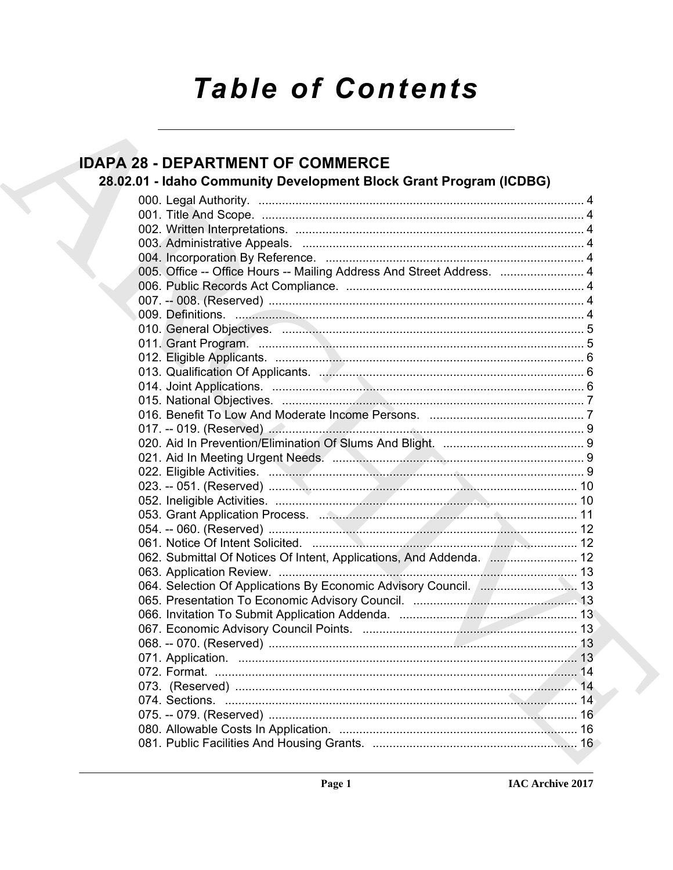# **Table of Contents**

# **IDAPA 28 - DEPARTMENT OF COMMERCE**

# 28.02.01 - Idaho Community Development Block Grant Program (ICDBG)

| 005. Office -- Office Hours -- Mailing Address And Street Address.  4 |  |
|-----------------------------------------------------------------------|--|
|                                                                       |  |
|                                                                       |  |
|                                                                       |  |
|                                                                       |  |
|                                                                       |  |
|                                                                       |  |
|                                                                       |  |
|                                                                       |  |
|                                                                       |  |
|                                                                       |  |
|                                                                       |  |
|                                                                       |  |
|                                                                       |  |
|                                                                       |  |
|                                                                       |  |
|                                                                       |  |
|                                                                       |  |
|                                                                       |  |
|                                                                       |  |
| 062. Submittal Of Notices Of Intent, Applications, And Addenda.  12   |  |
|                                                                       |  |
| 064. Selection Of Applications By Economic Advisory Council. ( 13     |  |
|                                                                       |  |
|                                                                       |  |
|                                                                       |  |
|                                                                       |  |
|                                                                       |  |
|                                                                       |  |
|                                                                       |  |
|                                                                       |  |
|                                                                       |  |
|                                                                       |  |
|                                                                       |  |
|                                                                       |  |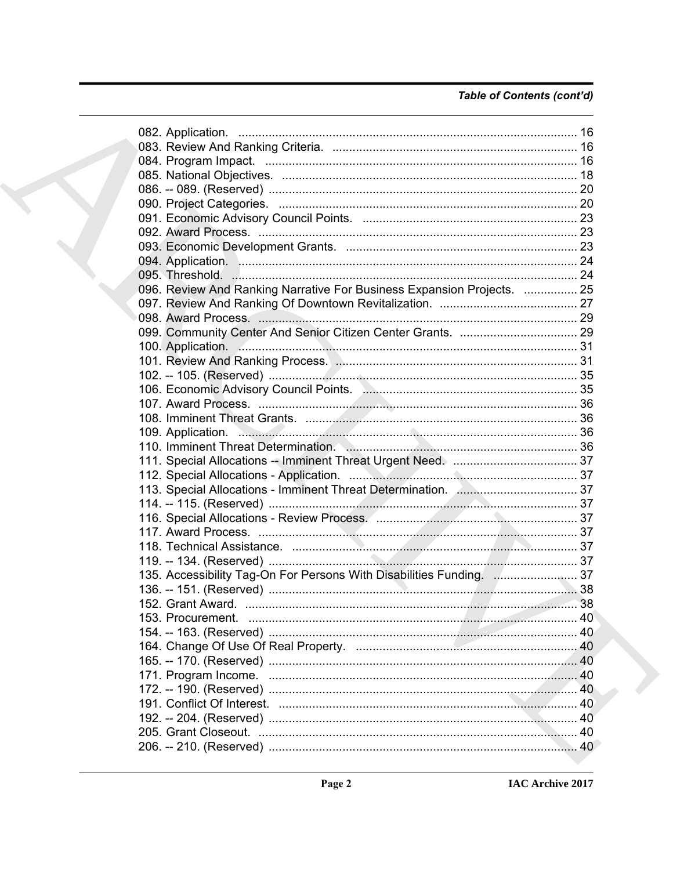# Table of Contents (cont'd)

|  | 096. Review And Ranking Narrative For Business Expansion Projects.  25 |  |
|--|------------------------------------------------------------------------|--|
|  |                                                                        |  |
|  |                                                                        |  |
|  |                                                                        |  |
|  |                                                                        |  |
|  |                                                                        |  |
|  |                                                                        |  |
|  |                                                                        |  |
|  |                                                                        |  |
|  |                                                                        |  |
|  | 109. Application. 36                                                   |  |
|  |                                                                        |  |
|  |                                                                        |  |
|  |                                                                        |  |
|  |                                                                        |  |
|  |                                                                        |  |
|  |                                                                        |  |
|  |                                                                        |  |
|  |                                                                        |  |
|  |                                                                        |  |
|  | 135. Accessibility Tag-On For Persons With Disabilities Funding. 37    |  |
|  |                                                                        |  |
|  |                                                                        |  |
|  |                                                                        |  |
|  |                                                                        |  |
|  |                                                                        |  |
|  |                                                                        |  |
|  |                                                                        |  |
|  |                                                                        |  |
|  |                                                                        |  |
|  |                                                                        |  |
|  |                                                                        |  |
|  |                                                                        |  |
|  |                                                                        |  |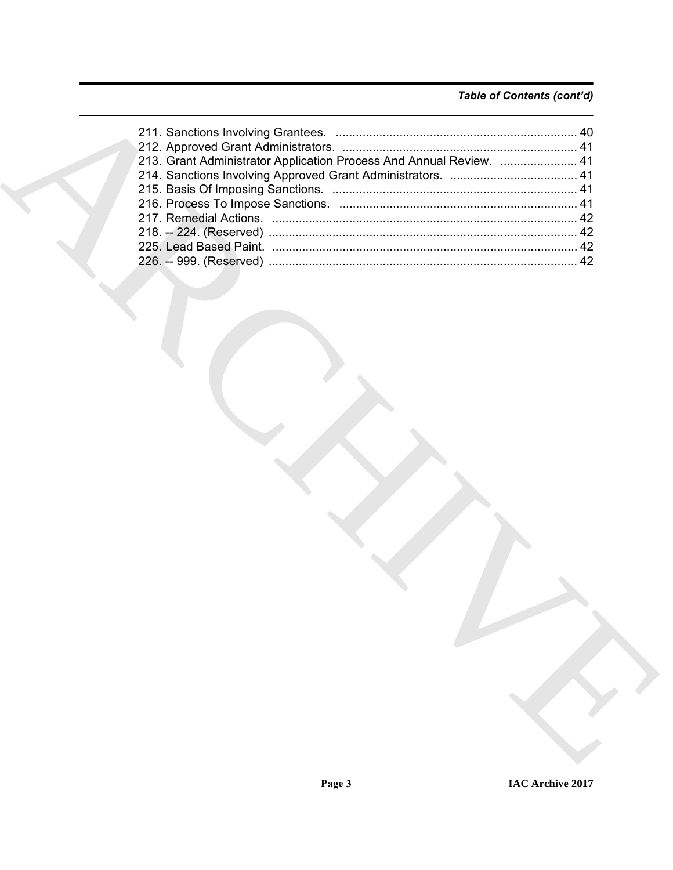# *Table of Contents (cont'd)*

| 213. Grant Administrator Application Process And Annual Review.  41 |
|---------------------------------------------------------------------|
|                                                                     |
|                                                                     |
|                                                                     |
|                                                                     |
|                                                                     |
|                                                                     |
|                                                                     |
|                                                                     |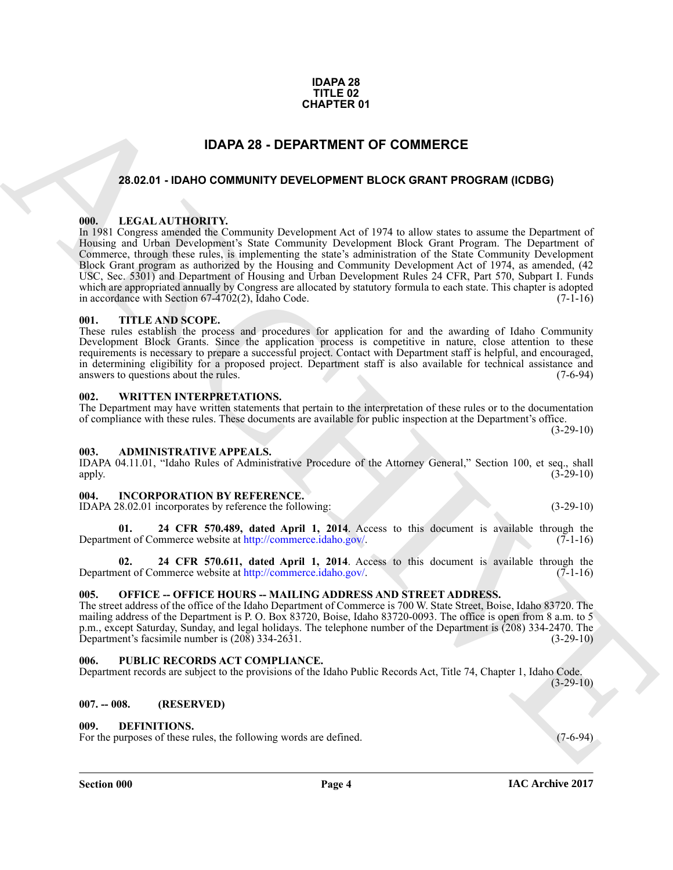### **IDAPA 28 TITLE 02 CHAPTER 01**

# **IDAPA 28 - DEPARTMENT OF COMMERCE**

# <span id="page-3-1"></span><span id="page-3-0"></span>**28.02.01 - IDAHO COMMUNITY DEVELOPMENT BLOCK GRANT PROGRAM (ICDBG)**

# <span id="page-3-2"></span>**000. LEGAL AUTHORITY.**

**C[H](http://commerce.idaho.gov/)APTER 01**<br>
28.02.9 • DANO COMMUNITY DEVELOPMENT BLOCK GRAMT PROGRAM (COBG)<br>
18.02.9 • DANO COMMUNITY DEVELOPMENT BLOCK GRAMT PROGRAM (COBG)<br>
18.021 University (ASS) SCORES (ASS) (Community Development Act of UPFs to al In 1981 Congress amended the Community Development Act of 1974 to allow states to assume the Department of Housing and Urban Development's State Community Development Block Grant Program. The Department of Commerce, through these rules, is implementing the state's administration of the State Community Development Block Grant program as authorized by the Housing and Community Development Act of 1974, as amended, (42 USC, Sec. 5301) and Department of Housing and Urban Development Rules 24 CFR, Part 570, Subpart I. Funds which are appropriated annually by Congress are allocated by statutory formula to each state. This chapter is adopted<br>in accordance with Section 67-4702(2). Idaho Code. (7-1-16) in accordance with Section  $67-4702(2)$ , Idaho Code.

# <span id="page-3-3"></span>**001. TITLE AND SCOPE.**

These rules establish the process and procedures for application for and the awarding of Idaho Community Development Block Grants. Since the application process is competitive in nature, close attention to these requirements is necessary to prepare a successful project. Contact with Department staff is helpful, and encouraged, in determining eligibility for a proposed project. Department staff is also available for technical assistance and answers to questions about the rules. (7-6-94) answers to questions about the rules.

# <span id="page-3-4"></span>**002. WRITTEN INTERPRETATIONS.**

The Department may have written statements that pertain to the interpretation of these rules or to the documentation of compliance with these rules. These documents are available for public inspection at the Department's office.  $(3-29-10)$ 

# <span id="page-3-5"></span>**003. ADMINISTRATIVE APPEALS.**

IDAPA 04.11.01, "Idaho Rules of Administrative Procedure of the Attorney General," Section 100, et seq., shall apply.  $(3-29-10)$ 

# <span id="page-3-6"></span>**004. INCORPORATION BY REFERENCE.**

IDAPA 28.02.01 incorporates by reference the following: (3-29-10)

**01. 24 CFR 570.489, dated April 1, 2014**. Access to this document is available through the Department of Commerce website at http://commerce.idaho.gov/.

**02. 24 CFR 570.611, dated April 1, 2014**. Access to this document is available through the ent of Commerce website at http://commerce.idaho.gov/. (7-1-16) Department of Commerce website at http://commerce.idaho.gov/.

# <span id="page-3-7"></span>005. OFFICE -- OFFICE HOURS -- MAILING ADDRESS AND STREET ADDRESS.

The street address of the office of the Idaho Department of Commerce is 700 W. State Street, Boise, Idaho 83720. The mailing address of the Department is P. O. Box 83720, Boise, Idaho 83720-0093. The office is open from 8 a.m. to 5 p.m., except Saturday, Sunday, and legal holidays. The telephone number of the Department is (208) 334-2470. The Department's facsimile number is (208) 334-2631.

# <span id="page-3-8"></span>**006. PUBLIC RECORDS ACT COMPLIANCE.**

Department records are subject to the provisions of the Idaho Public Records Act, Title 74, Chapter 1, Idaho Code.  $(3-29-10)$ 

# <span id="page-3-9"></span>**007. -- 008. (RESERVED)**

# <span id="page-3-10"></span>**009. DEFINITIONS.**

For the purposes of these rules, the following words are defined. (7-6-94)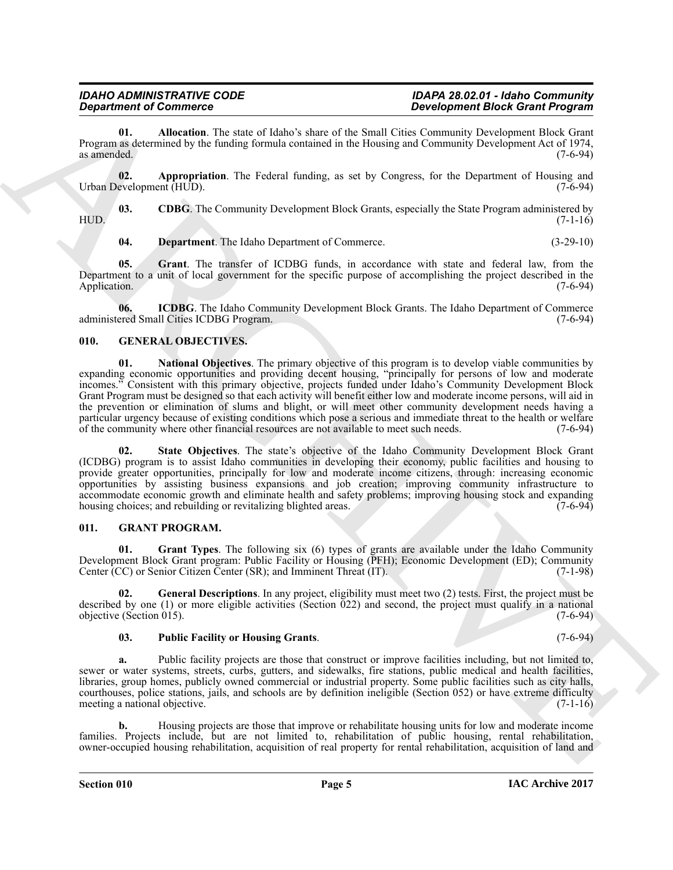<span id="page-4-2"></span>**01. Allocation**. The state of Idaho's share of the Small Cities Community Development Block Grant Program as determined by the funding formula contained in the Housing and Community Development Act of 1974, as amended.  $(7-6-94)$ 

<span id="page-4-3"></span>**02. Appropriation**. The Federal funding, as set by Congress, for the Department of Housing and Urban Development (HUD). (7-6-94)

**03. CDBG**. The Community Development Block Grants, especially the State Program administered by (7-1-16) HUD. (7-1-16)

<span id="page-4-7"></span><span id="page-4-6"></span><span id="page-4-5"></span><span id="page-4-4"></span>**04. Department**. The Idaho Department of Commerce. (3-29-10)

**05. Grant**. The transfer of ICDBG funds, in accordance with state and federal law, from the Department to a unit of local government for the specific purpose of accomplishing the project described in the Application. (7-6-94)

**06. ICDBG**. The Idaho Community Development Block Grants. The Idaho Department of Commerce ered Small Cities ICDBG Program. (7-6-94) administered Small Cities ICDBG Program.

# <span id="page-4-9"></span><span id="page-4-8"></span><span id="page-4-0"></span>**010. GENERAL OBJECTIVES.**

**Expansion of Connective Construction** Based Connective Connective Connective Connective Connective Connective Connective Connective Connective Connective Connective Connective Connective Connective Connective Connective **01. National Objectives**. The primary objective of this program is to develop viable communities by expanding economic opportunities and providing decent housing, "principally for persons of low and moderate incomes." Consistent with this primary objective, projects funded under Idaho's Community Development Block Grant Program must be designed so that each activity will benefit either low and moderate income persons, will aid in the prevention or elimination of slums and blight, or will meet other community development needs having a particular urgency because of existing conditions which pose a serious and immediate threat to the health or welfare<br>of the community where other financial resources are not available to meet such needs. (7-6-94) of the community where other financial resources are not available to meet such needs.

<span id="page-4-10"></span>**02. State Objectives**. The state's objective of the Idaho Community Development Block Grant (ICDBG) program is to assist Idaho communities in developing their economy, public facilities and housing to provide greater opportunities, principally for low and moderate income citizens, through: increasing economic opportunities by assisting business expansions and job creation; improving community infrastructure to accommodate economic growth and eliminate health and safety problems; improving housing stock and expanding housing choices: and rebuilding or revitalizing blighted areas. housing choices; and rebuilding or revitalizing blighted areas.

# <span id="page-4-1"></span>**011. GRANT PROGRAM.**

<span id="page-4-12"></span>**01. Grant Types**. The following six (6) types of grants are available under the Idaho Community Development Block Grant program: Public Facility or Housing (PFH); Economic Development (ED); Community Center (CC) or Senior Citizen Center (SR): and Imminent Threat (IT). Center  $(CC)$  or Senior Citizen Center  $(SR)$ ; and Imminent Threat  $(IT)$ .

**02. General Descriptions**. In any project, eligibility must meet two (2) tests. First, the project must be described by one (1) or more eligible activities (Section 022) and second, the project must qualify in a national objective (Section 015).  $(7-6-94)$ objective (Section  $015$ ).

# <span id="page-4-13"></span><span id="page-4-11"></span>**03. Public Facility or Housing Grants**. (7-6-94)

**a.** Public facility projects are those that construct or improve facilities including, but not limited to, sewer or water systems, streets, curbs, gutters, and sidewalks, fire stations, public medical and health facilities, libraries, group homes, publicly owned commercial or industrial property. Some public facilities such as city halls, courthouses, police stations, jails, and schools are by definition ineligible (Section 052) or have extreme difficulty meeting a national objective. (7-1-16) meeting a national objective.

**b.** Housing projects are those that improve or rehabilitate housing units for low and moderate income families. Projects include, but are not limited to, rehabilitation of public housing, rental rehabilitation, owner-occupied housing rehabilitation, acquisition of real property for rental rehabilitation, acquisition of land and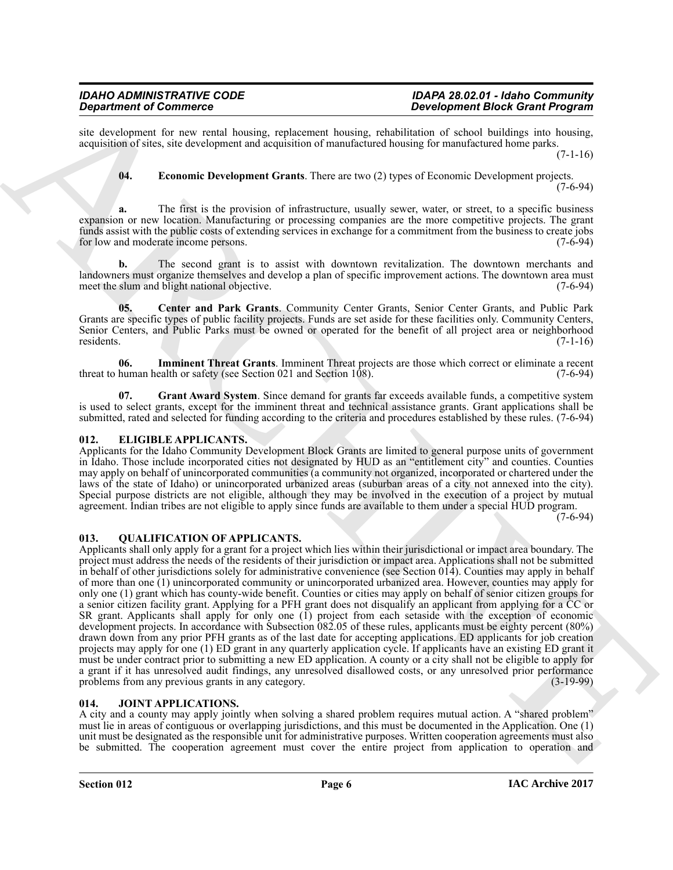site development for new rental housing, replacement housing, rehabilitation of school buildings into housing, acquisition of sites, site development and acquisition of manufactured housing for manufactured home parks.

 $(7-1-16)$ 

<span id="page-5-5"></span>**04. Economic Development Grants**. There are two (2) types of Economic Development projects.

(7-6-94)

**a.** The first is the provision of infrastructure, usually sewer, water, or street, to a specific business expansion or new location. Manufacturing or processing companies are the more competitive projects. The grant funds assist with the public costs of extending services in exchange for a commitment from the business to create jobs for low and moderate income persons. (7-6-94)

**b.** The second grant is to assist with downtown revitalization. The downtown merchants and landowners must organize themselves and develop a plan of specific improvement actions. The downtown area must meet the slum and blight national objective. (7-6-94) (7-6-94)

<span id="page-5-4"></span>**05. Center and Park Grants**. Community Center Grants, Senior Center Grants, and Public Park Grants are specific types of public facility projects. Funds are set aside for these facilities only. Community Centers, Senior Centers, and Public Parks must be owned or operated for the benefit of all project area or neighborhood residents. (7-1-16)

<span id="page-5-7"></span>**06.** Imminent Threat Grants. Imminent Threat projects are those which correct or eliminate a recent human health or safety (see Section 021 and Section 108). (7-6-94) threat to human health or safety (see Section  $021$  and Section  $108$ ).

<span id="page-5-6"></span>**07.** Grant Award System. Since demand for grants far exceeds available funds, a competitive system is used to select grants, except for the imminent threat and technical assistance grants. Grant applications shall be submitted, rated and selected for funding according to the criteria and procedures established by these rules. (7-6-94)

# <span id="page-5-3"></span><span id="page-5-0"></span>**012. ELIGIBLE APPLICANTS.**

Applicants for the Idaho Community Development Block Grants are limited to general purpose units of government in Idaho. Those include incorporated cities not designated by HUD as an "entitlement city" and counties. Counties may apply on behalf of unincorporated communities (a community not organized, incorporated or chartered under the laws of the state of Idaho) or unincorporated urbanized areas (suburban areas of a city not annexed into the city). Special purpose districts are not eligible, although they may be involved in the execution of a project by mutual agreement. Indian tribes are not eligible to apply since funds are available to them under a special HUD program.

(7-6-94)

# <span id="page-5-9"></span><span id="page-5-1"></span>**013. QUALIFICATION OF APPLICANTS.**

**Dependent of Conservers" : Dependent of the state of the state of the Proposition Conserverse Conserverse Conserverse Conserverse Conserverse Conserverse Conserverse Conserverse Conserverse Conserverse Conserverse Cons** Applicants shall only apply for a grant for a project which lies within their jurisdictional or impact area boundary. The project must address the needs of the residents of their jurisdiction or impact area. Applications shall not be submitted in behalf of other jurisdictions solely for administrative convenience (see Section  $014$ ). Counties may apply in behalf of more than one (1) unincorporated community or unincorporated urbanized area. However, counties may apply for only one (1) grant which has county-wide benefit. Counties or cities may apply on behalf of senior citizen groups for a senior citizen facility grant. Applying for a PFH grant does not disqualify an applicant from applying for a CC or SR grant. Applicants shall apply for only one (1) project from each setaside with the exception of economic development projects. In accordance with Subsection 082.05 of these rules, applicants must be eighty percent (80%) drawn down from any prior PFH grants as of the last date for accepting applications. ED applicants for job creation projects may apply for one (1) ED grant in any quarterly application cycle. If applicants have an existing ED grant it must be under contract prior to submitting a new ED application. A county or a city shall not be eligible to apply for a grant if it has unresolved audit findings, any unresolved disallowed costs, or any unresolved prior performance<br>problems from any previous grants in any category. (3-19-99) problems from any previous grants in any category.

# <span id="page-5-8"></span><span id="page-5-2"></span>**014. JOINT APPLICATIONS.**

A city and a county may apply jointly when solving a shared problem requires mutual action. A "shared problem" must lie in areas of contiguous or overlapping jurisdictions, and this must be documented in the Application. One (1) unit must be designated as the responsible unit for administrative purposes. Written cooperation agreements must also be submitted. The cooperation agreement must cover the entire project from application to operation and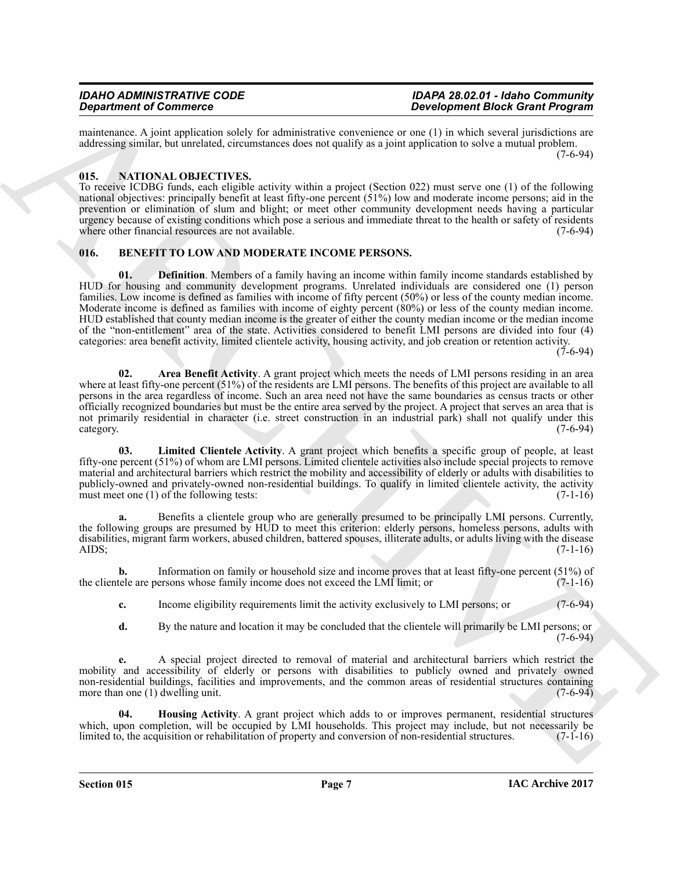maintenance. A joint application solely for administrative convenience or one (1) in which several jurisdictions are addressing similar, but unrelated, circumstances does not qualify as a joint application to solve a mutual problem. (7-6-94)

# <span id="page-6-7"></span><span id="page-6-0"></span>**015. NATIONAL OBJECTIVES.**

To receive ICDBG funds, each eligible activity within a project (Section 022) must serve one (1) of the following national objectives: principally benefit at least fifty-one percent  $(51%)$  low and moderate income persons; aid in the prevention or elimination of slum and blight; or meet other community development needs having a particular urgency because of existing conditions which pose a serious and immediate threat to the health or safety of residents where other financial resources are not available. (7-6-94)

# <span id="page-6-4"></span><span id="page-6-2"></span><span id="page-6-1"></span>**016. BENEFIT TO LOW AND MODERATE INCOME PERSONS.**

**Experimente of Construction** and the state interaction of the state interaction of the state interaction of the state interaction of the state interaction of the state interaction of the state interaction of the state in **01. Definition**. Members of a family having an income within family income standards established by HUD for housing and community development programs. Unrelated individuals are considered one (1) person families. Low income is defined as families with income of fifty percent (50%) or less of the county median income. Moderate income is defined as families with income of eighty percent (80%) or less of the county median income. HUD established that county median income is the greater of either the county median income or the median income of the "non-entitlement" area of the state. Activities considered to benefit LMI persons are divided into four (4) categories: area benefit activity, limited clientele activity, housing activity, and job creation or retention activity.

(7-6-94)

<span id="page-6-3"></span>**02. Area Benefit Activity**. A grant project which meets the needs of LMI persons residing in an area where at least fifty-one percent (51%) of the residents are LMI persons. The benefits of this project are available to all persons in the area regardless of income. Such an area need not have the same boundaries as census tracts or other officially recognized boundaries but must be the entire area served by the project. A project that serves an area that is not primarily residential in character (i.e. street construction in an industrial park) shall not qualify under this category. (7-6-94) category. (7-6-94)

<span id="page-6-6"></span>**03. Limited Clientele Activity**. A grant project which benefits a specific group of people, at least fifty-one percent (51%) of whom are LMI persons. Limited clientele activities also include special projects to remove material and architectural barriers which restrict the mobility and accessibility of elderly or adults with disabilities to publicly-owned and privately-owned non-residential buildings. To qualify in limited clientele activity, the activity must meet one (1) of the following tests: (7-1-16)

**a.** Benefits a clientele group who are generally presumed to be principally LMI persons. Currently, the following groups are presumed by HUD to meet this criterion: elderly persons, homeless persons, adults with disabilities, migrant farm workers, abused children, battered spouses, illiterate adults, or adults living with the disease AIDS;  $(7-1-16)$ 

**b.** Information on family or household size and income proves that at least fifty-one percent (51%) of tele are persons whose family income does not exceed the LMI limit; or (7-1-16) the clientele are persons whose family income does not exceed the LMI limit; or

**c.** Income eligibility requirements limit the activity exclusively to LMI persons; or (7-6-94)

**d.** By the nature and location it may be concluded that the clientele will primarily be LMI persons; or  $(7-6-94)$ 

**e.** A special project directed to removal of material and architectural barriers which restrict the mobility and accessibility of elderly or persons with disabilities to publicly owned and privately owned non-residential buildings, facilities and improvements, and the common areas of residential structures containing more than one (1) dwelling unit. (7-6-94)

<span id="page-6-5"></span>**04. Housing Activity**. A grant project which adds to or improves permanent, residential structures which, upon completion, will be occupied by LMI households. This project may include, but not necessarily be limited to, the acquisition or rehabilitation of property and conversion of non-residential structures.  $(7-1-16$ limited to, the acquisition or rehabilitation of property and conversion of non-residential structures.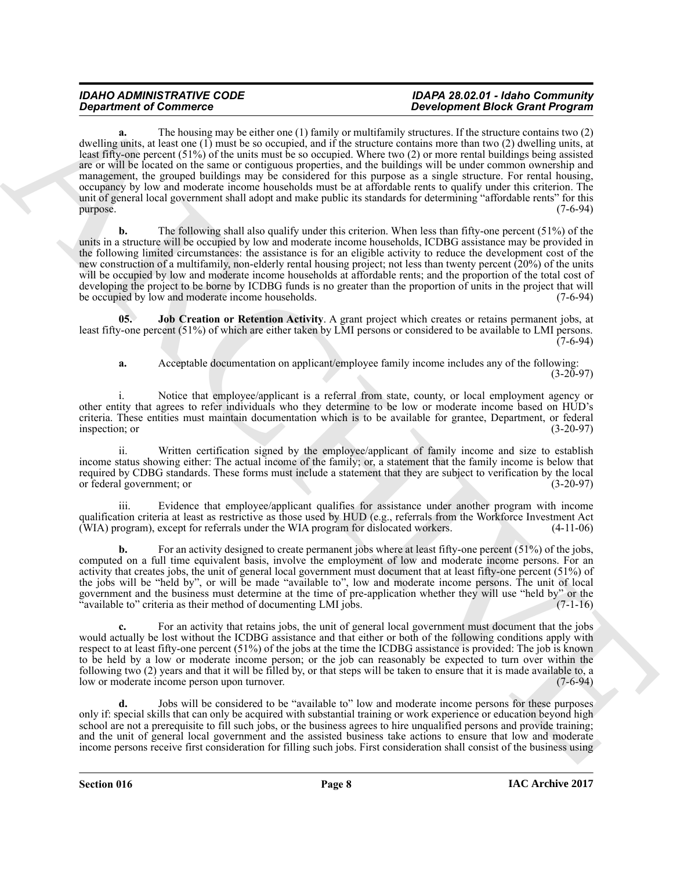**Expansion of Commute con-**<br> **ARCHIVE COMPARTIES** And the state of the state of the state of the state of the state of the state of the state of the state of the state of the state of the state of the state of the state o **a.** The housing may be either one (1) family or multifamily structures. If the structure contains two (2) dwelling units, at least one (1) must be so occupied, and if the structure contains more than two (2) dwelling units, at least fifty-one percent (51%) of the units must be so occupied. Where two (2) or more rental buildings being assisted are or will be located on the same or contiguous properties, and the buildings will be under common ownership and management, the grouped buildings may be considered for this purpose as a single structure. For rental housing, occupancy by low and moderate income households must be at affordable rents to qualify under this criterion. The unit of general local government shall adopt and make public its standards for determining "affordable rents" for this  $p$ urpose. (7-6-94)

**b.** The following shall also qualify under this criterion. When less than fifty-one percent (51%) of the units in a structure will be occupied by low and moderate income households, ICDBG assistance may be provided in the following limited circumstances: the assistance is for an eligible activity to reduce the development cost of the new construction of a multifamily, non-elderly rental housing project; not less than twenty percent (20%) of the units will be occupied by low and moderate income households at affordable rents; and the proportion of the total cost of developing the project to be borne by ICDBG funds is no greater than the proportion of units in the project that will be occupied by low and moderate income households. (7-6-94)

**05. Job Creation or Retention Activity**. A grant project which creates or retains permanent jobs, at least fifty-one percent (51%) of which are either taken by LMI persons or considered to be available to LMI persons.  $(7-6-94)$ 

<span id="page-7-0"></span>**a.** Acceptable documentation on applicant/employee family income includes any of the following:  $(3-20-97)$ 

Notice that employee/applicant is a referral from state, county, or local employment agency or other entity that agrees to refer individuals who they determine to be low or moderate income based on HUD's criteria. These entities must maintain documentation which is to be available for grantee, Department, or federal inspection; or (3-20-97)

ii. Written certification signed by the employee/applicant of family income and size to establish income status showing either: The actual income of the family; or, a statement that the family income is below that required by CDBG standards. These forms must include a statement that they are subject to verification by the local or federal government; or (3-20-97)

iii. Evidence that employee/applicant qualifies for assistance under another program with income qualification criteria at least as restrictive as those used by HUD (e.g., referrals from the Workforce Investment Act (WIA) program), except for referrals under the WIA program for dislocated workers. (4-11-06)

For an activity designed to create permanent jobs where at least fifty-one percent (51%) of the jobs, computed on a full time equivalent basis, involve the employment of low and moderate income persons. For an activity that creates jobs, the unit of general local government must document that at least fifty-one percent (51%) of the jobs will be "held by", or will be made "available to", low and moderate income persons. The unit of local government and the business must determine at the time of pre-application whether they will use "held by" or the "available to" criteria as their method of documenting LMI jobs. (7-1-16)

**c.** For an activity that retains jobs, the unit of general local government must document that the jobs would actually be lost without the ICDBG assistance and that either or both of the following conditions apply with respect to at least fifty-one percent (51%) of the jobs at the time the ICDBG assistance is provided: The job is known to be held by a low or moderate income person; or the job can reasonably be expected to turn over within the following two (2) years and that it will be filled by, or that steps will be taken to ensure that it is made available to, a low or moderate income person upon turnover.

**d.** Jobs will be considered to be "available to" low and moderate income persons for these purposes only if: special skills that can only be acquired with substantial training or work experience or education beyond high school are not a prerequisite to fill such jobs, or the business agrees to hire unqualified persons and provide training; and the unit of general local government and the assisted business take actions to ensure that low and moderate income persons receive first consideration for filling such jobs. First consideration shall consist of the business using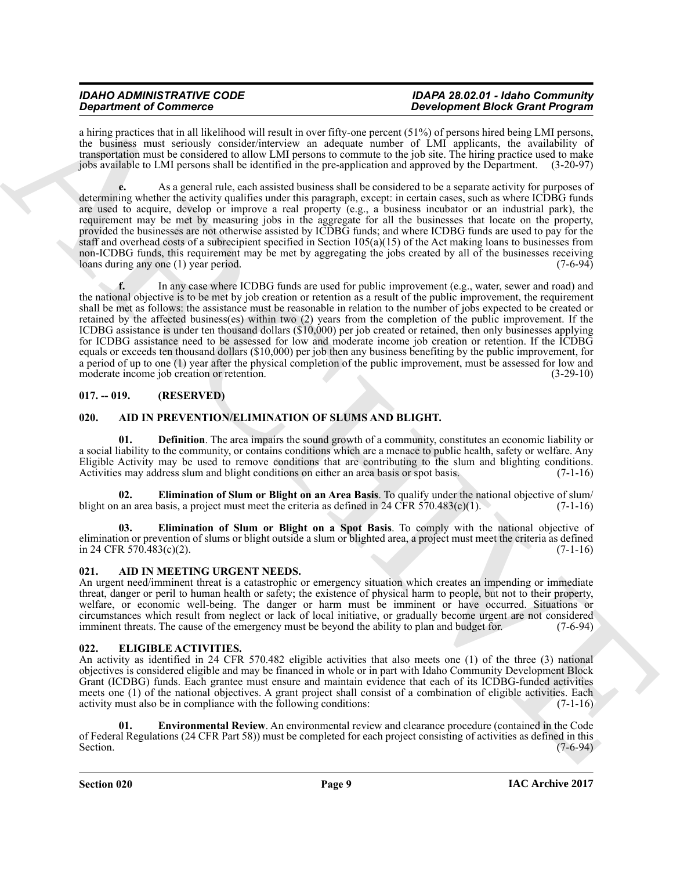# *IDAHO ADMINISTRATIVE CODE IDAPA 28.02.01 - Idaho Community*

# *Development Block Grant Program*

a hiring practices that in all likelihood will result in over fifty-one percent (51%) of persons hired being LMI persons, the business must seriously consider/interview an adequate number of LMI applicants, the availability of transportation must be considered to allow LMI persons to commute to the job site. The hiring practice used to make jobs available to LMI persons shall be identified in the pre-application and approved by the Department. (3-20-97)

**e.** As a general rule, each assisted business shall be considered to be a separate activity for purposes of determining whether the activity qualifies under this paragraph, except: in certain cases, such as where ICDBG funds are used to acquire, develop or improve a real property (e.g., a business incubator or an industrial park), the requirement may be met by measuring jobs in the aggregate for all the businesses that locate on the property, provided the businesses are not otherwise assisted by ICDBG funds; and where ICDBG funds are used to pay for the staff and overhead costs of a subrecipient specified in Section  $105(a)(15)$  of the Act making loans to businesses from non-ICDBG funds, this requirement may be met by aggregating the jobs created by all of the businesses receiving<br>loans during any one (1) year period. (7-6-94) loans during any one  $(1)$  year period.

*Gradrian of Contrast entity of European Contrast entities of European Contrast entities of European Contrast entities of European Contrast entities of European Contrast entities of European Contrast entities of European* **f.** In any case where ICDBG funds are used for public improvement (e.g., water, sewer and road) and the national objective is to be met by job creation or retention as a result of the public improvement, the requirement shall be met as follows: the assistance must be reasonable in relation to the number of jobs expected to be created or retained by the affected business(es) within two (2) years from the completion of the public improvement. If the ICDBG assistance is under ten thousand dollars (\$10,000) per job created or retained, then only businesses applying for ICDBG assistance need to be assessed for low and moderate income job creation or retention. If the ICDBG equals or exceeds ten thousand dollars (\$10,000) per job then any business benefiting by the public improvement, for a period of up to one (1) year after the physical completion of the public improvement, must be assessed for low and moderate income job creation or retention. (3-29-10) moderate income job creation or retention.

# <span id="page-8-0"></span>**017. -- 019. (RESERVED)**

# <span id="page-8-5"></span><span id="page-8-1"></span>**020. AID IN PREVENTION/ELIMINATION OF SLUMS AND BLIGHT.**

<span id="page-8-6"></span>**01. Definition**. The area impairs the sound growth of a community, constitutes an economic liability or a social liability to the community, or contains conditions which are a menace to public health, safety or welfare. Any Eligible Activity may be used to remove conditions that are contributing to the slum and blighting conditions.<br>Activities may address slum and blight conditions on either an area basis or spot basis. (7-1-16) Activities may address slum and blight conditions on either an area basis or spot basis.

<span id="page-8-8"></span>**02. Elimination of Slum or Blight on an Area Basis**. To qualify under the national objective of slum/ an area basis, a project must meet the criteria as defined in 24 CFR 570.483(c)(1). (7-1-16) blight on an area basis, a project must meet the criteria as defined in 24 CFR  $570.483(c)(1)$ .

<span id="page-8-7"></span>**03. Elimination of Slum or Blight on a Spot Basis**. To comply with the national objective of elimination or prevention of slums or blight outside a slum or blighted area, a project must meet the criteria as defined  $\text{in } 24 \text{ CFR } 570.483 \text{ (c)} \tag{7-1-16}$ 

# <span id="page-8-4"></span><span id="page-8-2"></span>**021. AID IN MEETING URGENT NEEDS.**

An urgent need/imminent threat is a catastrophic or emergency situation which creates an impending or immediate threat, danger or peril to human health or safety; the existence of physical harm to people, but not to their property, welfare, or economic well-being. The danger or harm must be imminent or have occurred. Situations or circumstances which result from neglect or lack of local initiative, or gradually become urgent are not considered imminent threats. The cause of the emergency must be beyond the ability to plan and budget for.

# <span id="page-8-9"></span><span id="page-8-3"></span>**022. ELIGIBLE ACTIVITIES.**

An activity as identified in 24 CFR 570.482 eligible activities that also meets one (1) of the three (3) national objectives is considered eligible and may be financed in whole or in part with Idaho Community Development Block Grant (ICDBG) funds. Each grantee must ensure and maintain evidence that each of its ICDBG-funded activities meets one (1) of the national objectives. A grant project shall consist of a combination of eligible activities. Each activity must also be in compliance with the following conditions: (7-1-16) activity must also be in compliance with the following conditions:

<span id="page-8-10"></span>**01. Environmental Review**. An environmental review and clearance procedure (contained in the Code of Federal Regulations (24 CFR Part 58)) must be completed for each project consisting of activities as defined in this Section. Section.  $(7-6-94)$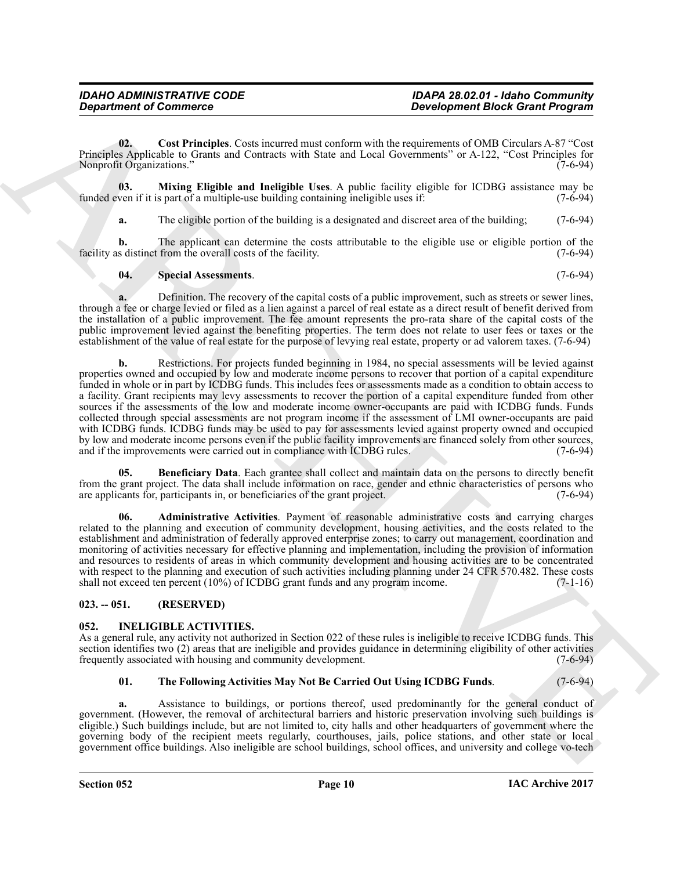<span id="page-9-4"></span>**02. Cost Principles**. Costs incurred must conform with the requirements of OMB Circulars A-87 "Cost Principles Applicable to Grants and Contracts with State and Local Governments" or A-122, "Cost Principles for Nonprofit Organizations."

**03. Mixing Eligible and Ineligible Uses**. A public facility eligible for ICDBG assistance may be ven if it is part of a multiple-use building containing ineligible uses if: (7-6-94) funded even if it is part of a multiple-use building containing ineligible uses if:

<span id="page-9-5"></span>**a.** The eligible portion of the building is a designated and discreet area of the building; (7-6-94)

**b.** The applicant can determine the costs attributable to the eligible use or eligible portion of the s distinct from the overall costs of the facility. (7-6-94) facility as distinct from the overall costs of the facility.

# <span id="page-9-6"></span>**04. Special Assessments**. (7-6-94)

**a.** Definition. The recovery of the capital costs of a public improvement, such as streets or sewer lines, through a fee or charge levied or filed as a lien against a parcel of real estate as a direct result of benefit derived from the installation of a public improvement. The fee amount represents the pro-rata share of the capital costs of the public improvement levied against the benefiting properties. The term does not relate to user fees or taxes or the establishment of the value of real estate for the purpose of levying real estate, property or ad valorem taxes. (7-6-94)

**Department of Commission**<br> **Beaching the Commission Constrainer Commission and the proposition of the Commission Constrainer Commission Commission Constrainer Commission Commission Commission Commission Commission Commis b.** Restrictions. For projects funded beginning in 1984, no special assessments will be levied against properties owned and occupied by low and moderate income persons to recover that portion of a capital expenditure funded in whole or in part by ICDBG funds. This includes fees or assessments made as a condition to obtain access to a facility. Grant recipients may levy assessments to recover the portion of a capital expenditure funded from other sources if the assessments of the low and moderate income owner-occupants are paid with ICDBG funds. Funds collected through special assessments are not program income if the assessment of LMI owner-occupants are paid with ICDBG funds. ICDBG funds may be used to pay for assessments levied against property owned and occupied by low and moderate income persons even if the public facility improvements are financed solely from other sources, and if the improvements were carried out in compliance with ICDBG rules. (7-6-94)

<span id="page-9-3"></span>**05. Beneficiary Data**. Each grantee shall collect and maintain data on the persons to directly benefit from the grant project. The data shall include information on race, gender and ethnic characteristics of persons who are applicants for, participants in, or beneficiaries of the grant project. (7-6-94)

<span id="page-9-2"></span>**06. Administrative Activities**. Payment of reasonable administrative costs and carrying charges related to the planning and execution of community development, housing activities, and the costs related to the establishment and administration of federally approved enterprise zones; to carry out management, coordination and monitoring of activities necessary for effective planning and implementation, including the provision of information and resources to residents of areas in which community development and housing activities are to be concentrated with respect to the planning and execution of such activities including planning under 24 CFR 570.482. These costs shall not exceed ten percent (10%) of ICDBG grant funds and any program income. (7-1-16)

# <span id="page-9-0"></span>**023. -- 051. (RESERVED)**

# <span id="page-9-7"></span><span id="page-9-1"></span>**052. INELIGIBLE ACTIVITIES.**

As a general rule, any activity not authorized in Section 022 of these rules is ineligible to receive ICDBG funds. This section identifies two (2) areas that are ineligible and provides guidance in determining eligibility of other activities frequently associated with housing and community development. (7-6-94) frequently associated with housing and community development.

# <span id="page-9-8"></span>**01. The Following Activities May Not Be Carried Out Using ICDBG Funds**. (7-6-94)

**a.** Assistance to buildings, or portions thereof, used predominantly for the general conduct of government. (However, the removal of architectural barriers and historic preservation involving such buildings is eligible.) Such buildings include, but are not limited to, city halls and other headquarters of government where the governing body of the recipient meets regularly, courthouses, jails, police stations, and other state or local government office buildings. Also ineligible are school buildings, school offices, and university and college vo-tech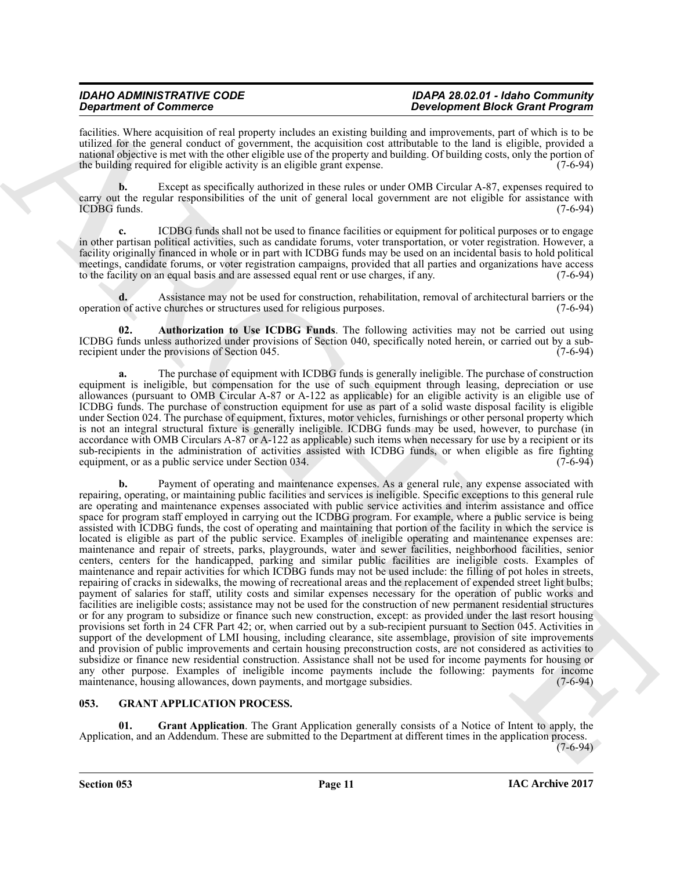facilities. Where acquisition of real property includes an existing building and improvements, part of which is to be utilized for the general conduct of government, the acquisition cost attributable to the land is eligible, provided a national objective is met with the other eligible use of the property and building. Of building costs, only the portion of the building required for eligible activity is an eligible grant expense. (7-6-94)

**b.** Except as specifically authorized in these rules or under OMB Circular A-87, expenses required to carry out the regular responsibilities of the unit of general local government are not eligible for assistance with ICDBG funds. (7-6-94) ICDBG funds. (7-6-94)

**c.** ICDBG funds shall not be used to finance facilities or equipment for political purposes or to engage in other partisan political activities, such as candidate forums, voter transportation, or voter registration. However, a facility originally financed in whole or in part with ICDBG funds may be used on an incidental basis to hold political meetings, candidate forums, or voter registration campaigns, provided that all parties and organizations have access<br>to the facility on an equal basis and are assessed equal rent or use charges, if any. (7-6-94) to the facility on an equal basis and are assessed equal rent or use charges, if any.

**d.** Assistance may not be used for construction, rehabilitation, removal of architectural barriers or the 1 of active churches or structures used for religious purposes. (7-6-94) operation of active churches or structures used for religious purposes.

<span id="page-10-3"></span>**02. Authorization to Use ICDBG Funds**. The following activities may not be carried out using ICDBG funds unless authorized under provisions of Section 040, specifically noted herein, or carried out by a sub-<br>recipient under the provisions of Section 045. (7-6-94) recipient under the provisions of Section 045.

**a.** The purchase of equipment with ICDBG funds is generally ineligible. The purchase of construction equipment is ineligible, but compensation for the use of such equipment through leasing, depreciation or use allowances (pursuant to OMB Circular A-87 or A-122 as applicable) for an eligible activity is an eligible use of ICDBG funds. The purchase of construction equipment for use as part of a solid waste disposal facility is eligible under Section 024. The purchase of equipment, fixtures, motor vehicles, furnishings or other personal property which is not an integral structural fixture is generally ineligible. ICDBG funds may be used, however, to purchase (in accordance with OMB Circulars A-87 or A-122 as applicable) such items when necessary for use by a recipient or its sub-recipients in the administration of activities assisted with ICDBG funds, or when eligible as fire fighting equipment or as a public service under Section 034. equipment, or as a public service under Section 034.

**Experiment of Construction 11 and the system in the system in Eq. (a)**  $\frac{1}{2}$  **and**  $\frac{1}{2}$  **and**  $\frac{1}{2}$  **and**  $\frac{1}{2}$  **and**  $\frac{1}{2}$  **and**  $\frac{1}{2}$  **and**  $\frac{1}{2}$  **and**  $\frac{1}{2}$  **and**  $\frac{1}{2}$  **and**  $\frac{1}{2}$  **and**  $\frac{1}{2}$ Payment of operating and maintenance expenses. As a general rule, any expense associated with repairing, operating, or maintaining public facilities and services is ineligible. Specific exceptions to this general rule are operating and maintenance expenses associated with public service activities and interim assistance and office space for program staff employed in carrying out the ICDBG program. For example, where a public service is being assisted with ICDBG funds, the cost of operating and maintaining that portion of the facility in which the service is located is eligible as part of the public service. Examples of ineligible operating and maintenance expenses are: maintenance and repair of streets, parks, playgrounds, water and sewer facilities, neighborhood facilities, senior centers, centers for the handicapped, parking and similar public facilities are ineligible costs. Examples of maintenance and repair activities for which ICDBG funds may not be used include: the filling of pot holes in streets, repairing of cracks in sidewalks, the mowing of recreational areas and the replacement of expended street light bulbs; payment of salaries for staff, utility costs and similar expenses necessary for the operation of public works and facilities are ineligible costs; assistance may not be used for the construction of new permanent residential structures or for any program to subsidize or finance such new construction, except: as provided under the last resort housing provisions set forth in 24 CFR Part 42; or, when carried out by a sub-recipient pursuant to Section 045. Activities in support of the development of LMI housing, including clearance, site assemblage, provision of site improvements and provision of public improvements and certain housing preconstruction costs, are not considered as activities to subsidize or finance new residential construction. Assistance shall not be used for income payments for housing or any other purpose. Examples of ineligible income payments include the following: payments for income maintenance, housing allowances, down payments, and mortgage subsidies. (7-6-94) maintenance, housing allowances, down payments, and mortgage subsidies.

# <span id="page-10-1"></span><span id="page-10-0"></span>**053. GRANT APPLICATION PROCESS.**

<span id="page-10-2"></span>**01. Grant Application**. The Grant Application generally consists of a Notice of Intent to apply, the Application, and an Addendum. These are submitted to the Department at different times in the application process.

 $(7-6-94)$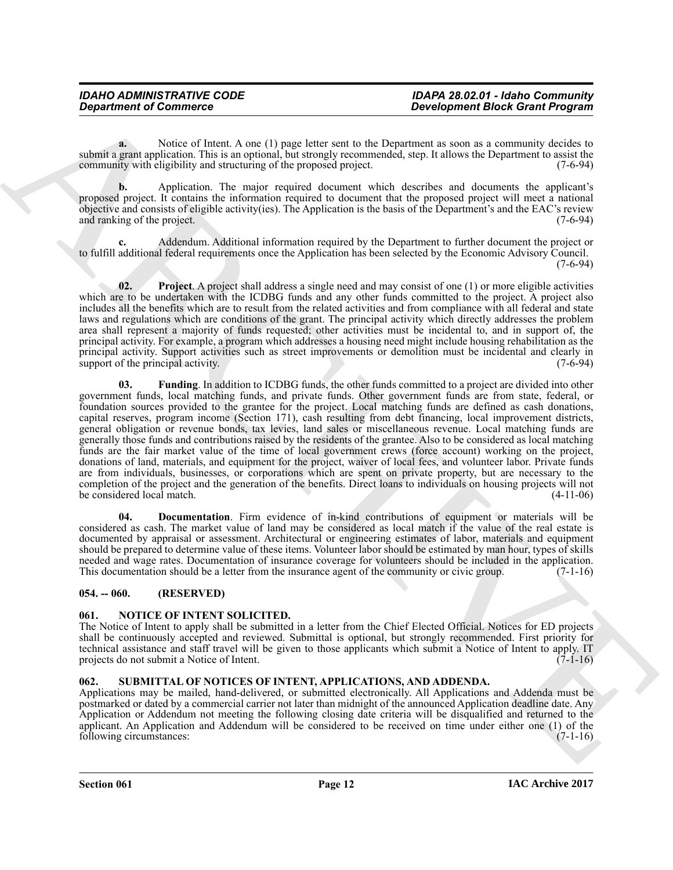**a.** Notice of Intent. A one (1) page letter sent to the Department as soon as a community decides to submit a grant application. This is an optional, but strongly recommended, step. It allows the Department to assist the community with eligibility and structuring of the proposed project. (7-6-94) community with eligibility and structuring of the proposed project.

**b.** Application. The major required document which describes and documents the applicant's proposed project. It contains the information required to document that the proposed project will meet a national objective and consists of eligible activity(ies). The Application is the basis of the Department's and the EAC's review and ranking of the project. (7-6-94)

**c.** Addendum. Additional information required by the Department to further document the project or to fulfill additional federal requirements once the Application has been selected by the Economic Advisory Council.  $(7-6-94)$ 

<span id="page-11-5"></span><span id="page-11-4"></span>**02.** Project. A project shall address a single need and may consist of one (1) or more eligible activities which are to be undertaken with the ICDBG funds and any other funds committed to the project. A project also includes all the benefits which are to result from the related activities and from compliance with all federal and state laws and regulations which are conditions of the grant. The principal activity which directly addresses the problem area shall represent a majority of funds requested; other activities must be incidental to, and in support of, the principal activity. For example, a program which addresses a housing need might include housing rehabilitation as the principal activity. Support activities such as street improvements or demolition must be incidental and clearly in support of the principal activity. (7-6-94) support of the principal activity.

**Department of Commune Cases and Architecture in the Communistan and the Communistan and the Communistan and Architecture in the Communistan and the Communistan and the Communistan and the Communistan and the Communistan 03. Funding**. In addition to ICDBG funds, the other funds committed to a project are divided into other government funds, local matching funds, and private funds. Other government funds are from state, federal, or foundation sources provided to the grantee for the project. Local matching funds are defined as cash donations, capital reserves, program income (Section 171), cash resulting from debt financing, local improvement districts, general obligation or revenue bonds, tax levies, land sales or miscellaneous revenue. Local matching funds are generally those funds and contributions raised by the residents of the grantee. Also to be considered as local matching funds are the fair market value of the time of local government crews (force account) working on the project, donations of land, materials, and equipment for the project, waiver of local fees, and volunteer labor. Private funds are from individuals, businesses, or corporations which are spent on private property, but are necessary to the completion of the project and the generation of the benefits. Direct loans to individuals on housing projects will not be considered local match. (4-11-06)

<span id="page-11-3"></span>**04. Documentation**. Firm evidence of in-kind contributions of equipment or materials will be considered as cash. The market value of land may be considered as local match if the value of the real estate is documented by appraisal or assessment. Architectural or engineering estimates of labor, materials and equipment should be prepared to determine value of these items. Volunteer labor should be estimated by man hour, types of skills needed and wage rates. Documentation of insurance coverage for volunteers should be included in the application.<br>This documentation should be a letter from the insurance agent of the community or civic group. (7-1-16) This documentation should be a letter from the insurance agent of the community or civic group.

# <span id="page-11-0"></span>**054. -- 060. (RESERVED)**

# <span id="page-11-6"></span><span id="page-11-1"></span>**061. NOTICE OF INTENT SOLICITED.**

The Notice of Intent to apply shall be submitted in a letter from the Chief Elected Official. Notices for ED projects shall be continuously accepted and reviewed. Submittal is optional, but strongly recommended. First priority for technical assistance and staff travel will be given to those applicants which submit a Notice of Intent to apply. IT projects do not submit a Notice of Intent.  $(7-1-16)$ 

# <span id="page-11-7"></span><span id="page-11-2"></span>**062. SUBMITTAL OF NOTICES OF INTENT, APPLICATIONS, AND ADDENDA.**

Applications may be mailed, hand-delivered, or submitted electronically. All Applications and Addenda must be postmarked or dated by a commercial carrier not later than midnight of the announced Application deadline date. Any Application or Addendum not meeting the following closing date criteria will be disqualified and returned to the applicant. An Application and Addendum will be considered to be received on time under either one (1) of the following circumstances:  $(7-1-16)$ following circumstances: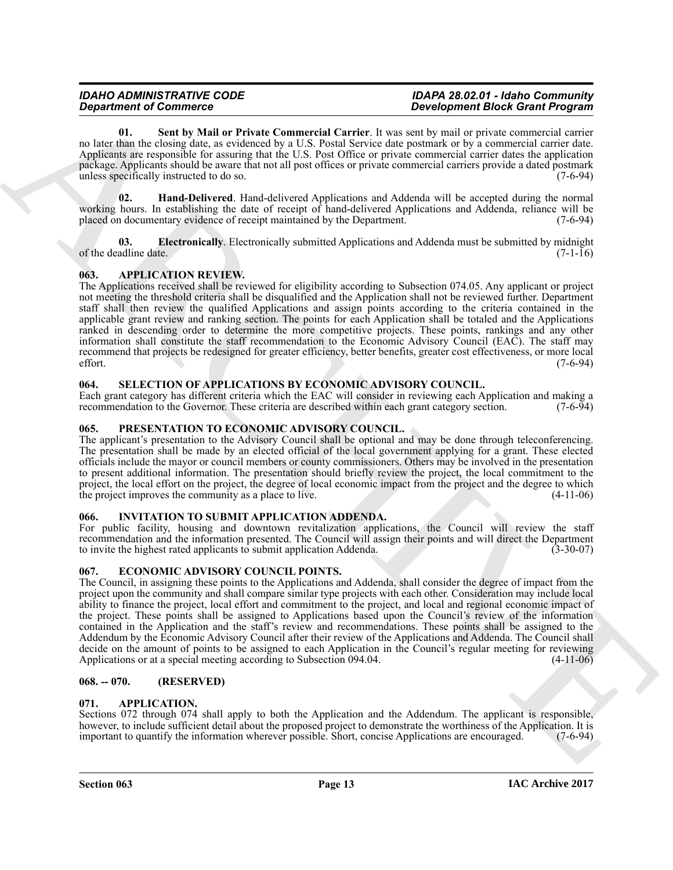<span id="page-12-15"></span>**01. Sent by Mail or Private Commercial Carrier**. It was sent by mail or private commercial carrier no later than the closing date, as evidenced by a U.S. Postal Service date postmark or by a commercial carrier date. Applicants are responsible for assuring that the U.S. Post Office or private commercial carrier dates the application package. Applicants should be aware that not all post offices or private commercial carriers provide a dated postmark unless specifically instructed to do so. (7-6-94)

<span id="page-12-14"></span>**02. Hand-Delivered**. Hand-delivered Applications and Addenda will be accepted during the normal working hours. In establishing the date of receipt of hand-delivered Applications and Addenda, reliance will be placed on documentary evidence of receipt maintained by the Department. (7-6-94)

<span id="page-12-13"></span>**03. Electronically**. Electronically submitted Applications and Addenda must be submitted by midnight adline date. (7-1-16) of the deadline date.

# <span id="page-12-7"></span><span id="page-12-0"></span>**063. APPLICATION REVIEW.**

*Department Geometry Comparison Comparison Comparison Distribution Comparison Comparison Comparison Comparison Comparison Comparison Comparison Comparison Comparison Comparison Comparison Comparison Comparison Comparison* The Applications received shall be reviewed for eligibility according to Subsection 074.05. Any applicant or project not meeting the threshold criteria shall be disqualified and the Application shall not be reviewed further. Department staff shall then review the qualified Applications and assign points according to the criteria contained in the applicable grant review and ranking section. The points for each Application shall be totaled and the Applications ranked in descending order to determine the more competitive projects. These points, rankings and any other information shall constitute the staff recommendation to the Economic Advisory Council (EAC). The staff may recommend that projects be redesigned for greater efficiency, better benefits, greater cost effectiveness, or more local effort. (7-6-94)

# <span id="page-12-12"></span><span id="page-12-1"></span>**064. SELECTION OF APPLICATIONS BY ECONOMIC ADVISORY COUNCIL.**

Each grant category has different criteria which the EAC will consider in reviewing each Application and making a recommendation to the Governor. These criteria are described within each grant category section. (7-6-94) recommendation to the Governor. These criteria are described within each grant category section.

# <span id="page-12-11"></span><span id="page-12-2"></span>**065. PRESENTATION TO ECONOMIC ADVISORY COUNCIL.**

The applicant's presentation to the Advisory Council shall be optional and may be done through teleconferencing. The presentation shall be made by an elected official of the local government applying for a grant. These elected officials include the mayor or council members or county commissioners. Others may be involved in the presentation to present additional information. The presentation should briefly review the project, the local commitment to the project, the local effort on the project, the degree of local economic impact from the project and the degree to which the project improves the community as a place to live. (4-11-06)

# <span id="page-12-10"></span><span id="page-12-3"></span>**066. INVITATION TO SUBMIT APPLICATION ADDENDA.**

For public facility, housing and downtown revitalization applications, the Council will review the staff recommendation and the information presented. The Council will assign their points and will direct the Department to invite the highest rated applicants to submit application Addenda. (3-30-07)

# <span id="page-12-9"></span><span id="page-12-4"></span>**067. ECONOMIC ADVISORY COUNCIL POINTS.**

The Council, in assigning these points to the Applications and Addenda, shall consider the degree of impact from the project upon the community and shall compare similar type projects with each other. Consideration may include local ability to finance the project, local effort and commitment to the project, and local and regional economic impact of the project. These points shall be assigned to Applications based upon the Council's review of the information contained in the Application and the staff's review and recommendations. These points shall be assigned to the Addendum by the Economic Advisory Council after their review of the Applications and Addenda. The Council shall decide on the amount of points to be assigned to each Application in the Council's regular meeting for reviewing Applications or at a special meeting according to Subsection 094.04.

# <span id="page-12-5"></span>**068. -- 070. (RESERVED)**

# <span id="page-12-8"></span><span id="page-12-6"></span>**071. APPLICATION.**

Sections 072 through 074 shall apply to both the Application and the Addendum. The applicant is responsible, however, to include sufficient detail about the proposed project to demonstrate the worthiness of the Application. It is important to quantify the information wherever possible. Short, concise Applications are encouraged. important to quantify the information wherever possible. Short, concise Applications are encouraged.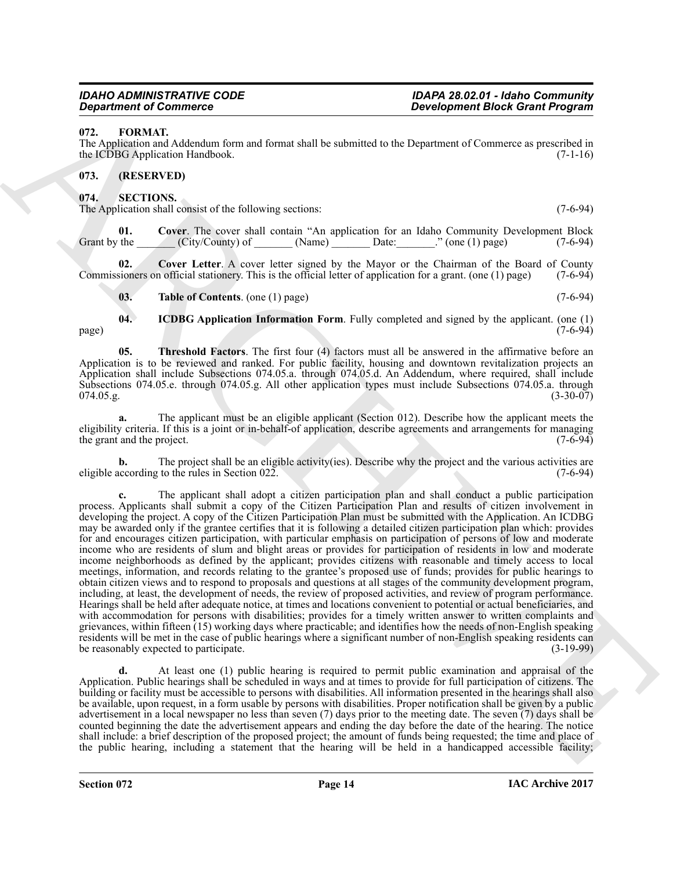# <span id="page-13-3"></span><span id="page-13-0"></span>**072. FORMAT.**

The Application and Addendum form and format shall be submitted to the Department of Commerce as prescribed in the ICDBG Application Handbook. (7-1-16)

# <span id="page-13-1"></span>**073. (RESERVED)**

<span id="page-13-4"></span><span id="page-13-2"></span>**074. SECTIONS.**

<span id="page-13-5"></span>The Application shall consist of the following sections: (7-6-94)

**01.** Cover. The cover shall contain "An application for an Idaho Community Development Block Grant by the (City/County) of (Name) Date: " (one (1) page) (7-6-94) Grant by the  $\text{City/Country}$  of  $\blacksquare$  (Name)  $\blacksquare$  Date:  $\blacksquare$  (one (1) page)

**02.** Cover Letter. A cover letter signed by the Mayor or the Chairman of the Board of County signers on official stationery. This is the official letter of application for a grant. (one (1) page) (7-6-94) Commissioners on official stationery. This is the official letter of application for a grant. (one  $(1)$  page)

<span id="page-13-9"></span><span id="page-13-8"></span><span id="page-13-7"></span><span id="page-13-6"></span>**03.** Table of Contents. (one (1) page) (7-6-94)

**04. ICDBG Application Information Form**. Fully completed and signed by the applicant. (one (1) page) (7-6-94)

**05. Threshold Factors**. The first four (4) factors must all be answered in the affirmative before an Application is to be reviewed and ranked. For public facility, housing and downtown revitalization projects an Application shall include Subsections 074.05.a. through 074.05.d. An Addendum, where required, shall include Subsections 074.05.e. through 074.05.g. All other application types must include Subsections 074.05.a. through  $074.05.g.$  (3-30-07)

**a.** The applicant must be an eligible applicant (Section 012). Describe how the applicant meets the eligibility criteria. If this is a joint or in-behalf-of application, describe agreements and arrangements for managing the grant and the project. (7-6-94) the grant and the project.

**b.** The project shall be an eligible activity(ies). Describe why the project and the various activities are according to the rules in Section 022. eligible according to the rules in Section  $022$ .

**Example for Construction**<br> **Example 2011**<br> **EXAMPLE 2014 The space of the space of the space of the space of the space of the space of the space of the space of the space of the space of the space of the space of the spa c.** The applicant shall adopt a citizen participation plan and shall conduct a public participation process. Applicants shall submit a copy of the Citizen Participation Plan and results of citizen involvement in developing the project. A copy of the Citizen Participation Plan must be submitted with the Application. An ICDBG may be awarded only if the grantee certifies that it is following a detailed citizen participation plan which: provides for and encourages citizen participation, with particular emphasis on participation of persons of low and moderate income who are residents of slum and blight areas or provides for participation of residents in low and moderate income neighborhoods as defined by the applicant; provides citizens with reasonable and timely access to local meetings, information, and records relating to the grantee's proposed use of funds; provides for public hearings to obtain citizen views and to respond to proposals and questions at all stages of the community development program, including, at least, the development of needs, the review of proposed activities, and review of program performance. Hearings shall be held after adequate notice, at times and locations convenient to potential or actual beneficiaries, and with accommodation for persons with disabilities; provides for a timely written answer to written complaints and grievances, within fifteen (15) working days where practicable; and identifies how the needs of non-English speaking residents will be met in the case of public hearings where a significant number of non-English speaking residents can be reasonably expected to participate. (3-19-99)

**d.** At least one (1) public hearing is required to permit public examination and appraisal of the Application. Public hearings shall be scheduled in ways and at times to provide for full participation of citizens. The building or facility must be accessible to persons with disabilities. All information presented in the hearings shall also be available, upon request, in a form usable by persons with disabilities. Proper notification shall be given by a public advertisement in a local newspaper no less than seven (7) days prior to the meeting date. The seven (7) days shall be counted beginning the date the advertisement appears and ending the day before the date of the hearing. The notice shall include: a brief description of the proposed project; the amount of funds being requested; the time and place of the public hearing, including a statement that the hearing will be held in a handicapped accessible facility;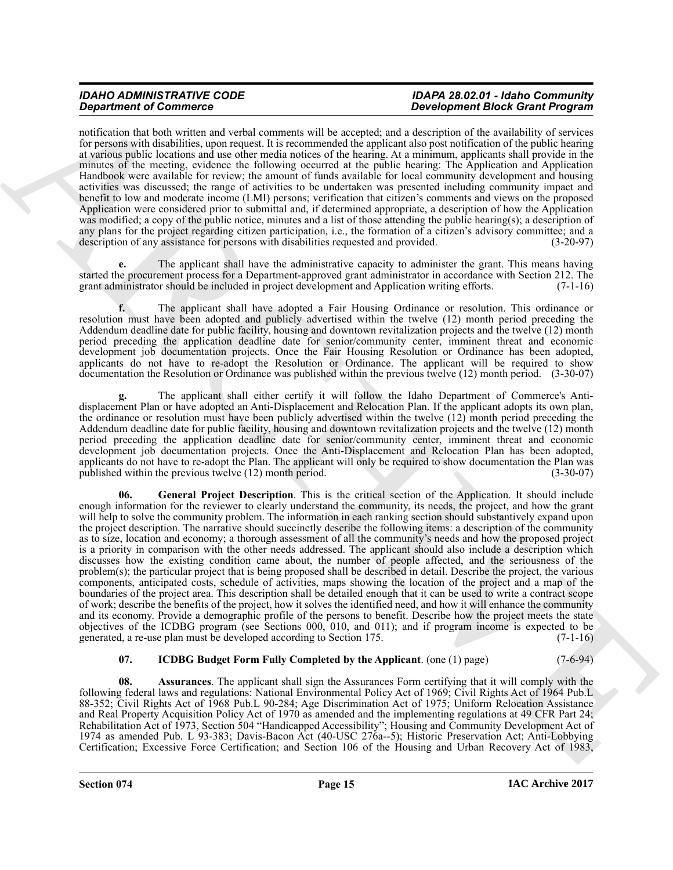notification that both written and verbal comments will be accepted; and a description of the availability of services for persons with disabilities, upon request. It is recommended the applicant also post notification of the public hearing at various public locations and use other media notices of the hearing. At a minimum, applicants shall provide in the minutes of the meeting, evidence the following occurred at the public hearing: The Application and Application Handbook were available for review; the amount of funds available for local community development and housing activities was discussed; the range of activities to be undertaken was presented including community impact and benefit to low and moderate income (LMI) persons; verification that citizen's comments and views on the proposed Application were considered prior to submittal and, if determined appropriate, a description of how the Application was modified; a copy of the public notice, minutes and a list of those attending the public hearing(s); a description of any plans for the project regarding citizen participation, i.e., the formation of a citizen's advisory committee; and a description of any assistance for persons with disabilities requested and provided. (3-20-97) description of any assistance for persons with disabilities requested and provided.

**e.** The applicant shall have the administrative capacity to administer the grant. This means having started the procurement process for a Department-approved grant administrator in accordance with Section 212. The grant administrator should be included in project development and Application writing efforts. (7-1-16)

**f.** The applicant shall have adopted a Fair Housing Ordinance or resolution. This ordinance or resolution must have been adopted and publicly advertised within the twelve (12) month period preceding the Addendum deadline date for public facility, housing and downtown revitalization projects and the twelve (12) month period preceding the application deadline date for senior/community center, imminent threat and economic development job documentation projects. Once the Fair Housing Resolution or Ordinance has been adopted, applicants do not have to re-adopt the Resolution or Ordinance. The applicant will be required to show documentation the Resolution or Ordinance was published within the previous twelve (12) month period. (3-30-07)

<span id="page-14-1"></span>**g.** The applicant shall either certify it will follow the Idaho Department of Commerce's Antidisplacement Plan or have adopted an Anti-Displacement and Relocation Plan. If the applicant adopts its own plan, the ordinance or resolution must have been publicly advertised within the twelve (12) month period preceding the Addendum deadline date for public facility, housing and downtown revitalization projects and the twelve (12) month period preceding the application deadline date for senior/community center, imminent threat and economic development job documentation projects. Once the Anti-Displacement and Relocation Plan has been adopted, applicants do not have to re-adopt the Plan. The applicant will only be required to show documentation the Plan was published within the previous twelve  $(12)$  month period.  $(3-30-07)$ published within the previous twelve  $(12)$  month period.

**Stationer of Construction** and scalar constrained the proposition in the constrained in the constrained in the second of the second of the second of the second of the second of the second of the second of the second of t **06. General Project Description**. This is the critical section of the Application. It should include enough information for the reviewer to clearly understand the community, its needs, the project, and how the grant will help to solve the community problem. The information in each ranking section should substantively expand upon the project description. The narrative should succinctly describe the following items: a description of the community as to size, location and economy; a thorough assessment of all the community's needs and how the proposed project is a priority in comparison with the other needs addressed. The applicant should also include a description which discusses how the existing condition came about, the number of people affected, and the seriousness of the problem(s); the particular project that is being proposed shall be described in detail. Describe the project, the various components, anticipated costs, schedule of activities, maps showing the location of the project and a map of the boundaries of the project area. This description shall be detailed enough that it can be used to write a contract scope of work; describe the benefits of the project, how it solves the identified need, and how it will enhance the community and its economy. Provide a demographic profile of the persons to benefit. Describe how the project meets the state objectives of the ICDBG program (see Sections 000, 010, and 011); and if program income is expected to be generated, a re-use plan must be developed according to Section 175.  $(7-1-16)$ generated, a re-use plan must be developed according to Section 175.

# <span id="page-14-2"></span><span id="page-14-0"></span>**07. ICDBG Budget Form Fully Completed by the Applicant**. (one (1) page) (7-6-94)

**08. Assurances**. The applicant shall sign the Assurances Form certifying that it will comply with the following federal laws and regulations: National Environmental Policy Act of 1969; Civil Rights Act of 1964 Pub.L 88-352; Civil Rights Act of 1968 Pub.L 90-284; Age Discrimination Act of 1975; Uniform Relocation Assistance and Real Property Acquisition Policy Act of 1970 as amended and the implementing regulations at 49 CFR Part 24; Rehabilitation Act of 1973, Section 504 "Handicapped Accessibility"; Housing and Community Development Act of 1974 as amended Pub. L 93-383; Davis-Bacon Act (40-USC 276a--5); Historic Preservation Act; Anti-Lobbying Certification; Excessive Force Certification; and Section 106 of the Housing and Urban Recovery Act of 1983,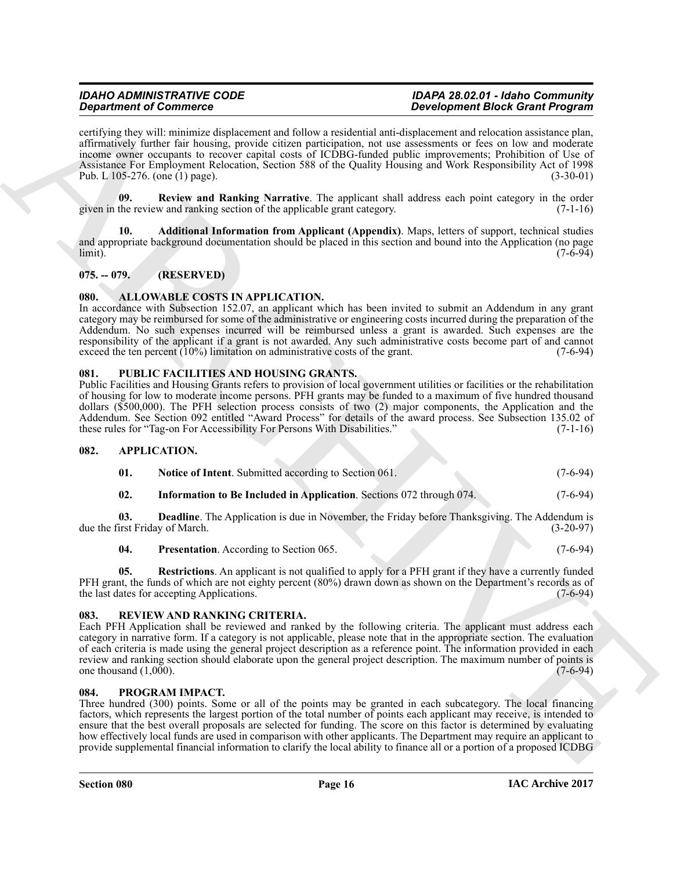**Experiment of Construction Constrainers** and Laborato and Laborato and Laborato and Laborato and Laborato and Laborato and Laborato and Laborato and Laborato and Laborato and Laborato and Laborato and Laborato and Labora certifying they will: minimize displacement and follow a residential anti-displacement and relocation assistance plan, affirmatively further fair housing, provide citizen participation, not use assessments or fees on low and moderate income owner occupants to recover capital costs of ICDBG-funded public improvements; Prohibition of Use of Assistance For Employment Relocation, Section 588 of the Quality Housing and Work Responsibility Act of 1998 Pub. L 105-276. (one (1) page). (3-30-01)

<span id="page-15-17"></span>**09. Review and Ranking Narrative**. The applicant shall address each point category in the order given in the review and ranking section of the applicable grant category.  $(7-1-16)$ 

<span id="page-15-16"></span>**10. Additional Information from Applicant (Appendix)**. Maps, letters of support, technical studies and appropriate background documentation should be placed in this section and bound into the Application (no page<br>limit). (7-6-94) limit). (7-6-94)

# <span id="page-15-0"></span>**075. -- 079. (RESERVED)**

# <span id="page-15-6"></span><span id="page-15-1"></span>**080. ALLOWABLE COSTS IN APPLICATION.**

In accordance with Subsection 152.07, an applicant which has been invited to submit an Addendum in any grant category may be reimbursed for some of the administrative or engineering costs incurred during the preparation of the Addendum. No such expenses incurred will be reimbursed unless a grant is awarded. Such expenses are the responsibility of the applicant if a grant is not awarded. Any such administrative costs become part of and cannot exceed the ten percent (10%) limitation on administrative costs of the grant. (7-6-94)

# <span id="page-15-14"></span><span id="page-15-2"></span>**081. PUBLIC FACILITIES AND HOUSING GRANTS.**

Public Facilities and Housing Grants refers to provision of local government utilities or facilities or the rehabilitation of housing for low to moderate income persons. PFH grants may be funded to a maximum of five hundred thousand dollars (\$500,000). The PFH selection process consists of two (2) major components, the Application and the Addendum. See Section 092 entitled "Award Process" for details of the award process. See Subsection 135.02 of these rules for "Tag-on For Accessibility For Persons With Disabilities." (7-1-16) these rules for "Tag-on For Accessibility For Persons With Disabilities."

# <span id="page-15-3"></span>**082. APPLICATION.**

<span id="page-15-10"></span><span id="page-15-9"></span><span id="page-15-7"></span>

| 01. | <b>Notice of Intent.</b> Submitted according to Section 061. |  |  |  | $(7-6-94)$ |
|-----|--------------------------------------------------------------|--|--|--|------------|
|-----|--------------------------------------------------------------|--|--|--|------------|

<span id="page-15-8"></span>**02. Information to Be Included in Application**. Sections 072 through 074. (7-6-94)

**03. Deadline**. The Application is due in November, the Friday before Thanksgiving. The Addendum is due the first Friday of March. (3-20-97)

# <span id="page-15-12"></span><span id="page-15-11"></span>**04.** Presentation. According to Section 065. (7-6-94)

**05. Restrictions**. An applicant is not qualified to apply for a PFH grant if they have a currently funded PFH grant, the funds of which are not eighty percent (80%) drawn down as shown on the Department's records as of the last dates for accepting Applications. (7-6-94)

# <span id="page-15-15"></span><span id="page-15-4"></span>**083. REVIEW AND RANKING CRITERIA.**

Each PFH Application shall be reviewed and ranked by the following criteria. The applicant must address each category in narrative form. If a category is not applicable, please note that in the appropriate section. The evaluation of each criteria is made using the general project description as a reference point. The information provided in each review and ranking section should elaborate upon the general project description. The maximum number of points is one thousand (1,000). one thousand  $(1,000)$ .

# <span id="page-15-13"></span><span id="page-15-5"></span>**084. PROGRAM IMPACT.**

Three hundred (300) points. Some or all of the points may be granted in each subcategory. The local financing factors, which represents the largest portion of the total number of points each applicant may receive, is intended to ensure that the best overall proposals are selected for funding. The score on this factor is determined by evaluating how effectively local funds are used in comparison with other applicants. The Department may require an applicant to provide supplemental financial information to clarify the local ability to finance all or a portion of a proposed ICDBG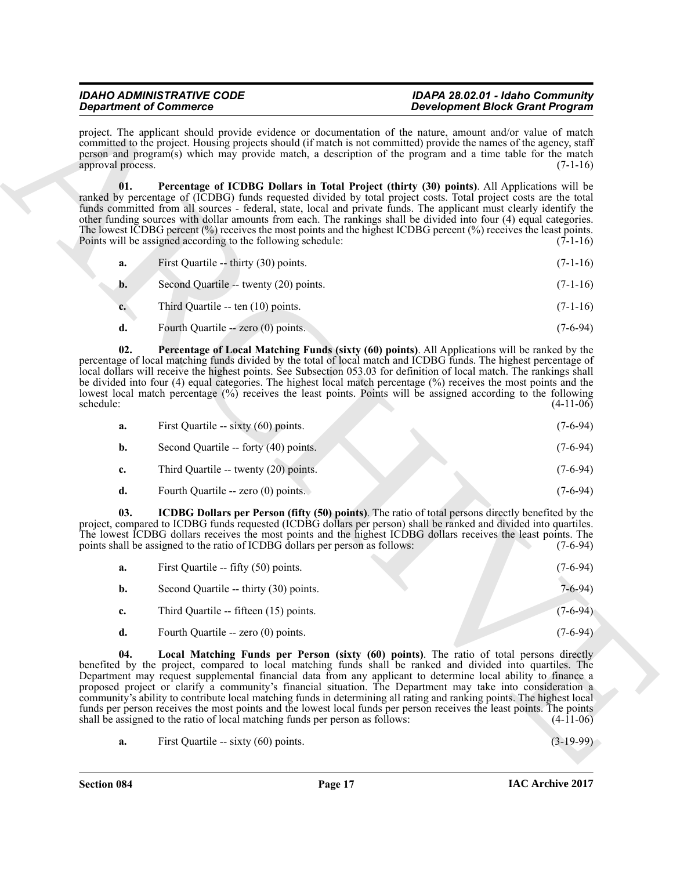project. The applicant should provide evidence or documentation of the nature, amount and/or value of match committed to the project. Housing projects should (if match is not committed) provide the names of the agency, staff person and program(s) which may provide match, a description of the program and a time table for the match approval process. (7-1-16) approval process.

<span id="page-16-2"></span>**01. Percentage of ICDBG Dollars in Total Project (thirty (30) points)**. All Applications will be ranked by percentage of (ICDBG) funds requested divided by total project costs. Total project costs are the total funds committed from all sources - federal, state, local and private funds. The applicant must clearly identify the other funding sources with dollar amounts from each. The rankings shall be divided into four (4) equal categories. The lowest ICDBG percent (%) receives the most points and the highest ICDBG percent (%) receives the least points.<br>Points will be assigned according to the following schedule: (7-1-16) Points will be assigned according to the following schedule:

- **a.** First Quartile -- thirty (30) points. (7-1-16) **b.** Second Quartile -- twenty (20) points.  $(7-1-16)$
- **c.** Third Quartile -- ten (10) points. (7-1-16)
- <span id="page-16-3"></span>**d.** Fourth Quartile -- zero (0) points. (7-6-94)

**02. Percentage of Local Matching Funds (sixty (60) points)**. All Applications will be ranked by the percentage of local matching funds divided by the total of local match and ICDBG funds. The highest percentage of local dollars will receive the highest points. See Subsection 053.03 for definition of local match. The rankings shall be divided into four (4) equal categories. The highest local match percentage (%) receives the most points and the lowest local match percentage (%) receives the least points. Points will be assigned according to the following  $\text{schedule:}$  (4-11-06)

| a. | First Quartile -- sixty (60) points.  | $(7-6-94)$ |
|----|---------------------------------------|------------|
| b. | Second Quartile -- forty (40) points. | $(7-6-94)$ |
| c. | Third Quartile -- twenty (20) points. | $(7-6-94)$ |
| d. | Fourth Quartile -- zero (0) points.   | (7-6-94)   |

**03. ICDBG Dollars per Person (fifty (50) points)**. The ratio of total persons directly benefited by the project, compared to ICDBG funds requested (ICDBG dollars per person) shall be ranked and divided into quartiles. The lowest ICDBG dollars receives the most points and the highest ICDBG dollars receives the least points. The points shall be assigned to the ratio of ICDBG dollars per person as follows: (7-6-94) points shall be assigned to the ratio of ICDBG dollars per person as follows:

<span id="page-16-1"></span><span id="page-16-0"></span>

| a.          | First Quartile -- fifty (50) points.   | $(7-6-94)$ |
|-------------|----------------------------------------|------------|
| b.          | Second Quartile -- thirty (30) points. | 7-6-94)    |
| $c_{\cdot}$ | Third Quartile -- fifteen (15) points. | $(7-6-94)$ |
| d.          | Fourth Quartile -- zero (0) points.    | $(7-6-94)$ |

**Strainer of Constraints Constrainers** (*Secondary of decombinion of the probability distance of the probability distance of the probability distance of the probability distance of the probability distance of the probabil* **04. Local Matching Funds per Person (sixty (60) points)**. The ratio of total persons directly benefited by the project, compared to local matching funds shall be ranked and divided into quartiles. The Department may request supplemental financial data from any applicant to determine local ability to finance a proposed project or clarify a community's financial situation. The Department may take into consideration a community's ability to contribute local matching funds in determining all rating and ranking points. The highest local funds per person receives the most points and the lowest local funds per person receives the least points. The points shall be assigned to the ratio of local matching funds per person as follows:  $(4-11-06)$ shall be assigned to the ratio of local matching funds per person as follows:

**a.** First Quartile -- sixty (60) points. (3-19-99)

**Section 084 Page 17**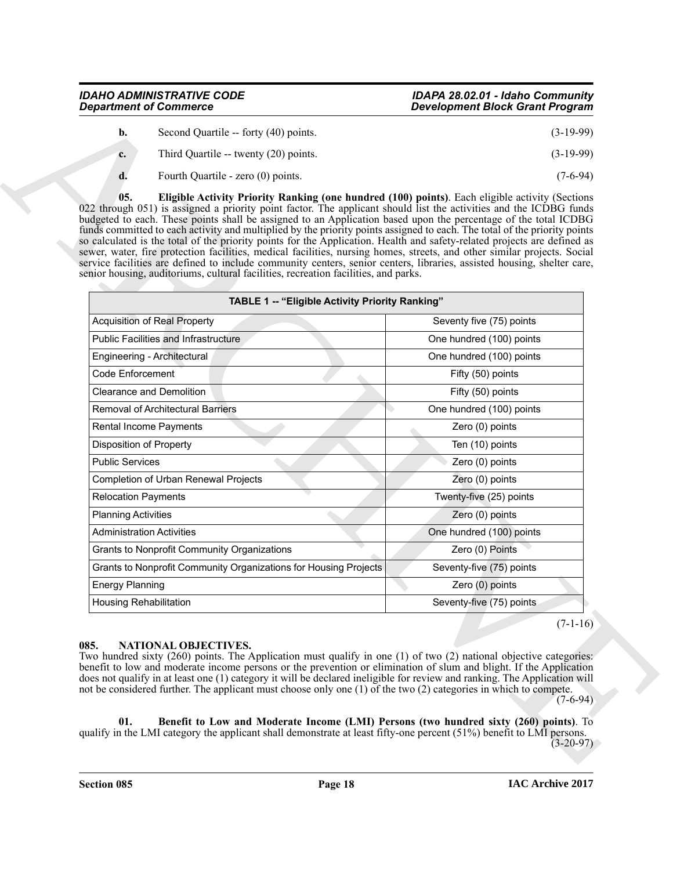<span id="page-17-3"></span>

| b. | Second Quartile -- forty (40) points. | $(3-19-99)$ |
|----|---------------------------------------|-------------|
| c. | Third Quartile -- twenty (20) points. | $(3-19-99)$ |
|    | Fourth Quartile - zero (0) points.    | (7-6-94)    |

| <b>Department of Commerce</b>                                                                                                                                                                                                                                                                                                                                                                                                                                                                                                                                                                                                                                                                                                                                                                                                                                                                                                                          | <b>Development Block Grant Program</b> |
|--------------------------------------------------------------------------------------------------------------------------------------------------------------------------------------------------------------------------------------------------------------------------------------------------------------------------------------------------------------------------------------------------------------------------------------------------------------------------------------------------------------------------------------------------------------------------------------------------------------------------------------------------------------------------------------------------------------------------------------------------------------------------------------------------------------------------------------------------------------------------------------------------------------------------------------------------------|----------------------------------------|
| b.<br>Second Quartile -- forty (40) points.                                                                                                                                                                                                                                                                                                                                                                                                                                                                                                                                                                                                                                                                                                                                                                                                                                                                                                            | $(3-19-99)$                            |
| Third Quartile -- twenty (20) points.<br>c.                                                                                                                                                                                                                                                                                                                                                                                                                                                                                                                                                                                                                                                                                                                                                                                                                                                                                                            | $(3-19-99)$                            |
| d.<br>Fourth Quartile - zero (0) points.                                                                                                                                                                                                                                                                                                                                                                                                                                                                                                                                                                                                                                                                                                                                                                                                                                                                                                               | $(7-6-94)$                             |
| 05.<br>Eligible Activity Priority Ranking (one hundred (100) points). Each eligible activity (Sections<br>022 through 051) is assigned a priority point factor. The applicant should list the activities and the ICDBG funds<br>budgeted to each. These points shall be assigned to an Application based upon the percentage of the total ICDBG<br>funds committed to each activity and multiplied by the priority points assigned to each. The total of the priority points<br>so calculated is the total of the priority points for the Application. Health and safety-related projects are defined as<br>sewer, water, fire protection facilities, medical facilities, nursing homes, streets, and other similar projects. Social<br>service facilities are defined to include community centers, senior centers, libraries, assisted housing, shelter care,<br>senior housing, auditoriums, cultural facilities, recreation facilities, and parks. |                                        |
| TABLE 1 -- "Eligible Activity Priority Ranking"                                                                                                                                                                                                                                                                                                                                                                                                                                                                                                                                                                                                                                                                                                                                                                                                                                                                                                        |                                        |
| <b>Acquisition of Real Property</b>                                                                                                                                                                                                                                                                                                                                                                                                                                                                                                                                                                                                                                                                                                                                                                                                                                                                                                                    | Seventy five (75) points               |
| <b>Public Facilities and Infrastructure</b>                                                                                                                                                                                                                                                                                                                                                                                                                                                                                                                                                                                                                                                                                                                                                                                                                                                                                                            | One hundred (100) points               |
| Engineering - Architectural                                                                                                                                                                                                                                                                                                                                                                                                                                                                                                                                                                                                                                                                                                                                                                                                                                                                                                                            | One hundred (100) points               |
| <b>Code Enforcement</b>                                                                                                                                                                                                                                                                                                                                                                                                                                                                                                                                                                                                                                                                                                                                                                                                                                                                                                                                | Fifty (50) points                      |
| <b>Clearance and Demolition</b>                                                                                                                                                                                                                                                                                                                                                                                                                                                                                                                                                                                                                                                                                                                                                                                                                                                                                                                        | Fifty (50) points                      |
| Removal of Architectural Barriers                                                                                                                                                                                                                                                                                                                                                                                                                                                                                                                                                                                                                                                                                                                                                                                                                                                                                                                      | One hundred (100) points               |
| Rental Income Payments                                                                                                                                                                                                                                                                                                                                                                                                                                                                                                                                                                                                                                                                                                                                                                                                                                                                                                                                 | Zero (0) points                        |
| Disposition of Property                                                                                                                                                                                                                                                                                                                                                                                                                                                                                                                                                                                                                                                                                                                                                                                                                                                                                                                                | Ten (10) points                        |
| <b>Public Services</b>                                                                                                                                                                                                                                                                                                                                                                                                                                                                                                                                                                                                                                                                                                                                                                                                                                                                                                                                 | Zero (0) points                        |
| Completion of Urban Renewal Projects                                                                                                                                                                                                                                                                                                                                                                                                                                                                                                                                                                                                                                                                                                                                                                                                                                                                                                                   | Zero (0) points                        |
| <b>Relocation Payments</b>                                                                                                                                                                                                                                                                                                                                                                                                                                                                                                                                                                                                                                                                                                                                                                                                                                                                                                                             | Twenty-five (25) points                |
| <b>Planning Activities</b>                                                                                                                                                                                                                                                                                                                                                                                                                                                                                                                                                                                                                                                                                                                                                                                                                                                                                                                             | Zero (0) points                        |
| <b>Administration Activities</b>                                                                                                                                                                                                                                                                                                                                                                                                                                                                                                                                                                                                                                                                                                                                                                                                                                                                                                                       | One hundred (100) points               |
| Grants to Nonprofit Community Organizations                                                                                                                                                                                                                                                                                                                                                                                                                                                                                                                                                                                                                                                                                                                                                                                                                                                                                                            | Zero (0) Points                        |
| Grants to Nonprofit Community Organizations for Housing Projects                                                                                                                                                                                                                                                                                                                                                                                                                                                                                                                                                                                                                                                                                                                                                                                                                                                                                       | Seventy-five (75) points               |
| <b>Energy Planning</b>                                                                                                                                                                                                                                                                                                                                                                                                                                                                                                                                                                                                                                                                                                                                                                                                                                                                                                                                 | Zero (0) points                        |
| <b>Housing Rehabilitation</b>                                                                                                                                                                                                                                                                                                                                                                                                                                                                                                                                                                                                                                                                                                                                                                                                                                                                                                                          | Seventy-five (75) points               |
| NATIONAL OBJECTIVES.<br>085.<br>Two hundred sixty $(260)$ points. The Application must qualify in one $(1)$ of two $(2)$ national objective categories:<br>benefit to low and moderate income persons or the prevention or elimination of slum and blight. If the Application<br>does not qualify in at least one (1) category it will be declared ineligible for review and ranking. The Application will<br>not be considered further. The applicant must choose only one (1) of the two (2) categories in which to compete.<br>01.<br>Benefit to Low and Moderate Income (LMI) Persons (two hundred sixty (260) points). To<br>qualify in the LMI category the applicant shall demonstrate at least fifty-one percent $(51%)$ benefit to LMI persons.                                                                                                                                                                                               | $(7-1-16)$<br>$(7-6-94)$               |

# <span id="page-17-2"></span><span id="page-17-1"></span><span id="page-17-0"></span>**085. NATIONAL OBJECTIVES.**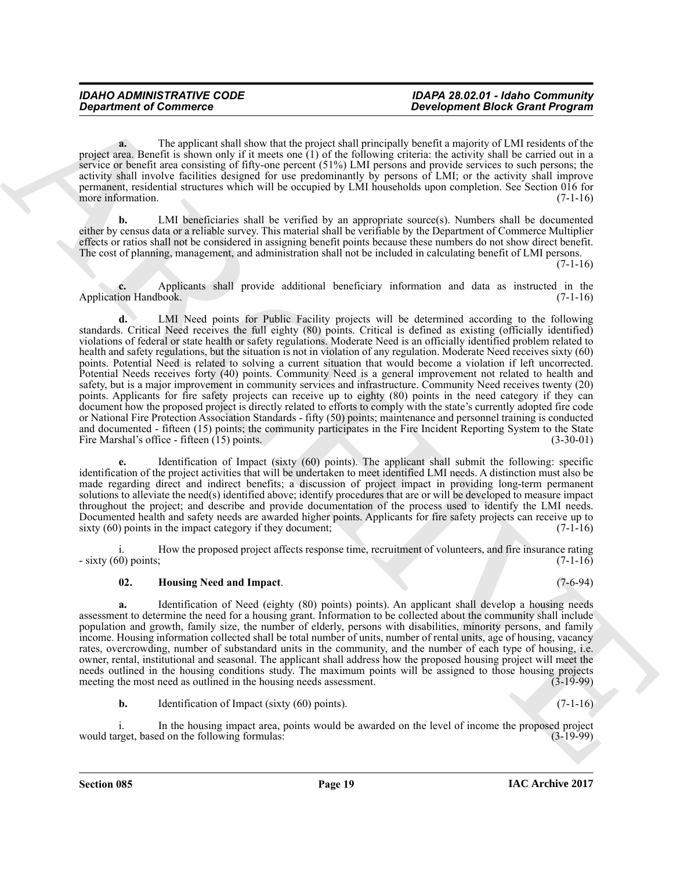**a.** The applicant shall show that the project shall principally benefit a majority of LMI residents of the project area. Benefit is shown only if it meets one (1) of the following criteria: the activity shall be carried out in a service or benefit area consisting of fifty-one percent (51%) LMI persons and provide services to such persons; the activity shall involve facilities designed for use predominantly by persons of LMI; or the activity shall improve permanent, residential structures which will be occupied by LMI households upon completion. See Section 016 for<br>
(7-1-16) more information.

**b.** LMI beneficiaries shall be verified by an appropriate source(s). Numbers shall be documented either by census data or a reliable survey. This material shall be verifiable by the Department of Commerce Multiplier effects or ratios shall not be considered in assigning benefit points because these numbers do not show direct benefit. The cost of planning, management, and administration shall not be included in calculating benefit of LMI persons.

 $(7-1-16)$ 

**c.** Applicants shall provide additional beneficiary information and data as instructed in the ion Handbook. (7-1-16) Application Handbook.

*Department of Commission* These likels can be a specifically determined the specifical term in the specifical state in the specifical state in the specifical state in the specifical state in the specifical state in the **d.** LMI Need points for Public Facility projects will be determined according to the following standards. Critical Need receives the full eighty (80) points. Critical is defined as existing (officially identified) violations of federal or state health or safety regulations. Moderate Need is an officially identified problem related to health and safety regulations, but the situation is not in violation of any regulation. Moderate Need receives sixty (60) points. Potential Need is related to solving a current situation that would become a violation if left uncorrected. Potential Needs receives forty (40) points. Community Need is a general improvement not related to health and safety, but is a major improvement in community services and infrastructure. Community Need receives twenty (20) points. Applicants for fire safety projects can receive up to eighty (80) points in the need category if they can document how the proposed project is directly related to efforts to comply with the state's currently adopted fire code or National Fire Protection Association Standards - fifty (50) points; maintenance and personnel training is conducted and documented - fifteen (15) points; the community participates in the Fire Incident Reporting System to the State Fire Marshal's office - fifteen (15) points. (3-30-01) Fire Marshal's office - fifteen  $(15)$  points.

**e.** Identification of Impact (sixty (60) points). The applicant shall submit the following: specific identification of the project activities that will be undertaken to meet identified LMI needs. A distinction must also be made regarding direct and indirect benefits; a discussion of project impact in providing long-term permanent solutions to alleviate the need(s) identified above; identify procedures that are or will be developed to measure impact throughout the project; and describe and provide documentation of the process used to identify the LMI needs. Documented health and safety needs are awarded higher points. Applicants for fire safety projects can receive up to sixty (60) points in the impact category if they document: (7-1-16) sixty  $(60)$  points in the impact category if they document;

How the proposed project affects response time, recruitment of volunteers, and fire insurance rating  $(7-1-16)$  $-$  sixty (60) points;

# <span id="page-18-0"></span>**02. Housing Need and Impact**. (7-6-94)

**a.** Identification of Need (eighty (80) points) points). An applicant shall develop a housing needs assessment to determine the need for a housing grant. Information to be collected about the community shall include population and growth, family size, the number of elderly, persons with disabilities, minority persons, and family income. Housing information collected shall be total number of units, number of rental units, age of housing, vacancy rates, overcrowding, number of substandard units in the community, and the number of each type of housing, i.e. owner, rental, institutional and seasonal. The applicant shall address how the proposed housing project will meet the needs outlined in the housing conditions study. The maximum points will be assigned to those housing projects meeting the most need as outlined in the housing needs assessment. (3-19-99) meeting the most need as outlined in the housing needs assessment.

**b.** Identification of Impact (sixty (60) points). (7-1-16)

i. In the housing impact area, points would be awarded on the level of income the proposed project rget, based on the following formulas: (3-19-99) would target, based on the following formulas: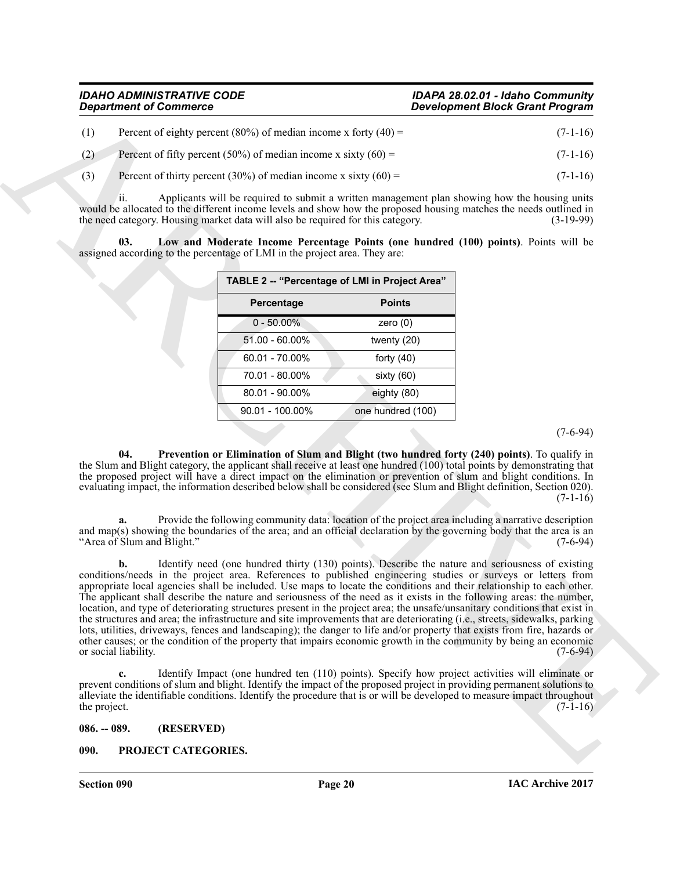| <b>IDAHO ADMINISTRATIVE CODE</b> |                                                                 | IDAPA 28.02.01 - Idaho Community       |
|----------------------------------|-----------------------------------------------------------------|----------------------------------------|
| <b>Department of Commerce</b>    |                                                                 | <b>Development Block Grant Program</b> |
|                                  | Percent of eighty percent (80%) of median income x forty (40) = | $(7-1-16)$                             |

| (2) | Percent of fifty percent (50%) of median income x sixty (60) = | $(7-1-16)$ |
|-----|----------------------------------------------------------------|------------|

(3) Percent of thirty percent (30%) of median income x sixty  $(60) =$  (7-1-16)

ii. Applicants will be required to submit a written management plan showing how the housing units would be allocated to the different income levels and show how the proposed housing matches the needs outlined in the need category. Housing market data will also be required for this category. (3-19-99)

**03. Low and Moderate Income Percentage Points (one hundred (100) points)**. Points will be assigned according to the percentage of LMI in the project area. They are:

<span id="page-19-2"></span>

| TABLE 2 -- "Percentage of LMI in Project Area" |                   |  |  |
|------------------------------------------------|-------------------|--|--|
| Percentage                                     | <b>Points</b>     |  |  |
| $0 - 50.00\%$                                  | zero $(0)$        |  |  |
| $51.00 - 60.00\%$                              | twenty (20)       |  |  |
| $60.01 - 70.00\%$                              | forty $(40)$      |  |  |
| 70.01 - 80.00%                                 | sixty $(60)$      |  |  |
| 80.01 - 90.00%                                 | eighty (80)       |  |  |
| $90.01 - 100.00\%$                             | one hundred (100) |  |  |

(7-6-94)

<span id="page-19-3"></span>**04. Prevention or Elimination of Slum and Blight (two hundred forty (240) points)**. To qualify in the Slum and Blight category, the applicant shall receive at least one hundred (100) total points by demonstrating that the proposed project will have a direct impact on the elimination or prevention of slum and blight conditions. In evaluating impact, the information described below shall be considered (see Slum and Blight definition, Section 020).  $(7-1-16)$ 

**a.** Provide the following community data: location of the project area including a narrative description and map(s) showing the boundaries of the area; and an official declaration by the governing body that the area is an "Area of Slum and Blight."  $(7-6-94)$ "Area of Slum and Blight."

**Experiment of Commission** Commission China means. Chief video Commission China Mean China (2013)<br>
The state of this years of this year of the state and the state of the state of the state of the state of the state of the **b.** Identify need (one hundred thirty (130) points). Describe the nature and seriousness of existing conditions/needs in the project area. References to published engineering studies or surveys or letters from appropriate local agencies shall be included. Use maps to locate the conditions and their relationship to each other. The applicant shall describe the nature and seriousness of the need as it exists in the following areas: the number, location, and type of deteriorating structures present in the project area; the unsafe/unsanitary conditions that exist in the structures and area; the infrastructure and site improvements that are deteriorating (i.e., streets, sidewalks, parking lots, utilities, driveways, fences and landscaping); the danger to life and/or property that exists from fire, hazards or other causes; or the condition of the property that impairs economic growth in the community by being an economic or social liability.

**c.** Identify Impact (one hundred ten (110) points). Specify how project activities will eliminate or prevent conditions of slum and blight. Identify the impact of the proposed project in providing permanent solutions to alleviate the identifiable conditions. Identify the procedure that is or will be developed to measure impact throughout the project. (7-1-16) the project.  $(7-1-16)$ 

<span id="page-19-0"></span>**086. -- 089. (RESERVED)**

# <span id="page-19-4"></span><span id="page-19-1"></span>**090. PROJECT CATEGORIES.**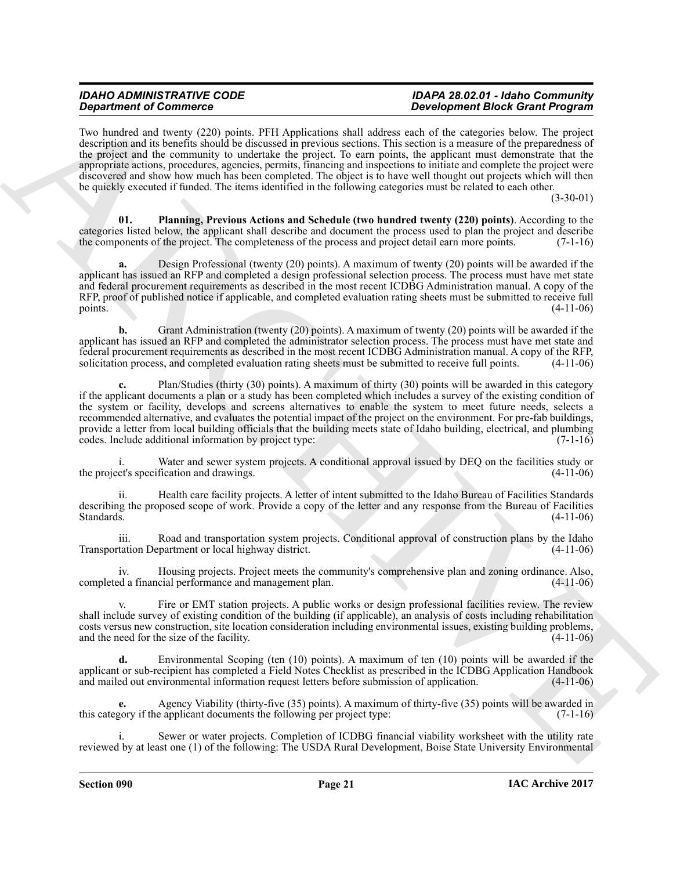Two hundred and twenty (220) points. PFH Applications shall address each of the categories below. The project description and its benefits should be discussed in previous sections. This section is a measure of the preparedness of the project and the community to undertake the project. To earn points, the applicant must demonstrate that the appropriate actions, procedures, agencies, permits, financing and inspections to initiate and complete the project were discovered and show how much has been completed. The object is to have well thought out projects which will then be quickly executed if funded. The items identified in the following categories must be related to each other.

(3-30-01)

<span id="page-20-0"></span>**01. Planning, Previous Actions and Schedule (two hundred twenty (220) points)**. According to the categories listed below, the applicant shall describe and document the process used to plan the project and describe the components of the project. The completeness of the process and project detail earn more points. (7-1-16)

**a.** Design Professional (twenty (20) points). A maximum of twenty (20) points will be awarded if the applicant has issued an RFP and completed a design professional selection process. The process must have met state and federal procurement requirements as described in the most recent ICDBG Administration manual. A copy of the RFP, proof of published notice if applicable, and completed evaluation rating sheets must be submitted to receive full points. (4-11-06) points.  $(4-11-06)$ 

**b.** Grant Administration (twenty (20) points). A maximum of twenty (20) points will be awarded if the applicant has issued an RFP and completed the administrator selection process. The process must have met state and federal procurement requirements as described in the most recent ICDBG Administration manual. A copy of the RFP, solicitation process, and completed evaluation rating sheets must be submitted to receive full points.

**Strainers of Construction** 2.1 The Application and all states and the University of the University of the University of the University of the University of the University of the University of the University of the Univer Plan/Studies (thirty (30) points). A maximum of thirty (30) points will be awarded in this category if the applicant documents a plan or a study has been completed which includes a survey of the existing condition of the system or facility, develops and screens alternatives to enable the system to meet future needs, selects a recommended alternative, and evaluates the potential impact of the project on the environment. For pre-fab buildings, provide a letter from local building officials that the building meets state of Idaho building, electrical, and plumbing codes. Include additional information by project type: (7-1-16) codes. Include additional information by project type:

Water and sewer system projects. A conditional approval issued by DEQ on the facilities study or fication and drawings. (4-11-06) the project's specification and drawings.

ii. Health care facility projects. A letter of intent submitted to the Idaho Bureau of Facilities Standards describing the proposed scope of work. Provide a copy of the letter and any response from the Bureau of Facilities Standards. (4-11-06) Standards.  $(4-11-06)$ 

iii. Road and transportation system projects. Conditional approval of construction plans by the Idaho Transportation Department or local highway district. (4-11-06)

iv. Housing projects. Project meets the community's comprehensive plan and zoning ordinance. Also, completed a financial performance and management plan.

v. Fire or EMT station projects. A public works or design professional facilities review. The review shall include survey of existing condition of the building (if applicable), an analysis of costs including rehabilitation costs versus new construction, site location consideration including environmental issues, existing building problems, and the need for the size of the facility. and the need for the size of the facility.

**d.** Environmental Scoping (ten (10) points). A maximum of ten (10) points will be awarded if the applicant or sub-recipient has completed a Field Notes Checklist as prescribed in the ICDBG Application Handbook and mailed out environmental information request letters before submission of application. (4-11-06) and mailed out environmental information request letters before submission of application.

Agency Viability (thirty-five (35) points). A maximum of thirty-five (35) points will be awarded in e applicant documents the following per project type: (7-1-16) this category if the applicant documents the following per project type:

Sewer or water projects. Completion of ICDBG financial viability worksheet with the utility rate reviewed by at least one (1) of the following: The USDA Rural Development, Boise State University Environmental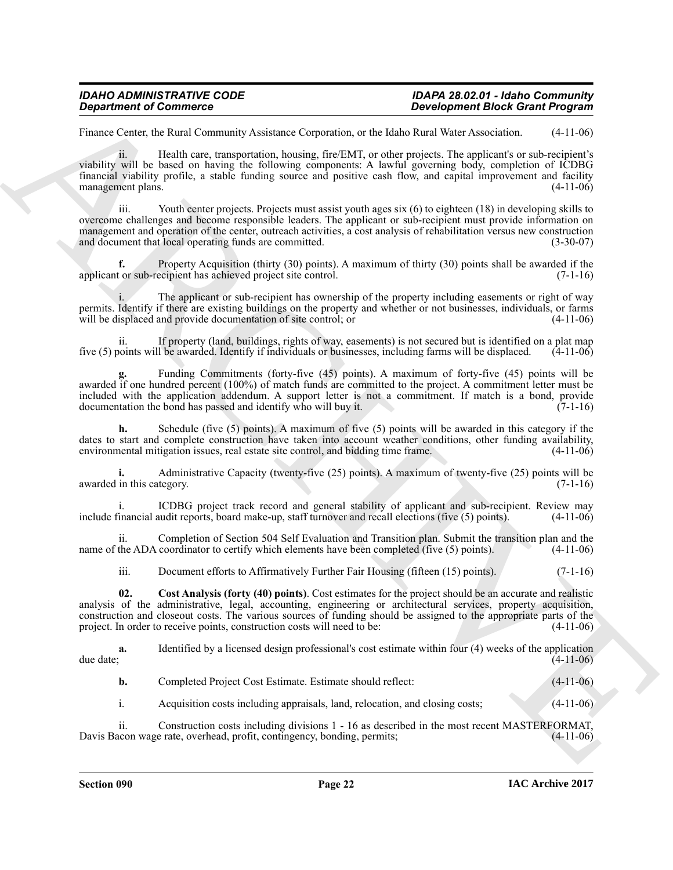# *IDAHO ADMINISTRATIVE CODE IDAPA 28.02.01 - Idaho Community*

# *Development Block Grant Program*

Finance Center, the Rural Community Assistance Corporation, or the Idaho Rural Water Association. (4-11-06)

ii. Health care, transportation, housing, fire/EMT, or other projects. The applicant's or sub-recipient's viability will be based on having the following components: A lawful governing body, completion of ICDBG financial viability profile, a stable funding source and positive cash flow, and capital improvement and facility management plans. (4-11-06)

iii. Youth center projects. Projects must assist youth ages six (6) to eighteen (18) in developing skills to overcome challenges and become responsible leaders. The applicant or sub-recipient must provide information on management and operation of the center, outreach activities, a cost analysis of rehabilitation versus new construction and document that local operating funds are committed. (3-30-07)

**f.** Property Acquisition (thirty (30) points). A maximum of thirty (30) points shall be awarded if the tor sub-recipient has achieved project site control. (7-1-16) applicant or sub-recipient has achieved project site control.

The applicant or sub-recipient has ownership of the property including easements or right of way permits. Identify if there are existing buildings on the property and whether or not businesses, individuals, or farms will be displaced and provide documentation of site control; or (4-11-06) will be displaced and provide documentation of site control; or

If property (land, buildings, rights of way, easements) is not secured but is identified on a plat map 1 be awarded. Identify if individuals or businesses, including farms will be displaced. (4-11-06) five  $(5)$  points will be awarded. Identify if individuals or businesses, including farms will be displaced.

**Experiment of Commission Commission** Experiment Base Research Commission Commission Commission Commission Commission Commission Commission Commission Commission Commission Commission Commission Commission Commission Comm **g.** Funding Commitments (forty-five (45) points). A maximum of forty-five (45) points will be awarded if one hundred percent (100%) of match funds are committed to the project. A commitment letter must be included with the application addendum. A support letter is not a commitment. If match is a bond, provide documentation the bond has passed and identify who will buy it.

**h.** Schedule (five (5) points). A maximum of five (5) points will be awarded in this category if the dates to start and complete construction have taken into account weather conditions, other funding availability, environmental mitigation issues, real estate site control, and bidding time frame. (4-11-06) environmental mitigation issues, real estate site control, and bidding time frame.

**i.** Administrative Capacity (twenty-five (25) points). A maximum of twenty-five (25) points will be in this category. (7-1-16) awarded in this category.

i. ICDBG project track record and general stability of applicant and sub-recipient. Review may<br>inancial audit reports, board make-up, staff turnover and recall elections (five (5) points). (4-11-06) include financial audit reports, board make-up, staff turnover and recall elections (five  $(5)$  points).

ii. Completion of Section 504 Self Evaluation and Transition plan. Submit the transition plan and the name of the ADA coordinator to certify which elements have been completed (five (5) points). (4-11-06)

<span id="page-21-0"></span>iii. Document efforts to Affirmatively Further Fair Housing (fifteen (15) points). (7-1-16)

**02. Cost Analysis (forty (40) points)**. Cost estimates for the project should be an accurate and realistic analysis of the administrative, legal, accounting, engineering or architectural services, property acquisition, construction and closeout costs. The various sources of funding should be assigned to the appropriate parts of the project. In order to receive points, construction costs will need to be:

**a.** Identified by a licensed design professional's cost estimate within four (4) weeks of the application due date; due date;  $(4-11-06)$ 

|  | Completed Project Cost Estimate. Estimate should reflect: | $(4-11-06)$ |
|--|-----------------------------------------------------------|-------------|
|--|-----------------------------------------------------------|-------------|

i. Acquisition costs including appraisals, land, relocation, and closing costs; (4-11-06)

ii. Construction costs including divisions 1 - 16 as described in the most recent MASTERFORMAT, Davis Bacon wage rate, overhead, profit, contingency, bonding, permits;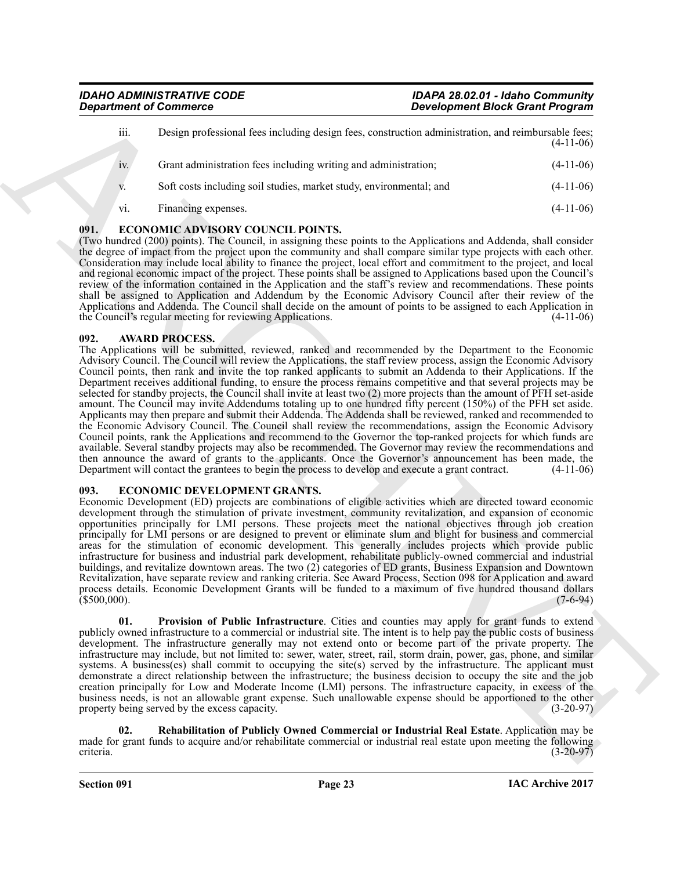| iii.   | Design professional fees including design fees, construction administration, and reimbursable fees; | $(4-11-06)$ |
|--------|-----------------------------------------------------------------------------------------------------|-------------|
| $iv$ . | Grant administration fees including writing and administration;                                     | $(4-11-06)$ |
| V.     | Soft costs including soil studies, market study, environmental; and                                 | $(4-11-06)$ |
| vi.    | Financing expenses.                                                                                 | $(4-11-06)$ |

# <span id="page-22-4"></span><span id="page-22-0"></span>**091. ECONOMIC ADVISORY COUNCIL POINTS.**

(Two hundred (200) points). The Council, in assigning these points to the Applications and Addenda, shall consider the degree of impact from the project upon the community and shall compare similar type projects with each other. Consideration may include local ability to finance the project, local effort and commitment to the project, and local and regional economic impact of the project. These points shall be assigned to Applications based upon the Council's review of the information contained in the Application and the staff's review and recommendations. These points shall be assigned to Application and Addendum by the Economic Advisory Council after their review of the Applications and Addenda. The Council shall decide on the amount of points to be assigned to each Application in<br>the Council's regular meeting for reviewing Applications. (4-11-06) the Council's regular meeting for reviewing Applications.

# <span id="page-22-3"></span><span id="page-22-1"></span>**092. AWARD PROCESS.**

**Experiment of Commission Commission Commission Commission Commission Commission Commission Commission Commission Commission Commission Commission Commission Commission Commission Commission Commission Commission Commissi** The Applications will be submitted, reviewed, ranked and recommended by the Department to the Economic Advisory Council. The Council will review the Applications, the staff review process, assign the Economic Advisory Council points, then rank and invite the top ranked applicants to submit an Addenda to their Applications. If the Department receives additional funding, to ensure the process remains competitive and that several projects may be selected for standby projects, the Council shall invite at least two (2) more projects than the amount of PFH set-aside amount. The Council may invite Addendums totaling up to one hundred fifty percent (150%) of the PFH set aside. Applicants may then prepare and submit their Addenda. The Addenda shall be reviewed, ranked and recommended to the Economic Advisory Council. The Council shall review the recommendations, assign the Economic Advisory Council points, rank the Applications and recommend to the Governor the top-ranked projects for which funds are available. Several standby projects may also be recommended. The Governor may review the recommendations and then announce the award of grants to the applicants. Once the Governor's announcement has been made, the Department will contact the grantees to begin the process to develop and execute a grant contract. (4-11-06) Department will contact the grantees to begin the process to develop and execute a grant contract.

# <span id="page-22-5"></span><span id="page-22-2"></span>**093. ECONOMIC DEVELOPMENT GRANTS.**

Economic Development (ED) projects are combinations of eligible activities which are directed toward economic development through the stimulation of private investment, community revitalization, and expansion of economic opportunities principally for LMI persons. These projects meet the national objectives through job creation principally for LMI persons or are designed to prevent or eliminate slum and blight for business and commercial areas for the stimulation of economic development. This generally includes projects which provide public infrastructure for business and industrial park development, rehabilitate publicly-owned commercial and industrial buildings, and revitalize downtown areas. The two (2) categories of ED grants, Business Expansion and Downtown Revitalization, have separate review and ranking criteria. See Award Process, Section 098 for Application and award process details. Economic Development Grants will be funded to a maximum of five hundred thousand dollars (\$500,000). (7-6-94)  $(5500,000)$ . (1969)

<span id="page-22-6"></span>**01. Provision of Public Infrastructure**. Cities and counties may apply for grant funds to extend publicly owned infrastructure to a commercial or industrial site. The intent is to help pay the public costs of business development. The infrastructure generally may not extend onto or become part of the private property. The infrastructure may include, but not limited to: sewer, water, street, rail, storm drain, power, gas, phone, and similar systems. A business(es) shall commit to occupying the site(s) served by the infrastructure. The applicant must demonstrate a direct relationship between the infrastructure; the business decision to occupy the site and the job creation principally for Low and Moderate Income (LMI) persons. The infrastructure capacity, in excess of the business needs, is not an allowable grant expense. Such unallowable expense should be apportioned to the other property being served by the excess capacity. (3-20-97) property being served by the excess capacity.

<span id="page-22-7"></span>**02. Rehabilitation of Publicly Owned Commercial or Industrial Real Estate**. Application may be made for grant funds to acquire and/or rehabilitate commercial or industrial real estate upon meeting the following criteria.<br>(3-20-97) criteria. (3-20-97)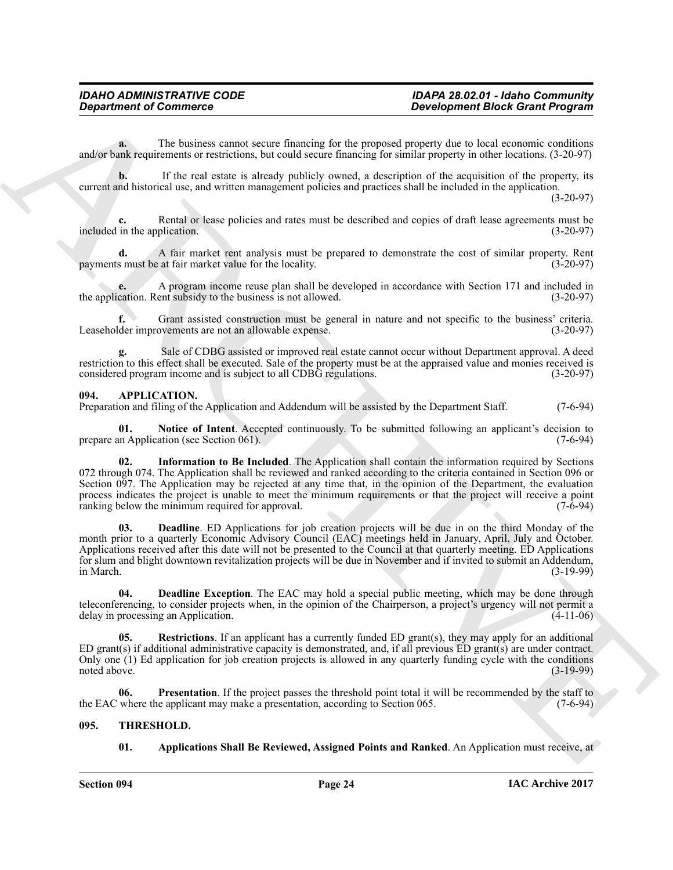**a.** The business cannot secure financing for the proposed property due to local economic conditions and/or bank requirements or restrictions, but could secure financing for similar property in other locations. (3-20-97)

**b.** If the real estate is already publicly owned, a description of the acquisition of the property, its current and historical use, and written management policies and practices shall be included in the application.

(3-20-97)

**c.** Rental or lease policies and rates must be described and copies of draft lease agreements must be included in the application. (3-20-97)

**d.** A fair market rent analysis must be prepared to demonstrate the cost of similar property. Rent s must be at fair market value for the locality. (3-20-97) payments must be at fair market value for the locality.

**e.** A program income reuse plan shall be developed in accordance with Section 171 and included in cation. Rent subsidy to the business is not allowed. (3-20-97) the application. Rent subsidy to the business is not allowed.

Grant assisted construction must be general in nature and not specific to the business' criteria. Leaseholder improvements are not an allowable expense. (3-20-97)

**g.** Sale of CDBG assisted or improved real estate cannot occur without Department approval. A deed restriction to this effect shall be executed. Sale of the property must be at the appraised value and monies received is considered program income and is subject to all CDBG regulations. (3-20-97) considered program income and is subject to all CDBG regulations.

# <span id="page-23-2"></span><span id="page-23-0"></span>**094. APPLICATION.**

Preparation and filing of the Application and Addendum will be assisted by the Department Staff. (7-6-94)

<span id="page-23-6"></span><span id="page-23-5"></span>**Notice of Intent**. Accepted continuously. To be submitted following an applicant's decision to ation (see Section 061). (7-6-94) prepare an Application (see Section 061).

*Department of Commission*<br> **ARCHIVE TRANSFER (and the summarized that the summarized particle in the summarized of the summarized particle in the summarized particle in the summarized particle in the summarized particl 02. Information to Be Included**. The Application shall contain the information required by Sections 072 through 074. The Application shall be reviewed and ranked according to the criteria contained in Section 096 or Section 097. The Application may be rejected at any time that, in the opinion of the Department, the evaluation process indicates the project is unable to meet the minimum requirements or that the project will receive a point ranking below the minimum required for approval. (7-6-94) ranking below the minimum required for approval.

<span id="page-23-3"></span>**03. Deadline**. ED Applications for job creation projects will be due in on the third Monday of the month prior to a quarterly Economic Advisory Council (EAC) meetings held in January, April, July and October. Applications received after this date will not be presented to the Council at that quarterly meeting. ED Applications for slum and blight downtown revitalization projects will be due in November and if invited to submit an Addendum, in March. (3-19-99)

<span id="page-23-4"></span>**04. Deadline Exception**. The EAC may hold a special public meeting, which may be done through teleconferencing, to consider projects when, in the opinion of the Chairperson, a project's urgency will not permit a delay in processing an Application. (4-11-06) delay in processing an Application.

<span id="page-23-8"></span>**Restrictions**. If an applicant has a currently funded ED grant(s), they may apply for an additional ED grant(s) if additional administrative capacity is demonstrated, and, if all previous ED grant(s) are under contract. Only one (1) Ed application for job creation projects is allowed in any quarterly funding cycle with the conditions noted above.  $(3-19-99)$ noted above. (3-19-99)

**06.** Presentation. If the project passes the threshold point total it will be recommended by the staff to where the applicant may make a presentation, according to Section 065. (7-6-94) the EAC where the applicant may make a presentation, according to Section 065.

# <span id="page-23-1"></span>**095. THRESHOLD.**

# <span id="page-23-10"></span><span id="page-23-9"></span><span id="page-23-7"></span>**01.** Applications Shall Be Reviewed, Assigned Points and Ranked. An Application must receive, at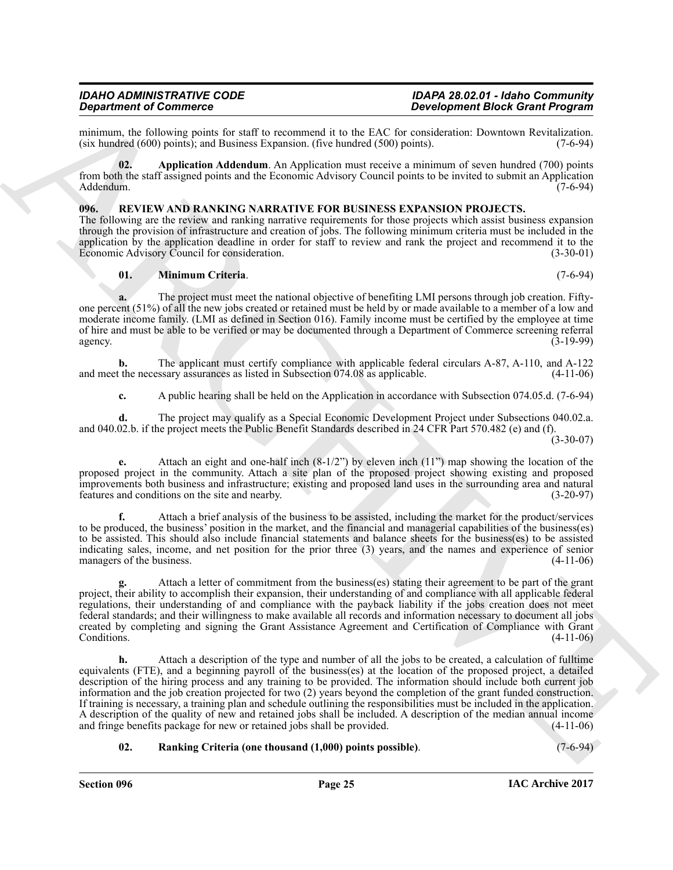# *IDAHO ADMINISTRATIVE CODE IDAPA 28.02.01 - Idaho Community*

# *Development Block Grant Program*

minimum, the following points for staff to recommend it to the EAC for consideration: Downtown Revitalization.<br>(six hundred (600) points): and Business Expansion. (five hundred (500) points). (7-6-94)  $(six$  hundred  $(600)$  points); and Business Expansion. (five hundred  $(500)$  points).

<span id="page-24-4"></span>**02. Application Addendum**. An Application must receive a minimum of seven hundred (700) points from both the staff assigned points and the Economic Advisory Council points to be invited to submit an Application Addendum. (7-6-94)

# <span id="page-24-1"></span><span id="page-24-0"></span>**096. REVIEW AND RANKING NARRATIVE FOR BUSINESS EXPANSION PROJECTS.**

The following are the review and ranking narrative requirements for those projects which assist business expansion through the provision of infrastructure and creation of jobs. The following minimum criteria must be included in the application by the application deadline in order for staff to review and rank the project and recommend it to the Economic Advisory Council for consideration. (3-30-01) Economic Advisory Council for consideration.

# <span id="page-24-2"></span>**01. Minimum Criteria**. (7-6-94)

**a.** The project must meet the national objective of benefiting LMI persons through job creation. Fiftyone percent (51%) of all the new jobs created or retained must be held by or made available to a member of a low and moderate income family. (LMI as defined in Section 016). Family income must be certified by the employee at time of hire and must be able to be verified or may be documented through a Department of Commerce screening referral agency. agency.  $(3-19-99)$ 

**b.** The applicant must certify compliance with applicable federal circulars A-87, A-110, and A-122 t the necessary assurances as listed in Subsection 074.08 as applicable. (4-11-06) and meet the necessary assurances as listed in Subsection  $074.08$  as applicable.

**c.** A public hearing shall be held on the Application in accordance with Subsection 074.05.d. (7-6-94)

**d.** The project may qualify as a Special Economic Development Project under Subsections 040.02.a. and 040.02.b. if the project meets the Public Benefit Standards described in 24 CFR Part 570.482 (e) and (f).

 $(3 - 30 - 07)$ 

**e.** Attach an eight and one-half inch (8-1/2") by eleven inch (11") map showing the location of the proposed project in the community. Attach a site plan of the proposed project showing existing and proposed improvements both business and infrastructure; existing and proposed land uses in the surrounding area and natural features and conditions on the site and nearby. (3-20-97)

**f.** Attach a brief analysis of the business to be assisted, including the market for the product/services to be produced, the business' position in the market, and the financial and managerial capabilities of the business(es) to be assisted. This should also include financial statements and balance sheets for the business(es) to be assisted indicating sales, income, and net position for the prior three (3) years, and the names and experience of senior managers of the business.

**g.** Attach a letter of commitment from the business(es) stating their agreement to be part of the grant project, their ability to accomplish their expansion, their understanding of and compliance with all applicable federal regulations, their understanding of and compliance with the payback liability if the jobs creation does not meet federal standards; and their willingness to make available all records and information necessary to document all jobs created by completing and signing the Grant Assistance Agreement and Certification of Compliance with Grant  $\text{Conditions.} \tag{4-11-06}$ 

**Experiment of Construction** (a) the specific term in Eq. (b) **Experiment Block Grant Propriess**<br>
mannon, the collection between the specific term in the specific term in the specific term in the specific term in the spec **h.** Attach a description of the type and number of all the jobs to be created, a calculation of fulltime equivalents (FTE), and a beginning payroll of the business(es) at the location of the proposed project, a detailed description of the hiring process and any training to be provided. The information should include both current job information and the job creation projected for two (2) years beyond the completion of the grant funded construction. If training is necessary, a training plan and schedule outlining the responsibilities must be included in the application. A description of the quality of new and retained jobs shall be included. A description of the median annual income and fringe benefits package for new or retained jobs shall be provided.

# <span id="page-24-3"></span>**02. Ranking Criteria (one thousand (1,000) points possible)**. (7-6-94)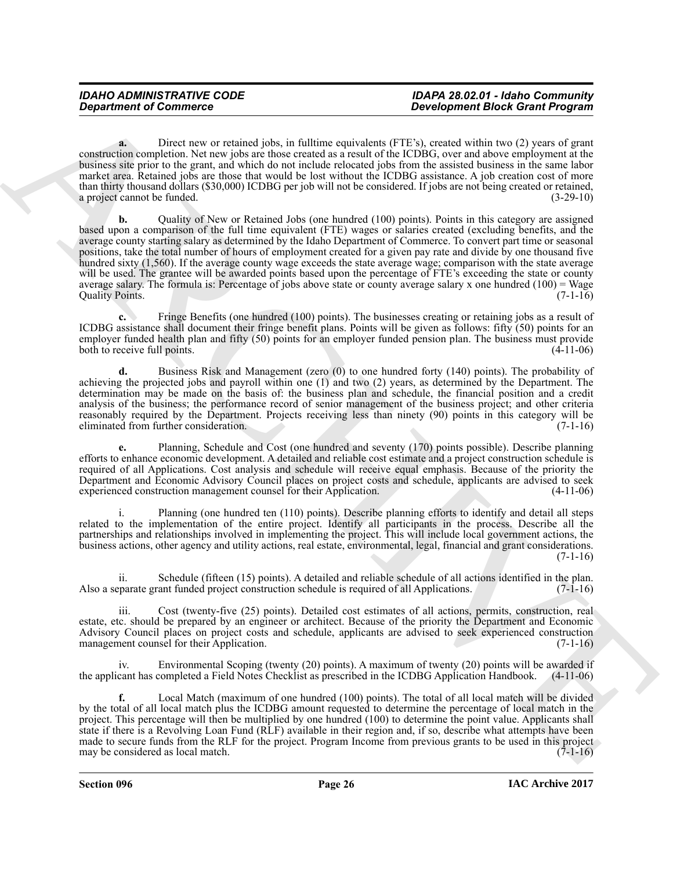**a.** Direct new or retained jobs, in fulltime equivalents (FTE's), created within two (2) years of grant construction completion. Net new jobs are those created as a result of the ICDBG, over and above employment at the business site prior to the grant, and which do not include relocated jobs from the assisted business in the same labor market area. Retained jobs are those that would be lost without the ICDBG assistance. A job creation cost of more than thirty thousand dollars (\$30,000) ICDBG per job will not be considered. If jobs are not being created or retained, a project cannot be funded. a project cannot be funded.

*Department of Commission* **– and the same of the same of the same of the same of the same of the same of the same of the same of the same of the same of the same of the same of the same of the same of the same of the sam b.** Quality of New or Retained Jobs (one hundred (100) points). Points in this category are assigned based upon a comparison of the full time equivalent (FTE) wages or salaries created (excluding benefits, and the average county starting salary as determined by the Idaho Department of Commerce. To convert part time or seasonal positions, take the total number of hours of employment created for a given pay rate and divide by one thousand five hundred sixty (1,560). If the average county wage exceeds the state average wage; comparison with the state average will be used. The grantee will be awarded points based upon the percentage of FTE's exceeding the state or county average salary. The formula is: Percentage of jobs above state or county average salary x one hundred (100) = Wage Ouality Points.  $(7-1-16)$ Quality Points.

**c.** Fringe Benefits (one hundred (100) points). The businesses creating or retaining jobs as a result of ICDBG assistance shall document their fringe benefit plans. Points will be given as follows: fifty (50) points for an employer funded health plan and fifty (50) points for an employer funded pension plan. The business must provide both to receive full points. (4-11-06)

**d.** Business Risk and Management (zero (0) to one hundred forty (140) points). The probability of achieving the projected jobs and payroll within one (1) and two (2) years, as determined by the Department. The determination may be made on the basis of: the business plan and schedule, the financial position and a credit analysis of the business; the performance record of senior management of the business project; and other criteria reasonably required by the Department. Projects receiving less than ninety (90) points in this category will be eliminated from further consideration. (7-1-16) eliminated from further consideration.

**e.** Planning, Schedule and Cost (one hundred and seventy (170) points possible). Describe planning efforts to enhance economic development. A detailed and reliable cost estimate and a project construction schedule is required of all Applications. Cost analysis and schedule will receive equal emphasis. Because of the priority the Department and Economic Advisory Council places on project costs and schedule, applicants are advised to seek experienced construction management counsel for their Application.

i. Planning (one hundred ten (110) points). Describe planning efforts to identify and detail all steps related to the implementation of the entire project. Identify all participants in the process. Describe all the partnerships and relationships involved in implementing the project. This will include local government actions, the business actions, other agency and utility actions, real estate, environmental, legal, financial and grant considerations.  $(7-1-16)$ 

ii. Schedule (fifteen (15) points). A detailed and reliable schedule of all actions identified in the plan. Also a separate grant funded project construction schedule is required of all Applications.

iii. Cost (twenty-five (25) points). Detailed cost estimates of all actions, permits, construction, real estate, etc. should be prepared by an engineer or architect. Because of the priority the Department and Economic Advisory Council places on project costs and schedule, applicants are advised to seek experienced construction management counsel for their Application. (7-1-16) management counsel for their Application.

iv. Environmental Scoping (twenty (20) points). A maximum of twenty (20) points will be awarded if cant has completed a Field Notes Checklist as prescribed in the ICDBG Application Handbook. (4-11-06) the applicant has completed a Field Notes Checklist as prescribed in the ICDBG Application Handbook.

**f.** Local Match (maximum of one hundred (100) points). The total of all local match will be divided by the total of all local match plus the ICDBG amount requested to determine the percentage of local match in the project. This percentage will then be multiplied by one hundred (100) to determine the point value. Applicants shall state if there is a Revolving Loan Fund (RLF) available in their region and, if so, describe what attempts have been made to secure funds from the RLF for the project. Program Income from previous grants to be used in this project<br>(7-1-16) may be considered as local match.

**Section 096 Page 26**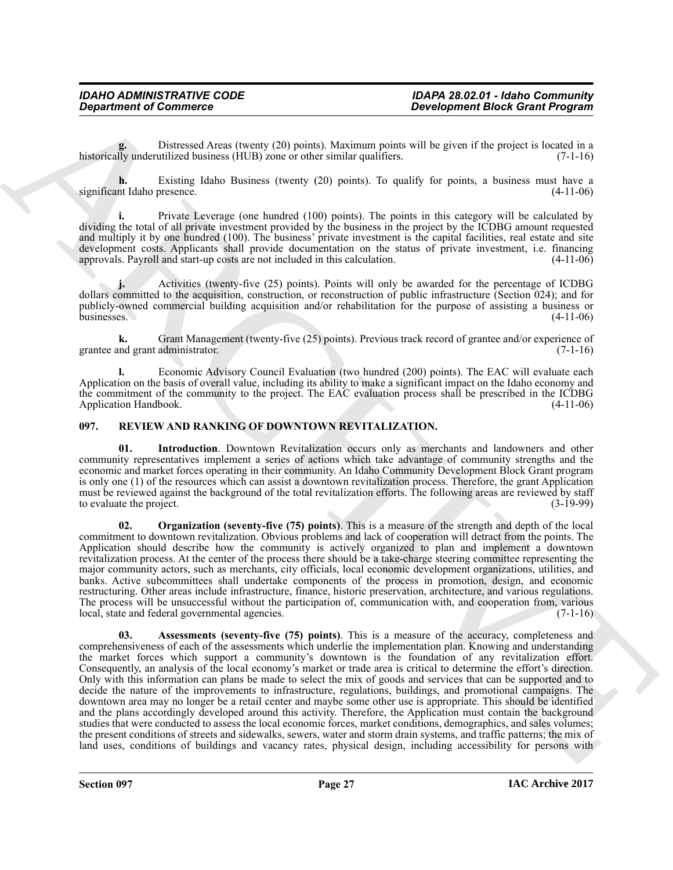Distressed Areas (twenty (20) points). Maximum points will be given if the project is located in a utilized business (HUB) zone or other similar qualifiers. (7-1-16) historically underutilized business  $(HUB)$  zone or other similar qualifiers.

**h.** Existing Idaho Business (twenty (20) points). To qualify for points, a business must have a nt Idaho presence. (4-11-06) significant Idaho presence.

**i.** Private Leverage (one hundred (100) points). The points in this category will be calculated by dividing the total of all private investment provided by the business in the project by the ICDBG amount requested and multiply it by one hundred (100). The business' private investment is the capital facilities, real estate and site development costs. Applicants shall provide documentation on the status of private investment, i.e. financing approvals. Payroll and start-up costs are not included in this calculation. (4-11-06) approvals. Payroll and start-up costs are not included in this calculation.

**j.** Activities (twenty-five (25) points). Points will only be awarded for the percentage of ICDBG dollars committed to the acquisition, construction, or reconstruction of public infrastructure (Section 024); and for publicly-owned commercial building acquisition and/or rehabilitation for the purpose of assisting a business or businesses. (4-11-06)

**k.** Grant Management (twenty-five (25) points). Previous track record of grantee and/or experience of grantee and grant administrator. (7-1-16)

**l.** Economic Advisory Council Evaluation (two hundred (200) points). The EAC will evaluate each Application on the basis of overall value, including its ability to make a significant impact on the Idaho economy and the commitment of the community to the project. The EAC evaluation process shall be prescribed in the ICDBG Application Handbook. (4-11-06)

# <span id="page-26-1"></span><span id="page-26-0"></span>**097. REVIEW AND RANKING OF DOWNTOWN REVITALIZATION.**

<span id="page-26-3"></span>**01. Introduction**. Downtown Revitalization occurs only as merchants and landowners and other community representatives implement a series of actions which take advantage of community strengths and the economic and market forces operating in their community. An Idaho Community Development Block Grant program is only one (1) of the resources which can assist a downtown revitalization process. Therefore, the grant Application must be reviewed against the background of the total revitalization efforts. The following areas are reviewed by staff to evaluate the project. (3-19-99)

<span id="page-26-4"></span><span id="page-26-2"></span>**02. Organization (seventy-five (75) points)**. This is a measure of the strength and depth of the local commitment to downtown revitalization. Obvious problems and lack of cooperation will detract from the points. The Application should describe how the community is actively organized to plan and implement a downtown revitalization process. At the center of the process there should be a take-charge steering committee representing the major community actors, such as merchants, city officials, local economic development organizations, utilities, and banks. Active subcommittees shall undertake components of the process in promotion, design, and economic restructuring. Other areas include infrastructure, finance, historic preservation, architecture, and various regulations. The process will be unsuccessful without the participation of, communication with, and cooperation from, various local, state and federal governmental agencies. (7-1-16)

*Department of Commisses*<br> **Beaching the same of Commisses Commisses Commisses Commisses Commisses Commisses Commisses Commisses Commisses Commisses Commisses Commisses Commisses Commisses Commisses Commisses Commisses 03. Assessments (seventy-five (75) points)**. This is a measure of the accuracy, completeness and comprehensiveness of each of the assessments which underlie the implementation plan. Knowing and understanding the market forces which support a community's downtown is the foundation of any revitalization effort. Consequently, an analysis of the local economy's market or trade area is critical to determine the effort's direction. Only with this information can plans be made to select the mix of goods and services that can be supported and to decide the nature of the improvements to infrastructure, regulations, buildings, and promotional campaigns. The downtown area may no longer be a retail center and maybe some other use is appropriate. This should be identified and the plans accordingly developed around this activity. Therefore, the Application must contain the background studies that were conducted to assess the local economic forces, market conditions, demographics, and sales volumes; the present conditions of streets and sidewalks, sewers, water and storm drain systems, and traffic patterns; the mix of land uses, conditions of buildings and vacancy rates, physical design, including accessibility for persons with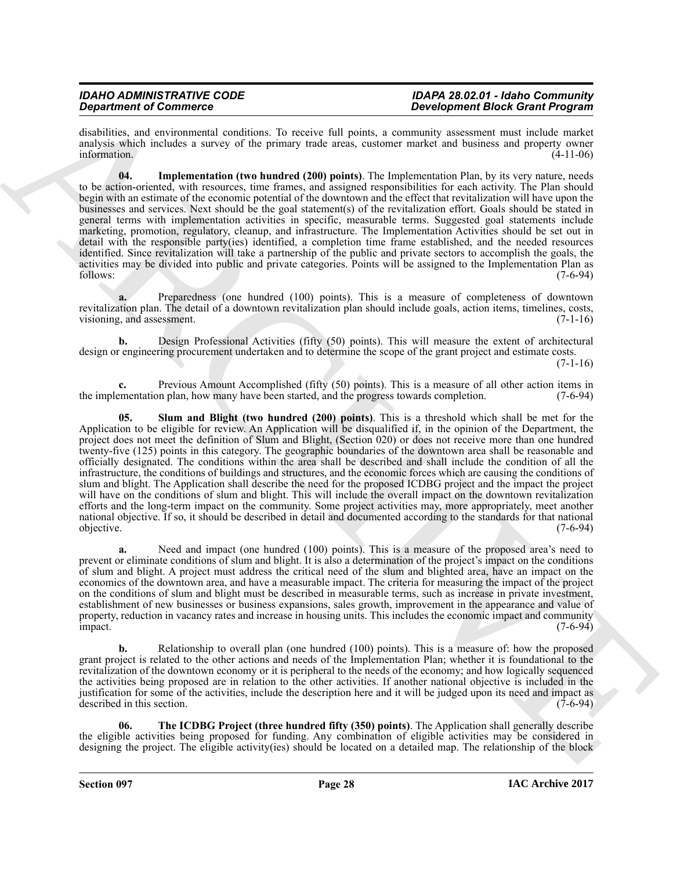disabilities, and environmental conditions. To receive full points, a community assessment must include market analysis which includes a survey of the primary trade areas, customer market and business and property owner information. (4-11-06)

<span id="page-27-0"></span>**04. Implementation (two hundred (200) points)**. The Implementation Plan, by its very nature, needs to be action-oriented, with resources, time frames, and assigned responsibilities for each activity. The Plan should begin with an estimate of the economic potential of the downtown and the effect that revitalization will have upon the businesses and services. Next should be the goal statement(s) of the revitalization effort. Goals should be stated in general terms with implementation activities in specific, measurable terms. Suggested goal statements include marketing, promotion, regulatory, cleanup, and infrastructure. The Implementation Activities should be set out in detail with the responsible party(ies) identified, a completion time frame established, and the needed resources identified. Since revitalization will take a partnership of the public and private sectors to accomplish the goals, the activities may be divided into public and private categories. Points will be assigned to the Implementation Plan as follows: (7-6-94)

**a.** Preparedness (one hundred (100) points). This is a measure of completeness of downtown revitalization plan. The detail of a downtown revitalization plan should include goals, action items, timelines, costs, visioning, and assessment. visioning, and assessment.

**b.** Design Professional Activities (fifty (50) points). This will measure the extent of architectural design or engineering procurement undertaken and to determine the scope of the grant project and estimate costs.

(7-1-16)

<span id="page-27-1"></span>**c.** Previous Amount Accomplished (fifty (50) points). This is a measure of all other action items in the implementation plan, how many have been started, and the progress towards completion. (7-6-94)

**Solution of Construction** (a) the system in the system in the Construction of the Construction of the Construction of the Construction of the Construction of the Construction of the Construction of the Construction of th **05. Slum and Blight (two hundred (200) points)**. This is a threshold which shall be met for the Application to be eligible for review. An Application will be disqualified if, in the opinion of the Department, the project does not meet the definition of Slum and Blight, (Section 020) or does not receive more than one hundred twenty-five (125) points in this category. The geographic boundaries of the downtown area shall be reasonable and officially designated. The conditions within the area shall be described and shall include the condition of all the infrastructure, the conditions of buildings and structures, and the economic forces which are causing the conditions of slum and blight. The Application shall describe the need for the proposed ICDBG project and the impact the project will have on the conditions of slum and blight. This will include the overall impact on the downtown revitalization efforts and the long-term impact on the community. Some project activities may, more appropriately, meet another national objective. If so, it should be described in detail and documented according to the standards for that national objective. (7-6-94)

Need and impact (one hundred (100) points). This is a measure of the proposed area's need to prevent or eliminate conditions of slum and blight. It is also a determination of the project's impact on the conditions of slum and blight. A project must address the critical need of the slum and blighted area, have an impact on the economics of the downtown area, and have a measurable impact. The criteria for measuring the impact of the project on the conditions of slum and blight must be described in measurable terms, such as increase in private investment, establishment of new businesses or business expansions, sales growth, improvement in the appearance and value of property, reduction in vacancy rates and increase in housing units. This includes the economic impact and community impact. (7-6-94) impact. (7-6-94)

**b.** Relationship to overall plan (one hundred (100) points). This is a measure of: how the proposed grant project is related to the other actions and needs of the Implementation Plan; whether it is foundational to the revitalization of the downtown economy or it is peripheral to the needs of the economy; and how logically sequenced the activities being proposed are in relation to the other activities. If another national objective is included in the justification for some of the activities, include the description here and it will be judged upon its need and impact as described in this section.

<span id="page-27-2"></span>**06. The ICDBG Project (three hundred fifty (350) points)**. The Application shall generally describe the eligible activities being proposed for funding. Any combination of eligible activities may be considered in designing the project. The eligible activity(ies) should be located on a detailed map. The relationship of the block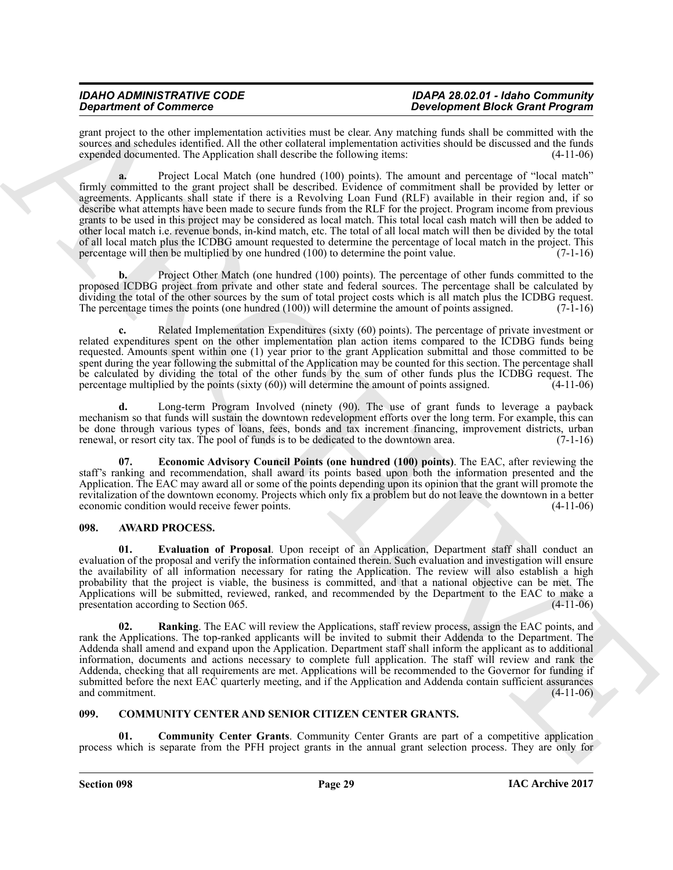grant project to the other implementation activities must be clear. Any matching funds shall be committed with the sources and schedules identified. All the other collateral implementation activities should be discussed and the funds expended documented. The Application shall describe the following items: (4-11-06) expended documented. The Application shall describe the following items:

**Stationer of Construction** and the stationer in the constraint pair of constraints and the stationer and the stationer and the stationer of the stationer of the stationer in the stationer in the stationer in the statione **a.** Project Local Match (one hundred (100) points). The amount and percentage of "local match" firmly committed to the grant project shall be described. Evidence of commitment shall be provided by letter or agreements. Applicants shall state if there is a Revolving Loan Fund (RLF) available in their region and, if so describe what attempts have been made to secure funds from the RLF for the project. Program income from previous grants to be used in this project may be considered as local match. This total local cash match will then be added to other local match i.e. revenue bonds, in-kind match, etc. The total of all local match will then be divided by the total of all local match plus the ICDBG amount requested to determine the percentage of local match in the project. This percentage will then be multiplied by one hundred  $(100)$  to determine the point value.  $(7-1-16)$ 

**b.** Project Other Match (one hundred (100) points). The percentage of other funds committed to the proposed ICDBG project from private and other state and federal sources. The percentage shall be calculated by dividing the total of the other sources by the sum of total project costs which is all match plus the ICDBG request.<br>The percentage times the points (one hundred (100)) will determine the amount of points assigned. (7-1-16 The percentage times the points (one hundred  $(100)$ ) will determine the amount of points assigned.

**c.** Related Implementation Expenditures (sixty (60) points). The percentage of private investment or related expenditures spent on the other implementation plan action items compared to the ICDBG funds being requested. Amounts spent within one (1) year prior to the grant Application submittal and those committed to be spent during the year following the submittal of the Application may be counted for this section. The percentage shall be calculated by dividing the total of the other funds by the sum of other funds plus the ICDBG request. The percentage multiplied by the points (sixty (60)) will determine the amount of points assigned. (4-11-06)

**d.** Long-term Program Involved (ninety (90). The use of grant funds to leverage a payback mechanism so that funds will sustain the downtown redevelopment efforts over the long term. For example, this can be done through various types of loans, fees, bonds and tax increment financing, improvement districts, urban renewal, or resort city tax. The pool of funds is to be dedicated to the downtown area. (7-1-16) renewal, or resort city tax. The pool of funds is to be dedicated to the downtown area.

<span id="page-28-7"></span>**07. Economic Advisory Council Points (one hundred (100) points)**. The EAC, after reviewing the staff's ranking and recommendation, shall award its points based upon both the information presented and the Application. The EAC may award all or some of the points depending upon its opinion that the grant will promote the revitalization of the downtown economy. Projects which only fix a problem but do not leave the downtown in a better economic condition would receive fewer points.

# <span id="page-28-2"></span><span id="page-28-0"></span>**098. AWARD PROCESS.**

<span id="page-28-3"></span>**01. Evaluation of Proposal**. Upon receipt of an Application, Department staff shall conduct an evaluation of the proposal and verify the information contained therein. Such evaluation and investigation will ensure the availability of all information necessary for rating the Application. The review will also establish a high probability that the project is viable, the business is committed, and that a national objective can be met. The Applications will be submitted, reviewed, ranked, and recommended by the Department to the EAC to make a presentation according to Section 065. presentation according to Section 065.

<span id="page-28-4"></span>**02. Ranking**. The EAC will review the Applications, staff review process, assign the EAC points, and rank the Applications. The top-ranked applicants will be invited to submit their Addenda to the Department. The Addenda shall amend and expand upon the Application. Department staff shall inform the applicant as to additional information, documents and actions necessary to complete full application. The staff will review and rank the Addenda, checking that all requirements are met. Applications will be recommended to the Governor for funding if submitted before the next EAC quarterly meeting, and if the Application and Addenda contain sufficient assurances and commitment. (4-11-06)

# <span id="page-28-5"></span><span id="page-28-1"></span>**099. COMMUNITY CENTER AND SENIOR CITIZEN CENTER GRANTS.**

<span id="page-28-6"></span>**01. Community Center Grants**. Community Center Grants are part of a competitive application process which is separate from the PFH project grants in the annual grant selection process. They are only for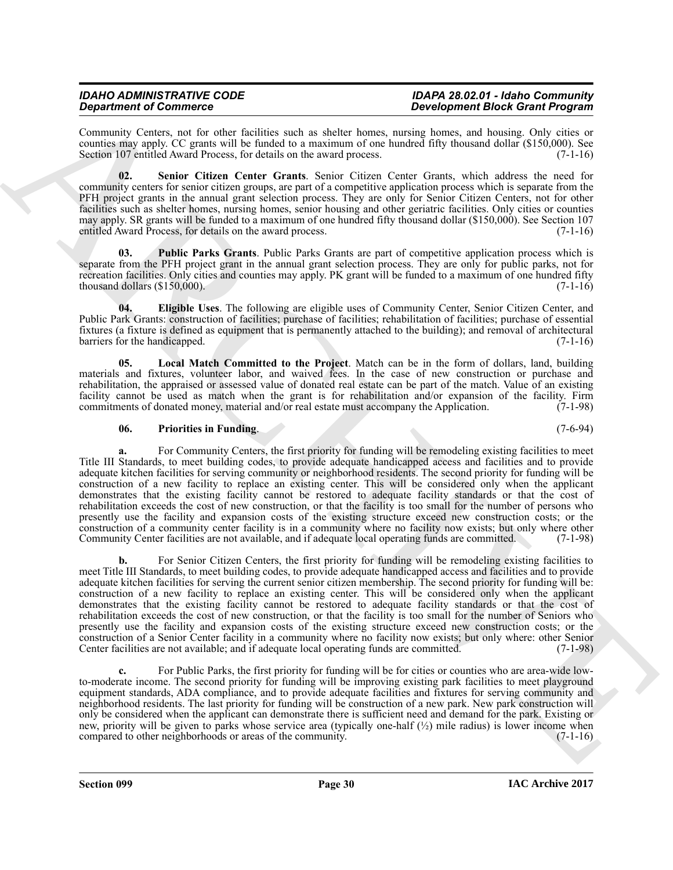Community Centers, not for other facilities such as shelter homes, nursing homes, and housing. Only cities or counties may apply. CC grants will be funded to a maximum of one hundred fifty thousand dollar (\$150,000). See Section 107 entitled Award Process, for details on the award process. (7-1-16)

<span id="page-29-4"></span>**02. Senior Citizen Center Grants**. Senior Citizen Center Grants, which address the need for community centers for senior citizen groups, are part of a competitive application process which is separate from the PFH project grants in the annual grant selection process. They are only for Senior Citizen Centers, not for other facilities such as shelter homes, nursing homes, senior housing and other geriatric facilities. Only cities or counties may apply. SR grants will be funded to a maximum of one hundred fifty thousand dollar (\$150,000). See Section 107 entitled Award Process, for details on the award process. (7-1-16)

<span id="page-29-3"></span>**03.** Public Parks Grants. Public Parks Grants are part of competitive application process which is separate from the PFH project grant in the annual grant selection process. They are only for public parks, not for recreation facilities. Only cities and counties may apply. PK grant will be funded to a maximum of one hundred fifty thousand dollars  $(\text{$}150,000)$ . (7-1-16)

<span id="page-29-0"></span>**04. Eligible Uses**. The following are eligible uses of Community Center, Senior Citizen Center, and Public Park Grants: construction of facilities; purchase of facilities; rehabilitation of facilities; purchase of essential fixtures (a fixture is defined as equipment that is permanently attached to the building); and removal of architectural barriers for the handicapped. (7-1-16)

<span id="page-29-1"></span>**05. Local Match Committed to the Project**. Match can be in the form of dollars, land, building materials and fixtures, volunteer labor, and waived fees. In the case of new construction or purchase and rehabilitation, the appraised or assessed value of donated real estate can be part of the match. Value of an existing facility cannot be used as match when the grant is for rehabilitation and/or expansion of the facility. Firm commitments of donated money material and/or real estate must accompany the Application. (7-1-98) commitments of donated money, material and/or real estate must accompany the Application.

# <span id="page-29-2"></span>**06. Priorities in Funding**. (7-6-94)

For Community Centers, the first priority for funding will be remodeling existing facilities to meet Title III Standards, to meet building codes, to provide adequate handicapped access and facilities and to provide adequate kitchen facilities for serving community or neighborhood residents. The second priority for funding will be construction of a new facility to replace an existing center. This will be considered only when the applicant demonstrates that the existing facility cannot be restored to adequate facility standards or that the cost of rehabilitation exceeds the cost of new construction, or that the facility is too small for the number of persons who presently use the facility and expansion costs of the existing structure exceed new construction costs; or the construction of a community center facility is in a community where no facility now exists; but only where other<br>Community Center facilities are not available, and if adequate local operating funds are committed. (7-1-98) Community Center facilities are not available, and if adequate local operating funds are committed.

**Original of Contents of Contents and an abilis from cannot be the original original original original original original original original original original original original original original original original original o** For Senior Citizen Centers, the first priority for funding will be remodeling existing facilities to meet Title III Standards, to meet building codes, to provide adequate handicapped access and facilities and to provide adequate kitchen facilities for serving the current senior citizen membership. The second priority for funding will be: construction of a new facility to replace an existing center. This will be considered only when the applicant demonstrates that the existing facility cannot be restored to adequate facility standards or that the cost of rehabilitation exceeds the cost of new construction, or that the facility is too small for the number of Seniors who presently use the facility and expansion costs of the existing structure exceed new construction costs; or the construction of a Senior Center facility in a community where no facility now exists; but only where: other Senior Center facilities are not available; and if adequate local operating funds are committed. (7-1-98)

**c.** For Public Parks, the first priority for funding will be for cities or counties who are area-wide lowto-moderate income. The second priority for funding will be improving existing park facilities to meet playground equipment standards, ADA compliance, and to provide adequate facilities and fixtures for serving community and neighborhood residents. The last priority for funding will be construction of a new park. New park construction will only be considered when the applicant can demonstrate there is sufficient need and demand for the park. Existing or new, priority will be given to parks whose service area (typically one-half  $\binom{1}{2}$ ) mile radius) is lower income when compared to other neighborhoods or areas of the community. (7-1-16) compared to other neighborhoods or areas of the community.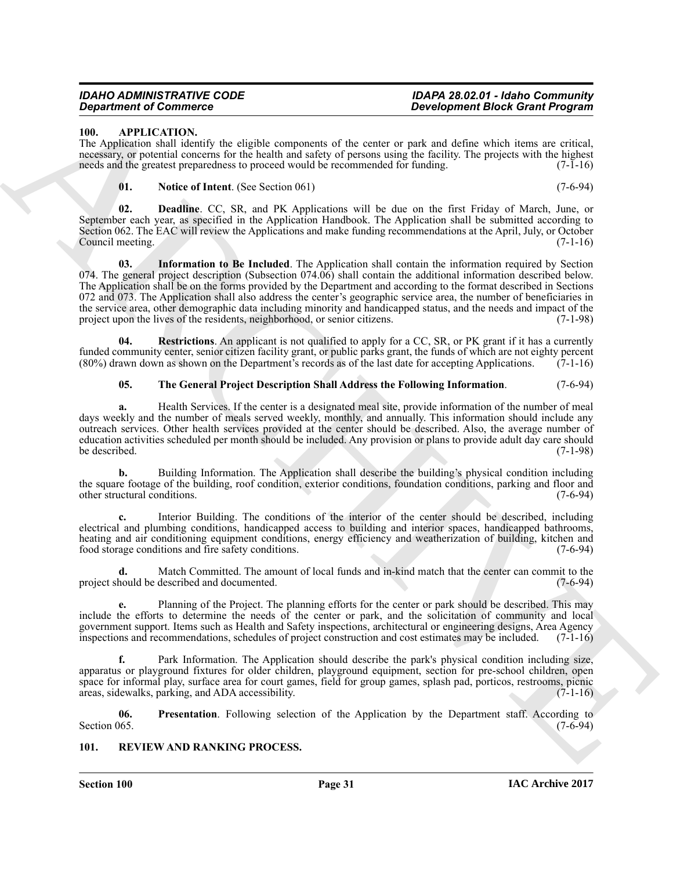# <span id="page-30-2"></span><span id="page-30-0"></span>**100. APPLICATION.**

The Application shall identify the eligible components of the center or park and define which items are critical, necessary, or potential concerns for the health and safety of persons using the facility. The projects with the highest<br>needs and the greatest preparedness to proceed would be recommended for funding. (7-1-16) needs and the greatest preparedness to proceed would be recommended for funding.

# <span id="page-30-5"></span><span id="page-30-4"></span><span id="page-30-3"></span>**01. Notice of Intent**. (See Section 061) (7-6-94)

**02. Deadline**. CC, SR, and PK Applications will be due on the first Friday of March, June, or September each year, as specified in the Application Handbook. The Application shall be submitted according to Section 062. The EAC will review the Applications and make funding recommendations at the April, July, or October<br>Council meeting. (7-1-16) Council meeting.

**Example for Commute Constraints of the content of the content of the content of the content of the content of the content of the content of the content of the content of the content of the content of the content of the c 03. Information to Be Included**. The Application shall contain the information required by Section 074. The general project description (Subsection 074.06) shall contain the additional information described below. The Application shall be on the forms provided by the Department and according to the format described in Sections 072 and 073. The Application shall also address the center's geographic service area, the number of beneficiaries in the service area, other demographic data including minority and handicapped status, and the needs and impact of the project upon the lives of the residents, neighborhood, or senior citizens. (7-1-98) project upon the lives of the residents, neighborhood, or senior citizens.

**04. Restrictions**. An applicant is not qualified to apply for a CC, SR, or PK grant if it has a currently funded community center, senior citizen facility grant, or public parks grant, the funds of which are not eighty percent (80%) drawn down as shown on the Department's records as of the last date for accepting Applications. (80%) drawn down as shown on the Department's records as of the last date for accepting Applications.

# <span id="page-30-8"></span><span id="page-30-7"></span>**05. The General Project Description Shall Address the Following Information**. (7-6-94)

**a.** Health Services. If the center is a designated meal site, provide information of the number of meal days weekly and the number of meals served weekly, monthly, and annually. This information should include any outreach services. Other health services provided at the center should be described. Also, the average number of education activities scheduled per month should be included. Any provision or plans to provide adult day care should be described.

**b.** Building Information. The Application shall describe the building's physical condition including the square footage of the building, roof condition, exterior conditions, foundation conditions, parking and floor and other structural conditions. (7-6-94)

**c.** Interior Building. The conditions of the interior of the center should be described, including electrical and plumbing conditions, handicapped access to building and interior spaces, handicapped bathrooms, heating and air conditioning equipment conditions, energy efficiency and weatherization of building, kitchen and food storage conditions and fire safety conditions. (7-6-94)

**d.** Match Committed. The amount of local funds and in-kind match that the center can commit to the hould be described and documented. (7-6-94) project should be described and documented.

**e.** Planning of the Project. The planning efforts for the center or park should be described. This may include the efforts to determine the needs of the center or park, and the solicitation of community and local government support. Items such as Health and Safety inspections, architectural or engineering designs, Area Agency<br>inspections and recommendations, schedules of project construction and cost estimates may be included. (7-1 inspections and recommendations, schedules of project construction and cost estimates may be included.

**f.** Park Information. The Application should describe the park's physical condition including size, apparatus or playground fixtures for older children, playground equipment, section for pre-school children, open space for informal play, surface area for court games, field for group games, splash pad, porticos, restrooms, picnic areas, sidewalks, parking, and ADA accessibility. (7-1-16)

<span id="page-30-6"></span>**06.** Presentation. Following selection of the Application by the Department staff. According to Section 065. (7-6-94) Section 065.  $(7-6-94)$ 

# <span id="page-30-9"></span><span id="page-30-1"></span>**101. REVIEW AND RANKING PROCESS.**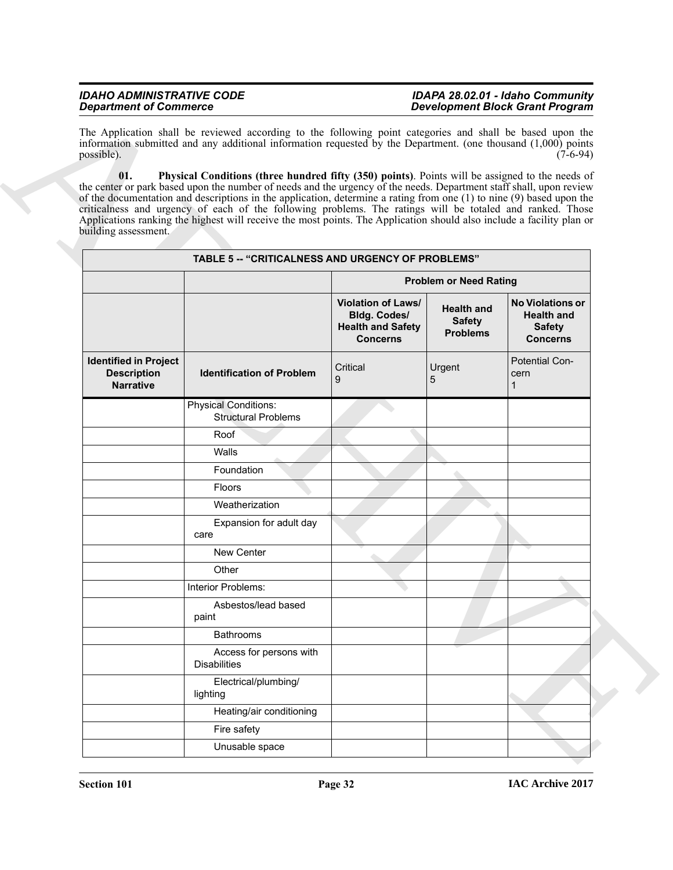<span id="page-31-0"></span>

|                                                                        | The Application shall be reviewed according to the following point categories and shall be based upon the<br>information submitted and any additional information requested by the Department. (one thousand (1,000) points                                                                                                                                                                                                                                                                                                                                                                        |                                                                                                 |                                                       |                                                                                  |
|------------------------------------------------------------------------|----------------------------------------------------------------------------------------------------------------------------------------------------------------------------------------------------------------------------------------------------------------------------------------------------------------------------------------------------------------------------------------------------------------------------------------------------------------------------------------------------------------------------------------------------------------------------------------------------|-------------------------------------------------------------------------------------------------|-------------------------------------------------------|----------------------------------------------------------------------------------|
| possible).<br>01.<br>building assessment.                              | $(7-6-94)$<br>Physical Conditions (three hundred fifty (350) points). Points will be assigned to the needs of<br>the center or park based upon the number of needs and the urgency of the needs. Department staff shall, upon review<br>of the documentation and descriptions in the application, determine a rating from one (1) to nine (9) based upon the<br>criticalness and urgency of each of the following problems. The ratings will be totaled and ranked. Those<br>Applications ranking the highest will receive the most points. The Application should also include a facility plan or |                                                                                                 |                                                       |                                                                                  |
|                                                                        |                                                                                                                                                                                                                                                                                                                                                                                                                                                                                                                                                                                                    | <b>TABLE 5 -- "CRITICALNESS AND URGENCY OF PROBLEMS"</b><br><b>Problem or Need Rating</b>       |                                                       |                                                                                  |
|                                                                        |                                                                                                                                                                                                                                                                                                                                                                                                                                                                                                                                                                                                    |                                                                                                 |                                                       |                                                                                  |
|                                                                        |                                                                                                                                                                                                                                                                                                                                                                                                                                                                                                                                                                                                    | <b>Violation of Laws/</b><br><b>Bldg. Codes/</b><br><b>Health and Safety</b><br><b>Concerns</b> | <b>Health and</b><br><b>Safety</b><br><b>Problems</b> | <b>No Violations or</b><br><b>Health and</b><br><b>Safety</b><br><b>Concerns</b> |
| <b>Identified in Project</b><br><b>Description</b><br><b>Narrative</b> | <b>Identification of Problem</b>                                                                                                                                                                                                                                                                                                                                                                                                                                                                                                                                                                   | Critical<br>9                                                                                   | Urgent<br>5                                           | Potential Con-<br>cern                                                           |
|                                                                        | <b>Physical Conditions:</b><br><b>Structural Problems</b>                                                                                                                                                                                                                                                                                                                                                                                                                                                                                                                                          |                                                                                                 |                                                       |                                                                                  |
|                                                                        | Roof                                                                                                                                                                                                                                                                                                                                                                                                                                                                                                                                                                                               |                                                                                                 |                                                       |                                                                                  |
|                                                                        | Walls                                                                                                                                                                                                                                                                                                                                                                                                                                                                                                                                                                                              |                                                                                                 |                                                       |                                                                                  |
|                                                                        | Foundation                                                                                                                                                                                                                                                                                                                                                                                                                                                                                                                                                                                         |                                                                                                 |                                                       |                                                                                  |
|                                                                        | Floors                                                                                                                                                                                                                                                                                                                                                                                                                                                                                                                                                                                             |                                                                                                 |                                                       |                                                                                  |
|                                                                        | Weatherization                                                                                                                                                                                                                                                                                                                                                                                                                                                                                                                                                                                     |                                                                                                 |                                                       |                                                                                  |
|                                                                        | Expansion for adult day<br>care                                                                                                                                                                                                                                                                                                                                                                                                                                                                                                                                                                    |                                                                                                 |                                                       |                                                                                  |
|                                                                        | New Center                                                                                                                                                                                                                                                                                                                                                                                                                                                                                                                                                                                         |                                                                                                 |                                                       |                                                                                  |
|                                                                        | Other                                                                                                                                                                                                                                                                                                                                                                                                                                                                                                                                                                                              |                                                                                                 |                                                       |                                                                                  |
|                                                                        | Interior Problems:                                                                                                                                                                                                                                                                                                                                                                                                                                                                                                                                                                                 |                                                                                                 |                                                       |                                                                                  |
|                                                                        | Asbestos/lead based<br>paint                                                                                                                                                                                                                                                                                                                                                                                                                                                                                                                                                                       |                                                                                                 |                                                       |                                                                                  |
|                                                                        | <b>Bathrooms</b>                                                                                                                                                                                                                                                                                                                                                                                                                                                                                                                                                                                   |                                                                                                 |                                                       |                                                                                  |
|                                                                        | Access for persons with<br><b>Disabilities</b>                                                                                                                                                                                                                                                                                                                                                                                                                                                                                                                                                     |                                                                                                 |                                                       |                                                                                  |
|                                                                        | Electrical/plumbing/<br>lighting                                                                                                                                                                                                                                                                                                                                                                                                                                                                                                                                                                   |                                                                                                 |                                                       |                                                                                  |
|                                                                        | Heating/air conditioning                                                                                                                                                                                                                                                                                                                                                                                                                                                                                                                                                                           |                                                                                                 |                                                       |                                                                                  |
|                                                                        | Fire safety                                                                                                                                                                                                                                                                                                                                                                                                                                                                                                                                                                                        |                                                                                                 |                                                       |                                                                                  |
|                                                                        | Unusable space                                                                                                                                                                                                                                                                                                                                                                                                                                                                                                                                                                                     |                                                                                                 |                                                       |                                                                                  |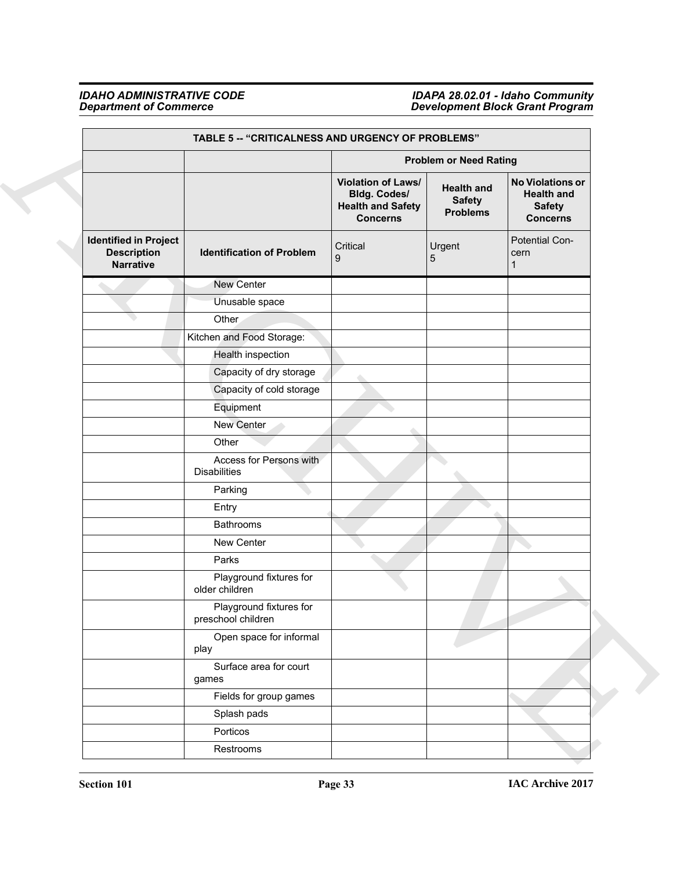# *Department of Commerce Development Block Grant Program*

*IDAHO ADMINISTRATIVE CODE IDAPA 28.02.01 - Idaho Community*

| TABLE 5 -- "CRITICALNESS AND URGENCY OF PROBLEMS"                      |                                                |                                                                                          |                                                       |                                                                                  |  |
|------------------------------------------------------------------------|------------------------------------------------|------------------------------------------------------------------------------------------|-------------------------------------------------------|----------------------------------------------------------------------------------|--|
|                                                                        |                                                |                                                                                          | <b>Problem or Need Rating</b>                         |                                                                                  |  |
|                                                                        |                                                | Violation of Laws/<br><b>Bldg. Codes/</b><br><b>Health and Safety</b><br><b>Concerns</b> | <b>Health and</b><br><b>Safety</b><br><b>Problems</b> | <b>No Violations or</b><br><b>Health and</b><br><b>Safety</b><br><b>Concerns</b> |  |
| <b>Identified in Project</b><br><b>Description</b><br><b>Narrative</b> | <b>Identification of Problem</b>               | Critical<br>9                                                                            | Urgent<br>5                                           | Potential Con-<br>cern<br>1                                                      |  |
|                                                                        | New Center                                     |                                                                                          |                                                       |                                                                                  |  |
|                                                                        | Unusable space                                 |                                                                                          |                                                       |                                                                                  |  |
|                                                                        | Other                                          |                                                                                          |                                                       |                                                                                  |  |
|                                                                        | Kitchen and Food Storage:                      |                                                                                          |                                                       |                                                                                  |  |
|                                                                        | Health inspection                              |                                                                                          |                                                       |                                                                                  |  |
|                                                                        | Capacity of dry storage                        |                                                                                          |                                                       |                                                                                  |  |
|                                                                        | Capacity of cold storage                       |                                                                                          |                                                       |                                                                                  |  |
|                                                                        | Equipment                                      |                                                                                          |                                                       |                                                                                  |  |
|                                                                        | New Center                                     |                                                                                          |                                                       |                                                                                  |  |
|                                                                        | Other                                          |                                                                                          |                                                       |                                                                                  |  |
|                                                                        | Access for Persons with<br><b>Disabilities</b> |                                                                                          |                                                       |                                                                                  |  |
|                                                                        | Parking                                        |                                                                                          |                                                       |                                                                                  |  |
|                                                                        | Entry                                          |                                                                                          |                                                       |                                                                                  |  |
|                                                                        | Bathrooms                                      |                                                                                          |                                                       |                                                                                  |  |
|                                                                        | New Center                                     |                                                                                          |                                                       |                                                                                  |  |
|                                                                        | Parks                                          |                                                                                          |                                                       |                                                                                  |  |
|                                                                        | Playground fixtures for<br>older children      |                                                                                          |                                                       |                                                                                  |  |
|                                                                        | Playground fixtures for<br>preschool children  |                                                                                          |                                                       |                                                                                  |  |
|                                                                        | Open space for informal<br>play                |                                                                                          |                                                       |                                                                                  |  |
|                                                                        | Surface area for court<br>games                |                                                                                          |                                                       |                                                                                  |  |
|                                                                        | Fields for group games                         |                                                                                          |                                                       |                                                                                  |  |
|                                                                        | Splash pads                                    |                                                                                          |                                                       |                                                                                  |  |
|                                                                        | Porticos                                       |                                                                                          |                                                       |                                                                                  |  |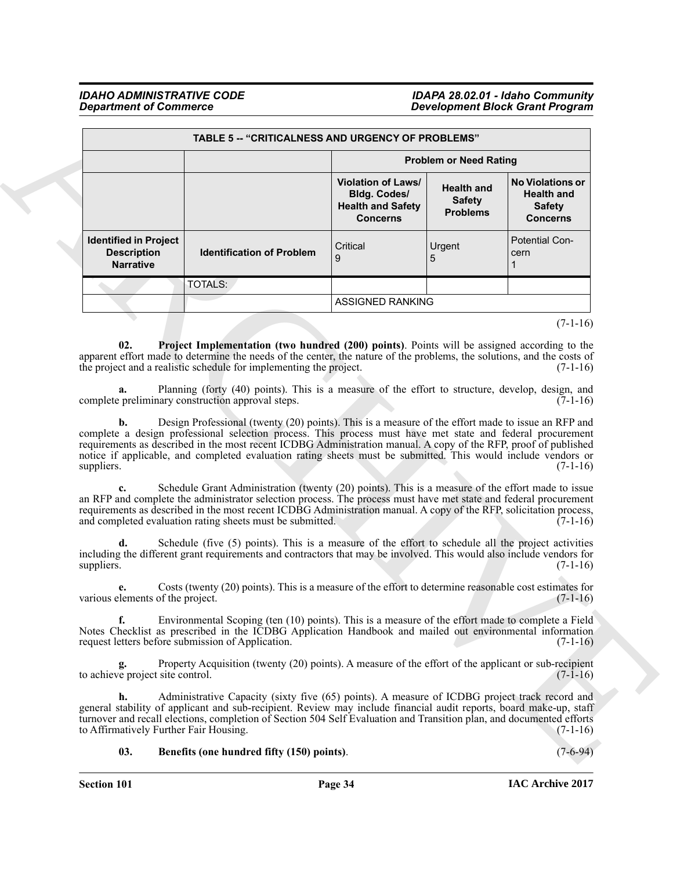<span id="page-33-1"></span>

| <b>TABLE 5 -- "CRITICALNESS AND URGENCY OF PROBLEMS"</b>                                    |                                                                                                                                                                                                                                                                                                                                                                                                                                                      |                                                                                                    |                                                       |                                                                                  |
|---------------------------------------------------------------------------------------------|------------------------------------------------------------------------------------------------------------------------------------------------------------------------------------------------------------------------------------------------------------------------------------------------------------------------------------------------------------------------------------------------------------------------------------------------------|----------------------------------------------------------------------------------------------------|-------------------------------------------------------|----------------------------------------------------------------------------------|
|                                                                                             |                                                                                                                                                                                                                                                                                                                                                                                                                                                      | <b>Problem or Need Rating</b>                                                                      |                                                       |                                                                                  |
|                                                                                             |                                                                                                                                                                                                                                                                                                                                                                                                                                                      | <b>Violation of Laws/</b><br><b>Bldg. Codes/</b><br><b>Health and Safety</b><br><b>Concerns</b>    | <b>Health and</b><br><b>Safety</b><br><b>Problems</b> | <b>No Violations or</b><br><b>Health and</b><br><b>Safety</b><br><b>Concerns</b> |
| <b>Identified in Project</b><br><b>Description</b><br><b>Narrative</b>                      | <b>Identification of Problem</b>                                                                                                                                                                                                                                                                                                                                                                                                                     | Critical<br>9                                                                                      | Urgent<br>5                                           | <b>Potential Con-</b><br>cern                                                    |
|                                                                                             | TOTALS:                                                                                                                                                                                                                                                                                                                                                                                                                                              |                                                                                                    |                                                       |                                                                                  |
|                                                                                             |                                                                                                                                                                                                                                                                                                                                                                                                                                                      | <b>ASSIGNED RANKING</b>                                                                            |                                                       |                                                                                  |
|                                                                                             |                                                                                                                                                                                                                                                                                                                                                                                                                                                      |                                                                                                    |                                                       | $(7-1-16)$                                                                       |
| a.                                                                                          | Planning (forty (40) points). This is a measure of the effort to structure, develop, design, and<br>complete preliminary construction approval steps.                                                                                                                                                                                                                                                                                                |                                                                                                    |                                                       | $(7-1-16)$                                                                       |
| b.<br>suppliers.                                                                            | Design Professional (twenty (20) points). This is a measure of the effort made to issue an RFP and<br>complete a design professional selection process. This process must have met state and federal procurement<br>requirements as described in the most recent ICDBG Administration manual. A copy of the RFP, proof of published<br>notice if applicable, and completed evaluation rating sheets must be submitted. This would include vendors or |                                                                                                    |                                                       | $(7-1-16)$                                                                       |
|                                                                                             | Schedule Grant Administration (twenty (20) points). This is a measure of the effort made to issue<br>an RFP and complete the administrator selection process. The process must have met state and federal procurement<br>requirements as described in the most recent ICDBG Administration manual. A copy of the RFP, solicitation process,<br>and completed evaluation rating sheets must be submitted.                                             |                                                                                                    |                                                       | $(7-1-16)$                                                                       |
|                                                                                             |                                                                                                                                                                                                                                                                                                                                                                                                                                                      |                                                                                                    |                                                       |                                                                                  |
|                                                                                             | including the different grant requirements and contractors that may be involved. This would also include vendors for                                                                                                                                                                                                                                                                                                                                 | Schedule (five (5) points). This is a measure of the effort to schedule all the project activities |                                                       |                                                                                  |
| suppliers.<br>e.<br>various elements of the project.                                        | Costs (twenty (20) points). This is a measure of the effort to determine reasonable cost estimates for                                                                                                                                                                                                                                                                                                                                               |                                                                                                    |                                                       | $(7-1-16)$<br>$(7-1-16)$                                                         |
| f.                                                                                          | Environmental Scoping (ten (10) points). This is a measure of the effort made to complete a Field<br>Notes Checklist as prescribed in the ICDBG Application Handbook and mailed out environmental information                                                                                                                                                                                                                                        |                                                                                                    |                                                       |                                                                                  |
| request letters before submission of Application.<br>g.<br>to achieve project site control. | Property Acquisition (twenty (20) points). A measure of the effort of the applicant or sub-recipient                                                                                                                                                                                                                                                                                                                                                 |                                                                                                    |                                                       | $(7-1-16)$<br>$(7-1-16)$                                                         |

# <span id="page-33-0"></span>**03. Benefits (one hundred fifty (150) points)**. (7-6-94)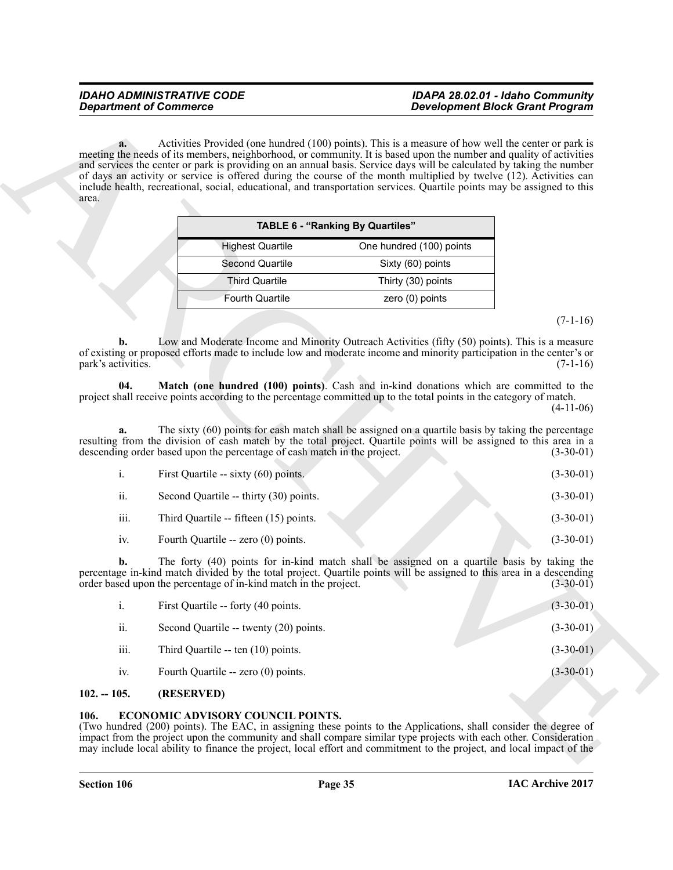| <b>TABLE 6 - "Ranking By Quartiles"</b> |                          |
|-----------------------------------------|--------------------------|
| <b>Highest Quartile</b>                 | One hundred (100) points |
| Second Quartile                         | Sixty (60) points        |
| <b>Third Quartile</b>                   | Thirty (30) points       |
| <b>Fourth Quartile</b>                  | zero $(0)$ points        |
|                                         |                          |

# $(7-1-16)$

<span id="page-34-3"></span>

|      | First Quartile -- sixty (60) points.   | $(3-30-01)$ |
|------|----------------------------------------|-------------|
| ii.  | Second Quartile -- thirty (30) points. | $(3-30-01)$ |
| iii. | Third Quartile -- fifteen (15) points. | $(3-30-01)$ |
| 1V.  | Fourth Quartile -- zero (0) points.    | $(3-30-01)$ |

| area.                    |                                                                          | meeting the needs of its members, neighborhood, or community. It is based upon the number and quality of activities<br>and services the center or park is providing on an annual basis. Service days will be calculated by taking the number<br>of days an activity or service is offered during the course of the month multiplied by twelve (12). Activities can<br>include health, recreational, social, educational, and transportation services. Quartile points may be assigned to this |             |
|--------------------------|--------------------------------------------------------------------------|-----------------------------------------------------------------------------------------------------------------------------------------------------------------------------------------------------------------------------------------------------------------------------------------------------------------------------------------------------------------------------------------------------------------------------------------------------------------------------------------------|-------------|
|                          |                                                                          | <b>TABLE 6 - "Ranking By Quartiles"</b>                                                                                                                                                                                                                                                                                                                                                                                                                                                       |             |
|                          | <b>Highest Quartile</b>                                                  | One hundred (100) points                                                                                                                                                                                                                                                                                                                                                                                                                                                                      |             |
|                          | Second Quartile                                                          | Sixty (60) points                                                                                                                                                                                                                                                                                                                                                                                                                                                                             |             |
|                          | <b>Third Quartile</b>                                                    | Thirty (30) points                                                                                                                                                                                                                                                                                                                                                                                                                                                                            |             |
|                          | <b>Fourth Quartile</b>                                                   | zero (0) points                                                                                                                                                                                                                                                                                                                                                                                                                                                                               |             |
|                          |                                                                          |                                                                                                                                                                                                                                                                                                                                                                                                                                                                                               | $(7-1-16)$  |
| b.<br>park's activities. |                                                                          | Low and Moderate Income and Minority Outreach Activities (fifty (50) points). This is a measure<br>of existing or proposed efforts made to include low and moderate income and minority participation in the center's or                                                                                                                                                                                                                                                                      | $(7-1-16)$  |
| 04.                      |                                                                          | Match (one hundred (100) points). Cash and in-kind donations which are committed to the<br>project shall receive points according to the percentage committed up to the total points in the category of match.                                                                                                                                                                                                                                                                                | $(4-11-06)$ |
|                          | descending order based upon the percentage of cash match in the project. | The sixty (60) points for cash match shall be assigned on a quartile basis by taking the percentage<br>resulting from the division of cash match by the total project. Quartile points will be assigned to this area in a                                                                                                                                                                                                                                                                     | $(3-30-01)$ |
| i.                       | First Quartile -- sixty (60) points.                                     |                                                                                                                                                                                                                                                                                                                                                                                                                                                                                               | $(3-30-01)$ |
| ii.                      | Second Quartile -- thirty (30) points.                                   |                                                                                                                                                                                                                                                                                                                                                                                                                                                                                               | $(3-30-01)$ |
|                          | Third Quartile -- fifteen (15) points.                                   |                                                                                                                                                                                                                                                                                                                                                                                                                                                                                               | $(3-30-01)$ |
| iii.                     |                                                                          |                                                                                                                                                                                                                                                                                                                                                                                                                                                                                               |             |
| iv.                      | Fourth Quartile -- zero (0) points.                                      |                                                                                                                                                                                                                                                                                                                                                                                                                                                                                               | $(3-30-01)$ |
| b.                       | order based upon the percentage of in-kind match in the project.         | The forty (40) points for in-kind match shall be assigned on a quartile basis by taking the<br>percentage in-kind match divided by the total project. Quartile points will be assigned to this area in a descending                                                                                                                                                                                                                                                                           | $(3-30-01)$ |
| $i$ .                    | First Quartile -- forty (40 points.                                      |                                                                                                                                                                                                                                                                                                                                                                                                                                                                                               | $(3-30-01)$ |
| ii.                      | Second Quartile -- twenty (20) points.                                   |                                                                                                                                                                                                                                                                                                                                                                                                                                                                                               | $(3-30-01)$ |
| iii.                     | Third Quartile -- ten (10) points.                                       |                                                                                                                                                                                                                                                                                                                                                                                                                                                                                               | $(3-30-01)$ |
|                          |                                                                          |                                                                                                                                                                                                                                                                                                                                                                                                                                                                                               |             |
| iv.<br>$102. - 105.$     | Fourth Quartile -- zero (0) points.<br>(RESERVED)                        |                                                                                                                                                                                                                                                                                                                                                                                                                                                                                               | $(3-30-01)$ |

# <span id="page-34-0"></span>**102. -- 105. (RESERVED)**

# <span id="page-34-2"></span><span id="page-34-1"></span>**106. ECONOMIC ADVISORY COUNCIL POINTS.**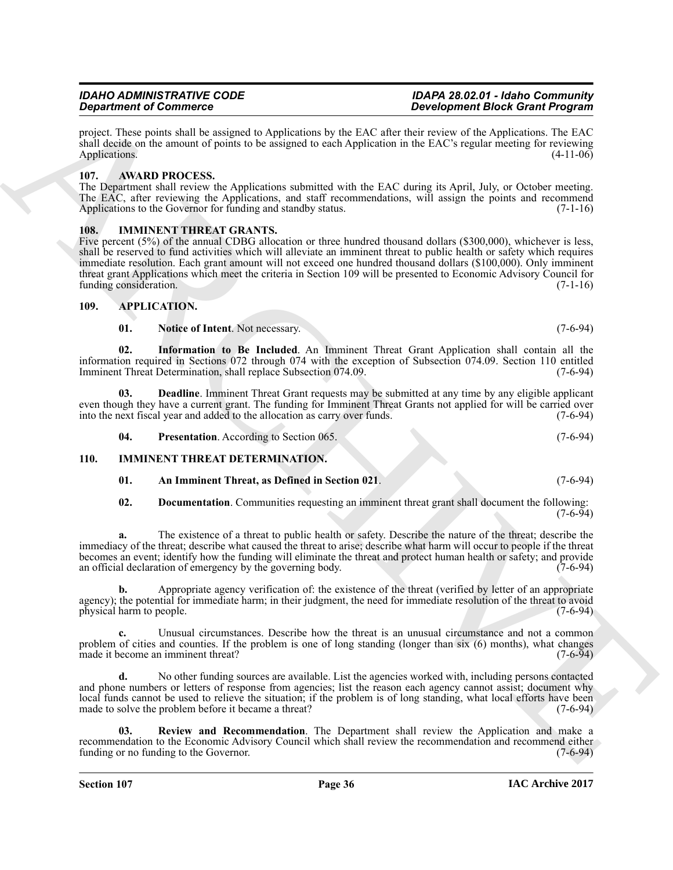shall decide on the amount of points to be assigned to each Application in the EAC's regular meeting for reviewing Applications. (4-11-06)

# <span id="page-35-9"></span><span id="page-35-0"></span>**107. AWARD PROCESS.**

Applications.

The Department shall review the Applications submitted with the EAC during its April, July, or October meeting. The EAC, after reviewing the Applications, and staff recommendations, will assign the points and recommend Applications to the Governor for funding and standby status. (7-1-16)

project. These points shall be assigned to Applications by the EAC after their review of the Applications. The EAC

# <span id="page-35-14"></span><span id="page-35-1"></span>**108. IMMINENT THREAT GRANTS.**

**Strainer of Construction Construction** The hydrodoxic Press (Section Construction Construction Construction Construction Construction Construction Construction Construction Construction Construction Construction Construc Five percent (5%) of the annual CDBG allocation or three hundred thousand dollars (\$300,000), whichever is less, shall be reserved to fund activities which will alleviate an imminent threat to public health or safety which requires immediate resolution. Each grant amount will not exceed one hundred thousand dollars (\$100,000). Only imminent threat grant Applications which meet the criteria in Section 109 will be presented to Economic Advisory Council for funding consideration.

# <span id="page-35-2"></span>**109. APPLICATION.**

<span id="page-35-7"></span><span id="page-35-6"></span><span id="page-35-4"></span>**01.** Notice of Intent. Not necessary. (7-6-94)

**02. Information to Be Included**. An Imminent Threat Grant Application shall contain all the information required in Sections 072 through 074 with the exception of Subsection 074.09. Section 110 entitled Imminent Threat Determination, shall replace Subsection 074.09. (7-6-94) Imminent Threat Determination, shall replace Subsection 074.09.

**03. Deadline**. Imminent Threat Grant requests may be submitted at any time by any eligible applicant even though they have a current grant. The funding for Imminent Threat Grants not applied for will be carried over<br>into the next fiscal year and added to the allocation as carry over funds. into the next fiscal year and added to the allocation as carry over funds.

<span id="page-35-10"></span><span id="page-35-8"></span><span id="page-35-5"></span>**04.** Presentation. According to Section 065. (7-6-94)

# <span id="page-35-3"></span>**110. IMMINENT THREAT DETERMINATION.**

# <span id="page-35-11"></span>**01. An Imminent Threat, as Defined in Section 021**. (7-6-94)

<span id="page-35-12"></span>**02. Documentation**. Communities requesting an imminent threat grant shall document the following:  $(7-6-94)$ 

**a.** The existence of a threat to public health or safety. Describe the nature of the threat; describe the immediacy of the threat; describe what caused the threat to arise; describe what harm will occur to people if the threat becomes an event; identify how the funding will eliminate the threat and protect human health or safety; and provide an official declaration of emergency by the governing body.

**b.** Appropriate agency verification of: the existence of the threat (verified by letter of an appropriate agency); the potential for immediate harm; in their judgment, the need for immediate resolution of the threat to avoid physical harm to people. (7-6-94) physical harm to people.

**c.** Unusual circumstances. Describe how the threat is an unusual circumstance and not a common problem of cities and counties. If the problem is one of long standing (longer than six  $(6)$  months), what changes made it become an imminent threat?  $(7-6-94)$ made it become an imminent threat?

**d.** No other funding sources are available. List the agencies worked with, including persons contacted and phone numbers or letters of response from agencies; list the reason each agency cannot assist; document why local funds cannot be used to relieve the situation; if the problem is of long standing, what local efforts have been made to solve the problem before it became a threat? (7-6-94)

<span id="page-35-13"></span>**03. Review and Recommendation**. The Department shall review the Application and make a recommendation to the Economic Advisory Council which shall review the recommendation and recommend either funding or no funding to the Governor. (7-6-94)

**Section 107 Page 36**

# *IDAHO ADMINISTRATIVE CODE IDAPA 28.02.01 - Idaho Community Development Block Grant Program*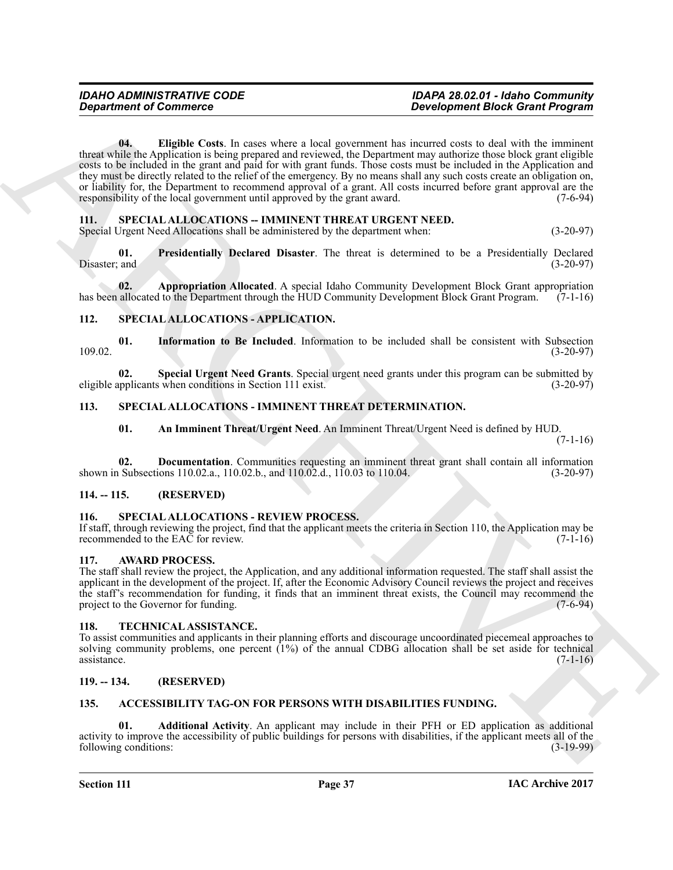**Experiment of Commission**<br> **Experiment the Constraint Constraint Constraint Constraint Constraint Constraint Constraint Constraint Constraint Constraint Constraint Constraint Constraint Constraint Constraint Constraint C 04. Eligible Costs**. In cases where a local government has incurred costs to deal with the imminent threat while the Application is being prepared and reviewed, the Department may authorize those block grant eligible costs to be included in the grant and paid for with grant funds. Those costs must be included in the Application and they must be directly related to the relief of the emergency. By no means shall any such costs create an obligation on, or liability for, the Department to recommend approval of a grant. All costs incurred before grant approval are the responsibility of the local government until approved by the grant award. (7-6-94) responsibility of the local government until approved by the grant award.

# <span id="page-36-20"></span><span id="page-36-12"></span><span id="page-36-0"></span>**111. SPECIAL ALLOCATIONS -- IMMINENT THREAT URGENT NEED.**

<span id="page-36-22"></span>Special Urgent Need Allocations shall be administered by the department when: (3-20-97)

**01. Presidentially Declared Disaster**. The threat is determined to be a Presidentially Declared Disaster; and (3-20-97) (3-20-97)

<span id="page-36-21"></span>**02. Appropriation Allocated**. A special Idaho Community Development Block Grant appropriation allocated to the Department through the HUD Community Development Block Grant Program. (7-1-16) has been allocated to the Department through the HUD Community Development Block Grant Program.

# <span id="page-36-14"></span><span id="page-36-1"></span>**112. SPECIAL ALLOCATIONS - APPLICATION.**

<span id="page-36-15"></span>**01.** Information to Be Included. Information to be included shall be consistent with Subsection (3-20-97) 109.02. (3-20-97)

**02.** Special Urgent Need Grants. Special urgent need grants under this program can be submitted by upplicants when conditions in Section 111 exist. eligible applicants when conditions in Section 111 exist.

# <span id="page-36-2"></span>**113. SPECIAL ALLOCATIONS - IMMINENT THREAT DETERMINATION.**

<span id="page-36-19"></span><span id="page-36-18"></span><span id="page-36-17"></span><span id="page-36-16"></span>**01. An Imminent Threat/Urgent Need**. An Imminent Threat/Urgent Need is defined by HUD.

 $(7-1-16)$ 

**02. Documentation**. Communities requesting an imminent threat grant shall contain all information Subsections 110.02.a., 110.02.b., and 110.02.d., 110.03 to 110.04. shown in Subsections 110.02.a., 110.02.b., and  $110.02$ .d.,  $110.03$  to  $110.04$ .

# <span id="page-36-3"></span>**114. -- 115. (RESERVED)**

# <span id="page-36-13"></span><span id="page-36-4"></span>**116. SPECIAL ALLOCATIONS - REVIEW PROCESS.**

If staff, through reviewing the project, find that the applicant meets the criteria in Section 110, the Application may be recommended to the EAC for review. (7-1-16)

# <span id="page-36-11"></span><span id="page-36-5"></span>**117. AWARD PROCESS.**

The staff shall review the project, the Application, and any additional information requested. The staff shall assist the applicant in the development of the project. If, after the Economic Advisory Council reviews the project and receives the staff's recommendation for funding, it finds that an imminent threat exists, the Council may recommend the project to the Governor for funding. (7-6-94) project to the Governor for funding.

# <span id="page-36-23"></span><span id="page-36-6"></span>**118. TECHNICAL ASSISTANCE.**

To assist communities and applicants in their planning efforts and discourage uncoordinated piecemeal approaches to solving community problems, one percent  $(1%)$  of the annual CDBG allocation shall be set aside for technical assistance.  $(7-1-16)$  $\alpha$ ssistance. (7-1-16)

# <span id="page-36-7"></span>**119. -- 134. (RESERVED)**

# <span id="page-36-9"></span><span id="page-36-8"></span>**135. ACCESSIBILITY TAG-ON FOR PERSONS WITH DISABILITIES FUNDING.**

<span id="page-36-10"></span>**01. Additional Activity**. An applicant may include in their PFH or ED application as additional activity to improve the accessibility of public buildings for persons with disabilities, if the applicant meets all of the following conditions: (3-19-99) following conditions: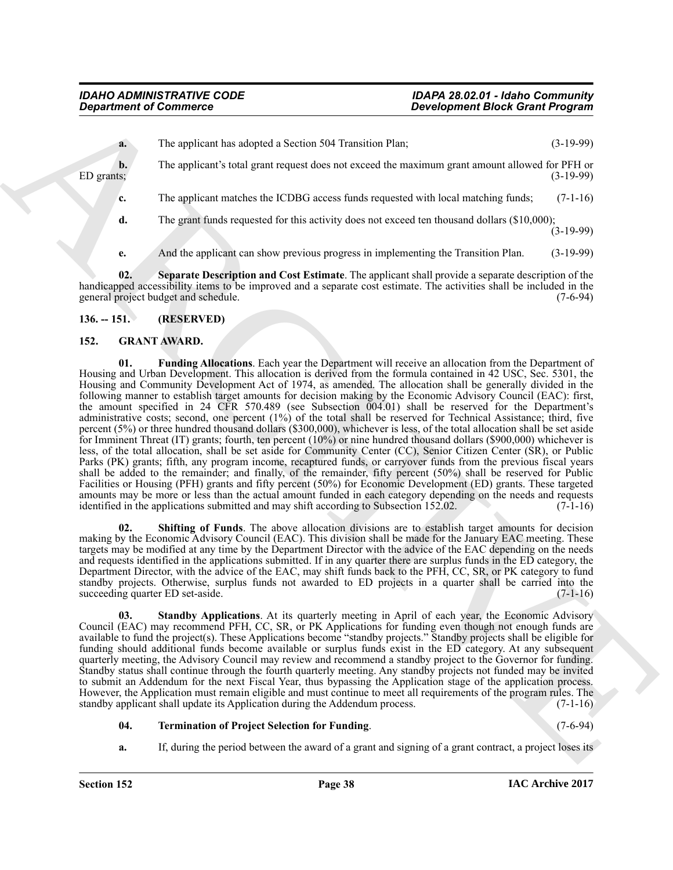**a.** The applicant has adopted a Section 504 Transition Plan; (3-19-99) **b.** The applicant's total grant request does not exceed the maximum grant amount allowed for PFH or ED grants; (3-19-99)

 $ED$  grants;  $(3-19-99)$ 

**c.** The applicant matches the ICDBG access funds requested with local matching funds; (7-1-16)

**d.** The grant funds requested for this activity does not exceed ten thousand dollars (\$10,000);  $(3-19-99)$ 

<span id="page-37-2"></span>**e.** And the applicant can show previous progress in implementing the Transition Plan. (3-19-99)

**02. Separate Description and Cost Estimate**. The applicant shall provide a separate description of the handicapped accessibility items to be improved and a separate cost estimate. The activities shall be included in the general project budget and schedule. (7-6-94)

# <span id="page-37-0"></span>**136. -- 151. (RESERVED)**

# <span id="page-37-4"></span><span id="page-37-3"></span><span id="page-37-1"></span>**152. GRANT AWARD.**

**Experiment of Commission and Supplet above 591 Translation The Residential Coll (1987)<br>
TD grass are not supplet above the most above that measurement above the first supplet of the system of the system of the system of 01. Funding Allocations**. Each year the Department will receive an allocation from the Department of Housing and Urban Development. This allocation is derived from the formula contained in 42 USC, Sec. 5301, the Housing and Community Development Act of 1974, as amended. The allocation shall be generally divided in the following manner to establish target amounts for decision making by the Economic Advisory Council (EAC): first, the amount specified in 24 CFR 570.489 (see Subsection 004.01) shall be reserved for the Department's administrative costs; second, one percent (1%) of the total shall be reserved for Technical Assistance; third, five percent (5%) or three hundred thousand dollars (\$300,000), whichever is less, of the total allocation shall be set aside for Imminent Threat (IT) grants; fourth, ten percent (10%) or nine hundred thousand dollars (\$900,000) whichever is less, of the total allocation, shall be set aside for Community Center (CC), Senior Citizen Center (SR), or Public Parks (PK) grants; fifth, any program income, recaptured funds, or carryover funds from the previous fiscal years shall be added to the remainder; and finally, of the remainder, fifty percent (50%) shall be reserved for Public Facilities or Housing (PFH) grants and fifty percent (50%) for Economic Development (ED) grants. These targeted amounts may be more or less than the actual amount funded in each category depending on the needs and requests identified in the applications submitted and may shift according to Subsection 152.02. (7-1-16) identified in the applications submitted and may shift according to Subsection 152.02.

<span id="page-37-5"></span>**Shifting of Funds**. The above allocation divisions are to establish target amounts for decision making by the Economic Advisory Council (EAC). This division shall be made for the January EAC meeting. These targets may be modified at any time by the Department Director with the advice of the EAC depending on the needs and requests identified in the applications submitted. If in any quarter there are surplus funds in the ED category, the Department Director, with the advice of the EAC, may shift funds back to the PFH, CC, SR, or PK category to fund standby projects. Otherwise, surplus funds not awarded to ED projects in a quarter shall be carried into the succeeding quarter ED set-aside. (7-1-16)

<span id="page-37-6"></span>**03. Standby Applications**. At its quarterly meeting in April of each year, the Economic Advisory Council (EAC) may recommend PFH, CC, SR, or PK Applications for funding even though not enough funds are available to fund the project(s). These Applications become "standby projects." Standby projects shall be eligible for funding should additional funds become available or surplus funds exist in the ED category. At any subsequent quarterly meeting, the Advisory Council may review and recommend a standby project to the Governor for funding. Standby status shall continue through the fourth quarterly meeting. Any standby projects not funded may be invited to submit an Addendum for the next Fiscal Year, thus bypassing the Application stage of the application process. However, the Application must remain eligible and must continue to meet all requirements of the program rules. The standby applicant shall update its Application during the Addendum process. (7-1-16)

# <span id="page-37-7"></span>**04. Termination of Project Selection for Funding**. (7-6-94)

**a.** If, during the period between the award of a grant and signing of a grant contract, a project loses its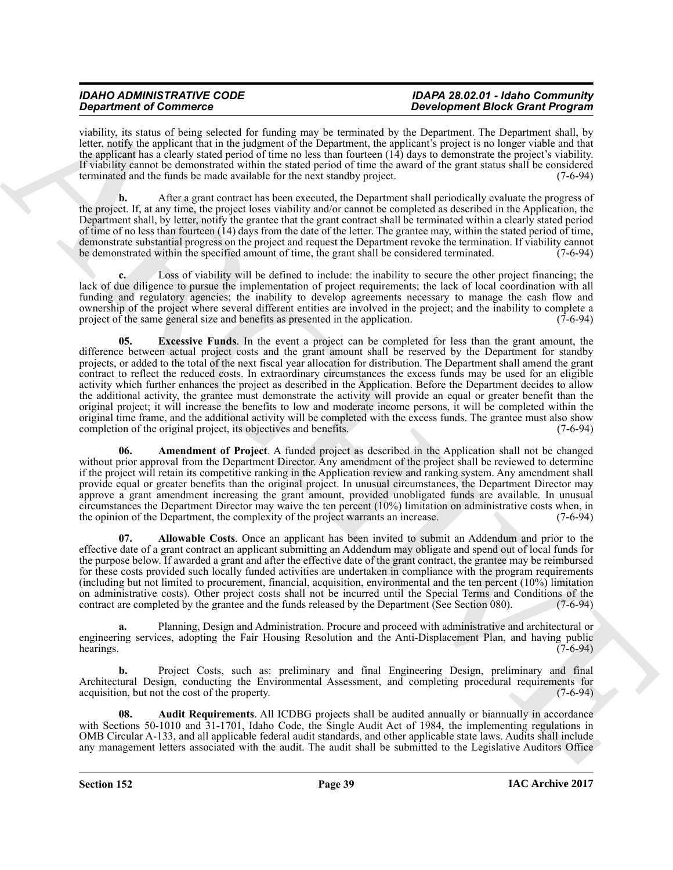viability, its status of being selected for funding may be terminated by the Department. The Department shall, by letter, notify the applicant that in the judgment of the Department, the applicant's project is no longer viable and that the applicant has a clearly stated period of time no less than fourteen (14) days to demonstrate the project's viability. If viability cannot be demonstrated within the stated period of time the award of the grant status shall be considered terminated and the funds be made available for the next standby project. (7-6-94)

**b.** After a grant contract has been executed, the Department shall periodically evaluate the progress of the project. If, at any time, the project loses viability and/or cannot be completed as described in the Application, the Department shall, by letter, notify the grantee that the grant contract shall be terminated within a clearly stated period of time of no less than fourteen (14) days from the date of the letter. The grantee may, within the stated period of time, demonstrate substantial progress on the project and request the Department revoke the termination. If viability cannot be demonstrated within the specified amount of time, the grant shall be considered terminated. (7-6-94) be demonstrated within the specified amount of time, the grant shall be considered terminated.

<span id="page-38-3"></span>Loss of viability will be defined to include: the inability to secure the other project financing; the lack of due diligence to pursue the implementation of project requirements; the lack of local coordination with all funding and regulatory agencies; the inability to develop agreements necessary to manage the cash flow and ownership of the project where several different entities are involved in the project; and the inability to complete a project of the same general size and benefits as presented in the application. (7-6-94) project of the same general size and benefits as presented in the application.

Graduation of Construction 14 a distribution to be a sequence of the Construction of the Construction of the Construction of the Construction 14 a distribution in the Construction of the Construction of the Construction o **05. Excessive Funds**. In the event a project can be completed for less than the grant amount, the difference between actual project costs and the grant amount shall be reserved by the Department for standby projects, or added to the total of the next fiscal year allocation for distribution. The Department shall amend the grant contract to reflect the reduced costs. In extraordinary circumstances the excess funds may be used for an eligible activity which further enhances the project as described in the Application. Before the Department decides to allow the additional activity, the grantee must demonstrate the activity will provide an equal or greater benefit than the original project; it will increase the benefits to low and moderate income persons, it will be completed within the original time frame, and the additional activity will be completed with the excess funds. The grantee must also show completion of the original project, its objectives and benefits. (7-6-94) completion of the original project, its objectives and benefits.

<span id="page-38-2"></span>**06. Amendment of Project**. A funded project as described in the Application shall not be changed without prior approval from the Department Director. Any amendment of the project shall be reviewed to determine if the project will retain its competitive ranking in the Application review and ranking system. Any amendment shall provide equal or greater benefits than the original project. In unusual circumstances, the Department Director may approve a grant amendment increasing the grant amount, provided unobligated funds are available. In unusual circumstances the Department Director may waive the ten percent (10%) limitation on administrative costs when, in the opinion of the Department, the complexity of the project warrants an increase.

<span id="page-38-1"></span>**07. Allowable Costs**. Once an applicant has been invited to submit an Addendum and prior to the effective date of a grant contract an applicant submitting an Addendum may obligate and spend out of local funds for the purpose below. If awarded a grant and after the effective date of the grant contract, the grantee may be reimbursed for these costs provided such locally funded activities are undertaken in compliance with the program requirements (including but not limited to procurement, financial, acquisition, environmental and the ten percent (10%) limitation on administrative costs). Other project costs shall not be incurred until the Special Terms and Conditions of the contract are completed by the grantee and the funds released by the Department (See Section 080). (7-6-94) contract are completed by the grantee and the funds released by the Department (See Section 080).

**a.** Planning, Design and Administration. Procure and proceed with administrative and architectural or engineering services, adopting the Fair Housing Resolution and the Anti-Displacement Plan, and having public hearings. (7-6-94) hearings.  $(7-6-94)$ 

**b.** Project Costs, such as: preliminary and final Engineering Design, preliminary and final Architectural Design, conducting the Environmental Assessment, and completing procedural requirements for acquisition, but not the cost of the property. (7-6-94)

<span id="page-38-0"></span>**08. Audit Requirements**. All ICDBG projects shall be audited annually or biannually in accordance with Sections 50-1010 and 31-1701, Idaho Code, the Single Audit Act of 1984, the implementing regulations in OMB Circular A-133, and all applicable federal audit standards, and other applicable state laws. Audits shall include any management letters associated with the audit. The audit shall be submitted to the Legislative Auditors Office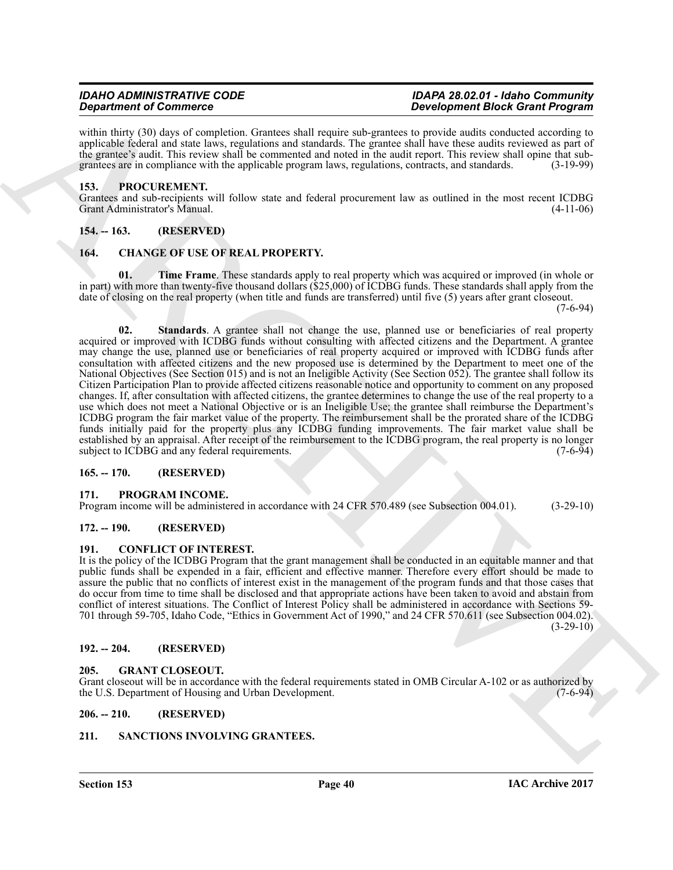within thirty (30) days of completion. Grantees shall require sub-grantees to provide audits conducted according to applicable federal and state laws, regulations and standards. The grantee shall have these audits reviewed as part of the grantee's audit. This review shall be commented and noted in the audit report. This review shall opine that subgrantees are in compliance with the applicable program laws, regulations, contracts, and standards. (3-19-99)

# <span id="page-39-16"></span><span id="page-39-0"></span>**153. PROCUREMENT.**

Grantees and sub-recipients will follow state and federal procurement law as outlined in the most recent ICDBG Grant Administrator's Manual. (4-11-06)

# <span id="page-39-1"></span>**154. -- 163. (RESERVED)**

# <span id="page-39-11"></span><span id="page-39-2"></span>**164. CHANGE OF USE OF REAL PROPERTY.**

<span id="page-39-13"></span><span id="page-39-12"></span>**01. Time Frame**. These standards apply to real property which was acquired or improved (in whole or in part) with more than twenty-five thousand dollars (\$25,000) of ICDBG funds. These standards shall apply from the date of closing on the real property (when title and funds are transferred) until five (5) years after grant closeout.

(7-6-94)

**Strainer of Construction Constrainers** (and suppose the matrix of position in the Constrainers (and the constrainers of the constrainers of the constrainers (and the constrainers of the constrainers (and the constrainers **02. Standards**. A grantee shall not change the use, planned use or beneficiaries of real property acquired or improved with ICDBG funds without consulting with affected citizens and the Department. A grantee may change the use, planned use or beneficiaries of real property acquired or improved with ICDBG funds after consultation with affected citizens and the new proposed use is determined by the Department to meet one of the National Objectives (See Section 015) and is not an Ineligible Activity (See Section 052). The grantee shall follow its Citizen Participation Plan to provide affected citizens reasonable notice and opportunity to comment on any proposed changes. If, after consultation with affected citizens, the grantee determines to change the use of the real property to a use which does not meet a National Objective or is an Ineligible Use; the grantee shall reimburse the Department's ICDBG program the fair market value of the property. The reimbursement shall be the prorated share of the ICDBG funds initially paid for the property plus any ICDBG funding improvements. The fair market value shall be established by an appraisal. After receipt of the reimbursement to the ICDBG program, the real property is no longer subject to ICDBG and any federal requirements. (7-6-94)

# <span id="page-39-3"></span>**165. -- 170. (RESERVED)**

# <span id="page-39-17"></span><span id="page-39-4"></span>**171. PROGRAM INCOME.**

Program income will be administered in accordance with 24 CFR 570.489 (see Subsection 004.01). (3-29-10)

# <span id="page-39-5"></span>**172. -- 190. (RESERVED)**

# <span id="page-39-14"></span><span id="page-39-6"></span>**191. CONFLICT OF INTEREST.**

It is the policy of the ICDBG Program that the grant management shall be conducted in an equitable manner and that public funds shall be expended in a fair, efficient and effective manner. Therefore every effort should be made to assure the public that no conflicts of interest exist in the management of the program funds and that those cases that do occur from time to time shall be disclosed and that appropriate actions have been taken to avoid and abstain from conflict of interest situations. The Conflict of Interest Policy shall be administered in accordance with Sections 59- 701 through 59-705, Idaho Code, "Ethics in Government Act of 1990," and 24 CFR 570.611 (see Subsection 004.02).  $(3-29-10)$ 

# <span id="page-39-7"></span>**192. -- 204. (RESERVED)**

# <span id="page-39-15"></span><span id="page-39-8"></span>**205. GRANT CLOSEOUT.**

Grant closeout will be in accordance with the federal requirements stated in OMB Circular A-102 or as authorized by the U.S. Department of Housing and Urban Development. (7-6-94)

# <span id="page-39-9"></span>**206. -- 210. (RESERVED)**

# <span id="page-39-18"></span><span id="page-39-10"></span>**211. SANCTIONS INVOLVING GRANTEES.**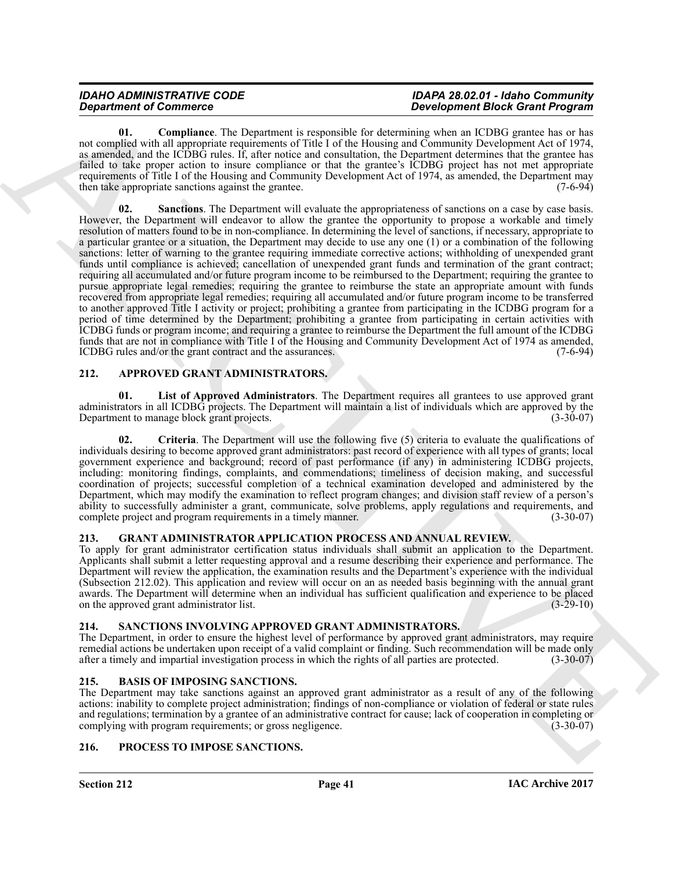<span id="page-40-13"></span><span id="page-40-12"></span>**01. Compliance**. The Department is responsible for determining when an ICDBG grantee has or has not complied with all appropriate requirements of Title I of the Housing and Community Development Act of 1974, as amended, and the ICDBG rules. If, after notice and consultation, the Department determines that the grantee has failed to take proper action to insure compliance or that the grantee's ICDBG project has not met appropriate requirements of Title I of the Housing and Community Development Act of 1974, as amended, the Department may then take appropriate sanctions against the grantee. (7-6-94)

**Department of Construction** 1. L. University in expertation of maximum is a constrained in the United States of the United States and Construction 1. L. United States and Construction 1. L. United States and Construction **02.** Sanctions. The Department will evaluate the appropriateness of sanctions on a case by case basis. However, the Department will endeavor to allow the grantee the opportunity to propose a workable and timely resolution of matters found to be in non-compliance. In determining the level of sanctions, if necessary, appropriate to a particular grantee or a situation, the Department may decide to use any one (1) or a combination of the following sanctions: letter of warning to the grantee requiring immediate corrective actions; withholding of unexpended grant funds until compliance is achieved; cancellation of unexpended grant funds and termination of the grant contract; requiring all accumulated and/or future program income to be reimbursed to the Department; requiring the grantee to pursue appropriate legal remedies; requiring the grantee to reimburse the state an appropriate amount with funds recovered from appropriate legal remedies; requiring all accumulated and/or future program income to be transferred to another approved Title I activity or project; prohibiting a grantee from participating in the ICDBG program for a period of time determined by the Department; prohibiting a grantee from participating in certain activities with ICDBG funds or program income; and requiring a grantee to reimburse the Department the full amount of the ICDBG funds that are not in compliance with Title I of the Housing and Community Development Act of 1974 as amended, ICDBG rules and/or the grant contract and the assurances. (7-6-94)

# <span id="page-40-5"></span><span id="page-40-0"></span>**212. APPROVED GRANT ADMINISTRATORS.**

<span id="page-40-7"></span>**01. List of Approved Administrators**. The Department requires all grantees to use approved grant administrators in all ICDBG projects. The Department will maintain a list of individuals which are approved by the Department to manage block grant projects. Department to manage block grant projects.

<span id="page-40-6"></span>**02. Criteria**. The Department will use the following five (5) criteria to evaluate the qualifications of individuals desiring to become approved grant administrators: past record of experience with all types of grants; local government experience and background; record of past performance (if any) in administering ICDBG projects, including: monitoring findings, complaints, and commendations; timeliness of decision making, and successful coordination of projects; successful completion of a technical examination developed and administered by the Department, which may modify the examination to reflect program changes; and division staff review of a person's ability to successfully administer a grant, communicate, solve problems, apply regulations and requirements, and complete project and program requirements in a timely manner. (3-30-07) complete project and program requirements in a timely manner.

# <span id="page-40-9"></span><span id="page-40-1"></span>**213. GRANT ADMINISTRATOR APPLICATION PROCESS AND ANNUAL REVIEW.**

To apply for grant administrator certification status individuals shall submit an application to the Department. Applicants shall submit a letter requesting approval and a resume describing their experience and performance. The Department will review the application, the examination results and the Department's experience with the individual (Subsection 212.02). This application and review will occur on an as needed basis beginning with the annual grant awards. The Department will determine when an individual has sufficient qualification and experience to be placed<br>on the approved grant administrator list. on the approved grant administrator list.

# <span id="page-40-11"></span><span id="page-40-2"></span>**214. SANCTIONS INVOLVING APPROVED GRANT ADMINISTRATORS.**

The Department, in order to ensure the highest level of performance by approved grant administrators, may require remedial actions be undertaken upon receipt of a valid complaint or finding. Such recommendation will be made only after a timely and impartial investigation process in which the rights of all parties are protected.  $(3-30-07)$ 

# <span id="page-40-8"></span><span id="page-40-3"></span>**215. BASIS OF IMPOSING SANCTIONS.**

The Department may take sanctions against an approved grant administrator as a result of any of the following actions: inability to complete project administration; findings of non-compliance or violation of federal or state rules and regulations; termination by a grantee of an administrative contract for cause; lack of cooperation in completing or complying with program requirements; or gross negligence. (3-30-07) complying with program requirements; or gross negligence.

# <span id="page-40-10"></span><span id="page-40-4"></span>**216. PROCESS TO IMPOSE SANCTIONS.**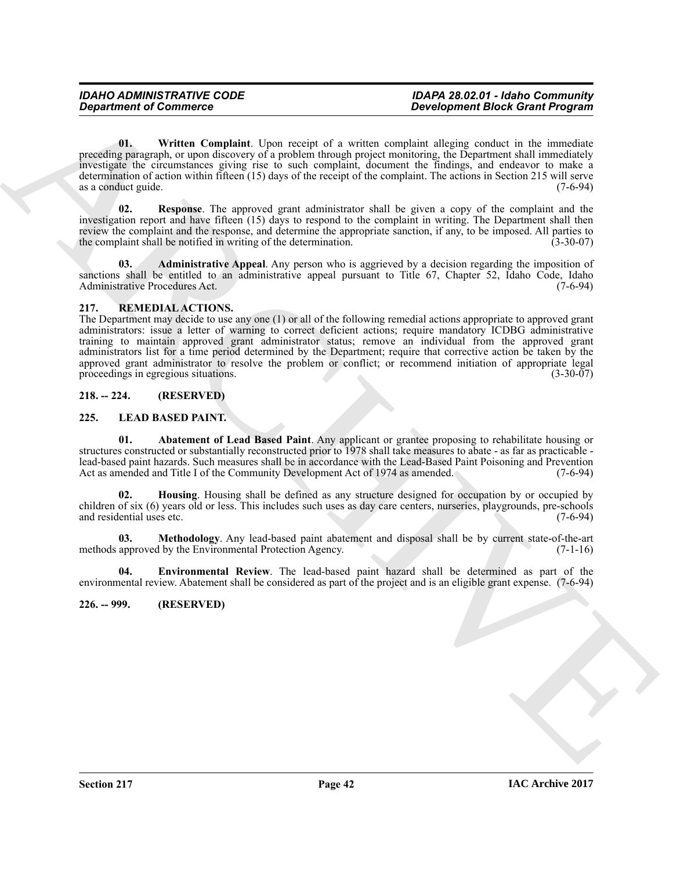<span id="page-41-11"></span>**01. Written Complaint**. Upon receipt of a written complaint alleging conduct in the immediate preceding paragraph, or upon discovery of a problem through project monitoring, the Department shall immediately investigate the circumstances giving rise to such complaint, document the findings, and endeavor to make a determination of action within fifteen (15) days of the receipt of the complaint. The actions in Section 215 will serve as a conduct guide. (7-6-94)

<span id="page-41-10"></span>**02. Response**. The approved grant administrator shall be given a copy of the complaint and the investigation report and have fifteen (15) days to respond to the complaint in writing. The Department shall then review the complaint and the response, and determine the appropriate sanction, if any, to be imposed. All parties to the complaint shall be notified in writing of the determination. (3-30-07)

<span id="page-41-9"></span>**03. Administrative Appeal**. Any person who is aggrieved by a decision regarding the imposition of sanctions shall be entitled to an administrative appeal pursuant to Title 67, Chapter 52, Idaho Code, Idaho Administrative Procedures Act. (7-6-94)

# <span id="page-41-12"></span><span id="page-41-0"></span>**217. REMEDIAL ACTIONS.**

**Department of Communice Transformation**<br>
University of a scalar displacement and the state and the state control of the state of the state of the state of the state of the state of the state of the state of the state of The Department may decide to use any one (1) or all of the following remedial actions appropriate to approved grant administrators: issue a letter of warning to correct deficient actions; require mandatory ICDBG administrative training to maintain approved grant administrator status; remove an individual from the approved grant administrators list for a time period determined by the Department; require that corrective action be taken by the approved grant administrator to resolve the problem or conflict; or recommend initiation of appropriate legal proceedings in egregious situations. (3-30-07) proceedings in egregious situations.

# <span id="page-41-1"></span>**218. -- 224. (RESERVED)**

# <span id="page-41-4"></span><span id="page-41-2"></span>**225. LEAD BASED PAINT.**

<span id="page-41-5"></span>**01. Abatement of Lead Based Paint**. Any applicant or grantee proposing to rehabilitate housing or structures constructed or substantially reconstructed prior to 1978 shall take measures to abate - as far as practicable lead-based paint hazards. Such measures shall be in accordance with the Lead-Based Paint Poisoning and Prevention<br>Act as amended and Title I of the Community Development Act of 1974 as amended. (7-6-94) Act as amended and Title I of the Community Development Act of 1974 as amended.

<span id="page-41-7"></span>**02. Housing**. Housing shall be defined as any structure designed for occupation by or occupied by children of six (6) years old or less. This includes such uses as day care centers, nurseries, playgrounds, pre-schools and residential uses etc.

<span id="page-41-8"></span>**03.** Methodology. Any lead-based paint abatement and disposal shall be by current state-of-the-art approved by the Environmental Protection Agency. (7-1-16) methods approved by the Environmental Protection Agency.

<span id="page-41-6"></span>**04. Environmental Review**. The lead-based paint hazard shall be determined as part of the environmental review. Abatement shall be considered as part of the project and is an eligible grant expense. (7-6-94)

# <span id="page-41-3"></span>**226. -- 999. (RESERVED)**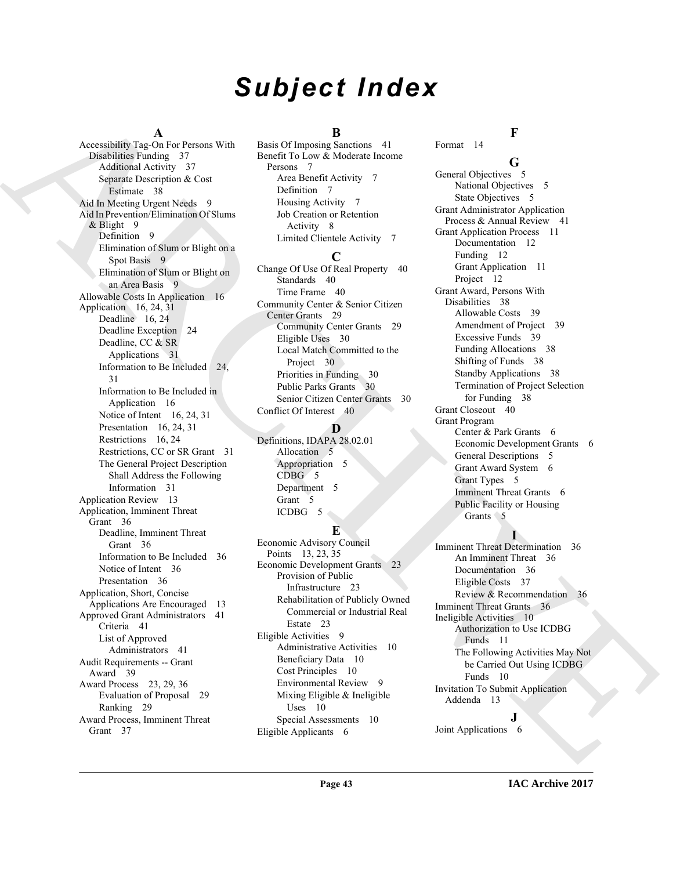# *Subject Index*

# **A**

Anomalog regular bost points of the control of the control of the control of the control of the control of the control of the control of the control of the control of the control of the control of the control of the contr Accessibility Tag-On For Persons With Disabilities Funding 37 Additional Activity 37 Separate Description & Cost Estimate 38 Aid In Meeting Urgent Needs 9 Aid In Prevention/Elimination Of Slums & Blight 9 Definition 9 Elimination of Slum or Blight on a Spot Basis 9 Elimination of Slum or Blight on an Area Basis 9 Allowable Costs In Application 16 Application  $16, 24, 31$ Deadline 16, 24 Deadline Exception 24 Deadline, CC & SR Applications 31 Information to Be Included 24, 31 Information to Be Included in Application 16 Notice of Intent 16, 24, 31 Presentation 16, 24, 31 Restrictions 16, 24 Restrictions, CC or SR Grant 31 The General Project Description Shall Address the Following Information 31 Application Review 13 Application, Imminent Threat Grant 36 Deadline, Imminent Threat Grant 36 Information to Be Included 36 Notice of Intent 36 Presentation 36 Application, Short, Concise Applications Are Encouraged 13 Approved Grant Administrators 41 Criteria 41 List of Approved Administrators 41 Audit Requirements -- Grant Award 39 Award Process 23, 29, 36 Evaluation of Proposal 29 Ranking 29 Award Process, Imminent Threat Grant 37

# **B**

Basis Of Imposing Sanctions 41 Benefit To Low & Moderate Income Persons 7 Area Benefit Activity 7 Definition 7 Housing Activity 7 Job Creation or Retention Activity 8 Limited Clientele Activity 7

# **C**

Change Of Use Of Real Property 40 Standards 40 Time Frame 40 Community Center & Senior Citizen Center Grants 29 Community Center Grants 29 Eligible Uses 30 Local Match Committed to the Project 30 Priorities in Funding 30 Public Parks Grants 30 Senior Citizen Center Grants 30 Conflict Of Interest 40

# **D**

Definitions, IDAPA 28.02.01 Allocation 5 Appropriation 5  $CDBG / 5$ Department 5 Grant 5 ICDBG 5

# **E**

Economic Advisory Council Points 13, 23, 35 Economic Development Grants 23 Provision of Public Infrastructure 23 Rehabilitation of Publicly Owned Commercial or Industrial Real Estate 23 Eligible Activities 9 Administrative Activities 10 Beneficiary Data 10 Cost Principles 10 Environmental Review 9 Mixing Eligible & Ineligible Uses 10 Special Assessments 10 Eligible Applicants 6

Format 14

# **G**

**F**

General Objectives 5 National Objectives 5 State Objectives 5 Grant Administrator Application Process & Annual Review 41 Grant Application Process 11 Documentation 12 Funding 12 Grant Application 11 Project 12 Grant Award, Persons With Disabilities 38 Allowable Costs 39 Amendment of Project 39 Excessive Funds 39 Funding Allocations 38 Shifting of Funds 38 Standby Applications 38 Termination of Project Selection for Funding 38 Grant Closeout 40 Grant Program Center & Park Grants 6 Economic Development Grants 6 General Descriptions 5 Grant Award System 6 Grant Types 5 Imminent Threat Grants 6 Public Facility or Housing Grants 5

# **I**

Imminent Threat Determination 36 An Imminent Threat 36 Documentation 36 Eligible Costs 37 Review & Recommendation 36 Imminent Threat Grants 36 Ineligible Activities 10 Authorization to Use ICDBG Funds 11 The Following Activities May Not be Carried Out Using ICDBG Funds 10 Invitation To Submit Application Addenda 13

**J** Joint Applications 6